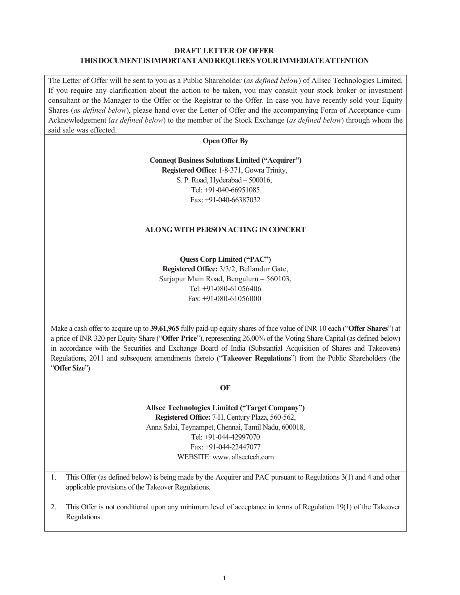#### **DRAFT LETTER OF OFFER THIS DOCUMENT IS IMPORTANT AND REQUIRES YOUR IMMEDIATE ATTENTION**

The Letter of Offer will be sent to you as a Public Shareholder (*as defined below*) of Allsec Technologies Limited. If you require any clarification about the action to be taken, you may consult your stock broker or investment consultant or the Manager to the Offer or the Registrar to the Offer. In case you have recently sold your Equity Shares (*as defined below*), please hand over the Letter of Offer and the accompanying Form of Acceptance-cum-Acknowledgement (*as defined below*) to the member of the Stock Exchange (*as defined below*) through whom the said sale was effected.

#### **Open Offer By**

#### **Conneqt Business Solutions Limited ("Acquirer")**

**Registered Office:** 1-8-371, Gowra Trinity, S. P. Road, Hyderabad – 500016, Tel: +91-040-66951085 Fax: +91-040-66387032

#### **ALONG WITH PERSON ACTING IN CONCERT**

**Quess Corp Limited ("PAC") Registered Office:** 3/3/2, Bellandur Gate, Sarjapur Main Road, Bengaluru – 560103, Tel: +91-080-61056406 Fax: +91-080-61056000

Make a cash offer to acquire up to **39,61,965** fully paid-up equity shares of face value of INR 10 each ("**Offer Shares**") at a price of INR 320 per Equity Share ("**Offer Price**"), representing 26.00% of the Voting Share Capital (as defined below) in accordance with the Securities and Exchange Board of India (Substantial Acquisition of Shares and Takeovers) Regulations, 2011 and subsequent amendments thereto ("**Takeover Regulations**") from the Public Shareholders (the "**Offer Size**")

**OF** 

**Allsec Technologies Limited ("Target Company") Registered Office:** 7-H, Century Plaza, 560-562, Anna Salai, Teynampet, Chennai, Tamil Nadu, 600018, Tel: +91-044-42997070 Fax: +91-044-22447077 WEBSITE: www.allsectech.com

1. This Offer (as defined below) is being made by the Acquirer and PAC pursuant to Regulations 3(1) and 4 and other applicable provisions of the Takeover Regulations.

2. This Offer is not conditional upon any minimum level of acceptance in terms of Regulation 19(1) of the Takeover Regulations.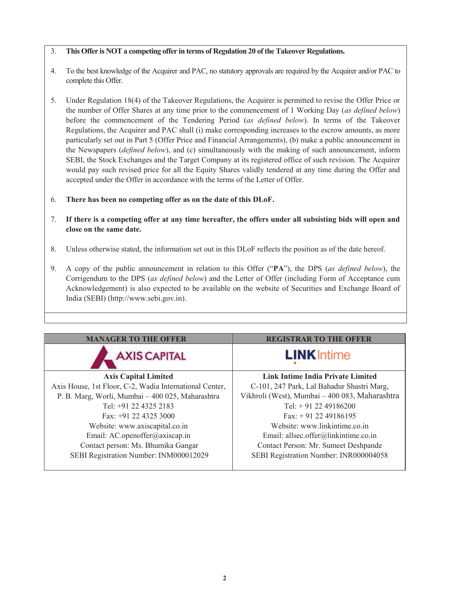### 3. **This Offer is NOT a competing offer in terms of Regulation 20 of the Takeover Regulations.**

- 4. To the best knowledge of the Acquirer and PAC, no statutory approvals are required by the Acquirer and/or PAC to complete this Offer.
- 5. Under Regulation 18(4) of the Takeover Regulations, the Acquirer is permitted to revise the Offer Price or the number of Offer Shares at any time prior to the commencement of 1 Working Day (*as defined below*) before the commencement of the Tendering Period (*as defined below*). In terms of the Takeover Regulations, the Acquirer and PAC shall (i) make corresponding increases to the escrow amounts, as more particularly set out in Part 5 (Offer Price and Financial Arrangements), (b) make a public announcement in the Newspapers (*defined below*), and (c) simultaneously with the making of such announcement, inform SEBI, the Stock Exchanges and the Target Company at its registered office of such revision. The Acquirer would pay such revised price for all the Equity Shares validly tendered at any time during the Offer and accepted under the Offer in accordance with the terms of the Letter of Offer.
- 6. **There has been no competing offer as on the date of this DLoF.**
- 7. **If there is a competing offer at any time hereafter, the offers under all subsisting bids will open and close on the same date.**
- 8. Unless otherwise stated, the information set out in this DLoF reflects the position as of the date hereof.
- 9. A copy of the public announcement in relation to this Offer ("**PA**"), the DPS (*as defined below*), the Corrigendum to the DPS (*as defined below*) and the Letter of Offer (including Form of Acceptance cum Acknowledgement) is also expected to be available on the website of Securities and Exchange Board of India (SEBI) (http://www.sebi.gov.in).

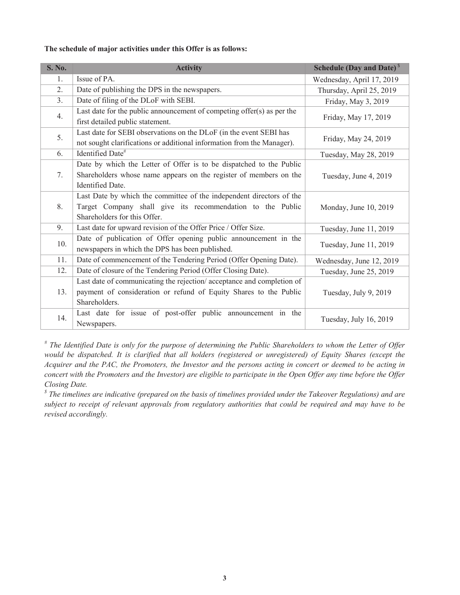#### **The schedule of major activities under this Offer is as follows:**

| <b>S. No.</b>  | <b>Activity</b>                                                                                                                                                     | <b>Schedule (Day and Date)</b> <sup>S</sup> |
|----------------|---------------------------------------------------------------------------------------------------------------------------------------------------------------------|---------------------------------------------|
| 1.             | Issue of PA.                                                                                                                                                        | Wednesday, April 17, 2019                   |
| 2.             | Date of publishing the DPS in the newspapers.                                                                                                                       | Thursday, April 25, 2019                    |
| 3 <sub>1</sub> | Date of filing of the DLoF with SEBI.                                                                                                                               | Friday, May 3, 2019                         |
| 4.             | Last date for the public announcement of competing offer $(s)$ as per the<br>first detailed public statement.                                                       | Friday, May 17, 2019                        |
| 5.             | Last date for SEBI observations on the DLoF (in the event SEBI has<br>not sought clarifications or additional information from the Manager).                        | Friday, May 24, 2019                        |
| 6.             | Identified Date <sup>#</sup>                                                                                                                                        | Tuesday, May 28, 2019                       |
| 7.             | Date by which the Letter of Offer is to be dispatched to the Public<br>Shareholders whose name appears on the register of members on the<br><b>Identified Date.</b> | Tuesday, June 4, 2019                       |
| 8.             | Last Date by which the committee of the independent directors of the<br>Target Company shall give its recommendation to the Public<br>Shareholders for this Offer.  | Monday, June 10, 2019                       |
| 9.             | Last date for upward revision of the Offer Price / Offer Size.                                                                                                      | Tuesday, June 11, 2019                      |
| 10.            | Date of publication of Offer opening public announcement in the<br>newspapers in which the DPS has been published.                                                  | Tuesday, June 11, 2019                      |
| 11.            | Date of commencement of the Tendering Period (Offer Opening Date).                                                                                                  | Wednesday, June 12, 2019                    |
| 12.            | Date of closure of the Tendering Period (Offer Closing Date).                                                                                                       | Tuesday, June 25, 2019                      |
| 13.            | Last date of communicating the rejection/acceptance and completion of<br>payment of consideration or refund of Equity Shares to the Public<br>Shareholders.         | Tuesday, July 9, 2019                       |
| 14.            | Last date for issue of post-offer public announcement in the<br>Newspapers.                                                                                         | Tuesday, July 16, 2019                      |

*# The Identified Date is only for the purpose of determining the Public Shareholders to whom the Letter of Offer would be dispatched. It is clarified that all holders (registered or unregistered) of Equity Shares (except the Acquirer and the PAC, the Promoters, the Investor and the persons acting in concert or deemed to be acting in concert with the Promoters and the Investor) are eligible to participate in the Open Offer any time before the Offer Closing Date.* 

*\$ The timelines are indicative (prepared on the basis of timelines provided under the Takeover Regulations) and are subject to receipt of relevant approvals from regulatory authorities that could be required and may have to be revised accordingly.*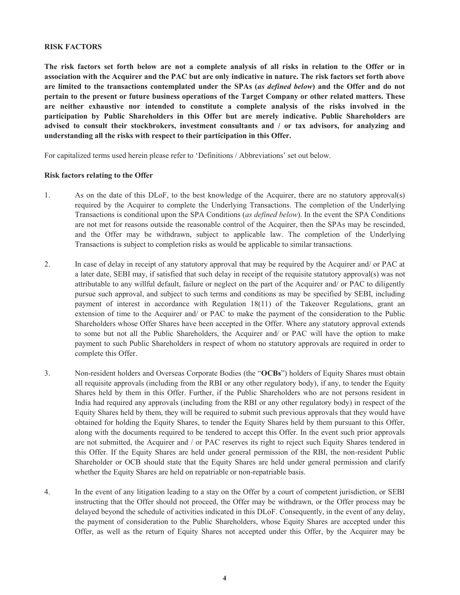#### **RISK FACTORS**

**The risk factors set forth below are not a complete analysis of all risks in relation to the Offer or in association with the Acquirer and the PAC but are only indicative in nature. The risk factors set forth above are limited to the transactions contemplated under the SPAs (***as defined below***) and the Offer and do not pertain to the present or future business operations of the Target Company or other related matters. These are neither exhaustive nor intended to constitute a complete analysis of the risks involved in the participation by Public Shareholders in this Offer but are merely indicative. Public Shareholders are advised to consult their stockbrokers, investment consultants and / or tax advisors, for analyzing and understanding all the risks with respect to their participation in this Offer.** 

For capitalized terms used herein please refer to 'Definitions / Abbreviations' set out below.

#### **Risk factors relating to the Offer**

- 1. As on the date of this DLoF, to the best knowledge of the Acquirer, there are no statutory approval(s) required by the Acquirer to complete the Underlying Transactions. The completion of the Underlying Transactions is conditional upon the SPA Conditions (*as defined below*). In the event the SPA Conditions are not met for reasons outside the reasonable control of the Acquirer, then the SPAs may be rescinded, and the Offer may be withdrawn, subject to applicable law. The completion of the Underlying Transactions is subject to completion risks as would be applicable to similar transactions.
- 2. In case of delay in receipt of any statutory approval that may be required by the Acquirer and/ or PAC at a later date, SEBI may, if satisfied that such delay in receipt of the requisite statutory approval(s) was not attributable to any willful default, failure or neglect on the part of the Acquirer and/ or PAC to diligently pursue such approval, and subject to such terms and conditions as may be specified by SEBI, including payment of interest in accordance with Regulation 18(11) of the Takeover Regulations, grant an extension of time to the Acquirer and/ or PAC to make the payment of the consideration to the Public Shareholders whose Offer Shares have been accepted in the Offer. Where any statutory approval extends to some but not all the Public Shareholders, the Acquirer and/ or PAC will have the option to make payment to such Public Shareholders in respect of whom no statutory approvals are required in order to complete this Offer.
- 3. Non-resident holders and Overseas Corporate Bodies (the "**OCBs**") holders of Equity Shares must obtain all requisite approvals (including from the RBI or any other regulatory body), if any, to tender the Equity Shares held by them in this Offer. Further, if the Public Shareholders who are not persons resident in India had required any approvals (including from the RBI or any other regulatory body) in respect of the Equity Shares held by them, they will be required to submit such previous approvals that they would have obtained for holding the Equity Shares, to tender the Equity Shares held by them pursuant to this Offer, along with the documents required to be tendered to accept this Offer. In the event such prior approvals are not submitted, the Acquirer and / or PAC reserves its right to reject such Equity Shares tendered in this Offer. If the Equity Shares are held under general permission of the RBI, the non-resident Public Shareholder or OCB should state that the Equity Shares are held under general permission and clarify whether the Equity Shares are held on repatriable or non-repatriable basis.
- 4. In the event of any litigation leading to a stay on the Offer by a court of competent jurisdiction, or SEBI instructing that the Offer should not proceed, the Offer may be withdrawn, or the Offer process may be delayed beyond the schedule of activities indicated in this DLoF. Consequently, in the event of any delay, the payment of consideration to the Public Shareholders, whose Equity Shares are accepted under this Offer, as well as the return of Equity Shares not accepted under this Offer, by the Acquirer may be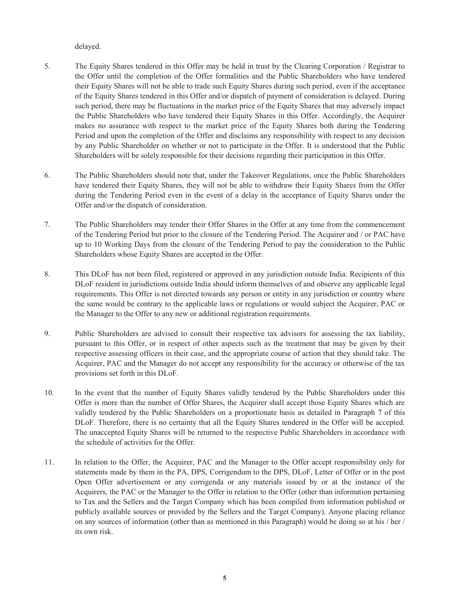delayed.

- 5. The Equity Shares tendered in this Offer may be held in trust by the Clearing Corporation / Registrar to the Offer until the completion of the Offer formalities and the Public Shareholders who have tendered their Equity Shares will not be able to trade such Equity Shares during such period, even if the acceptance of the Equity Shares tendered in this Offer and/or dispatch of payment of consideration is delayed. During such period, there may be fluctuations in the market price of the Equity Shares that may adversely impact the Public Shareholders who have tendered their Equity Shares in this Offer. Accordingly, the Acquirer makes no assurance with respect to the market price of the Equity Shares both during the Tendering Period and upon the completion of the Offer and disclaims any responsibility with respect to any decision by any Public Shareholder on whether or not to participate in the Offer. It is understood that the Public Shareholders will be solely responsible for their decisions regarding their participation in this Offer.
- 6. The Public Shareholders should note that, under the Takeover Regulations, once the Public Shareholders have tendered their Equity Shares, they will not be able to withdraw their Equity Shares from the Offer during the Tendering Period even in the event of a delay in the acceptance of Equity Shares under the Offer and/or the dispatch of consideration.
- 7. The Public Shareholders may tender their Offer Shares in the Offer at any time from the commencement of the Tendering Period but prior to the closure of the Tendering Period. The Acquirer and / or PAC have up to 10 Working Days from the closure of the Tendering Period to pay the consideration to the Public Shareholders whose Equity Shares are accepted in the Offer.
- 8. This DLoF has not been filed, registered or approved in any jurisdiction outside India. Recipients of this DLoF resident in jurisdictions outside India should inform themselves of and observe any applicable legal requirements. This Offer is not directed towards any person or entity in any jurisdiction or country where the same would be contrary to the applicable laws or regulations or would subject the Acquirer, PAC or the Manager to the Offer to any new or additional registration requirements.
- 9. Public Shareholders are advised to consult their respective tax advisors for assessing the tax liability, pursuant to this Offer, or in respect of other aspects such as the treatment that may be given by their respective assessing officers in their case, and the appropriate course of action that they should take. The Acquirer, PAC and the Manager do not accept any responsibility for the accuracy or otherwise of the tax provisions set forth in this DLoF.
- 10. In the event that the number of Equity Shares validly tendered by the Public Shareholders under this Offer is more than the number of Offer Shares, the Acquirer shall accept those Equity Shares which are validly tendered by the Public Shareholders on a proportionate basis as detailed in Paragraph 7 of this DLoF. Therefore, there is no certainty that all the Equity Shares tendered in the Offer will be accepted. The unaccepted Equity Shares will be returned to the respective Public Shareholders in accordance with the schedule of activities for the Offer.
- 11. In relation to the Offer, the Acquirer, PAC and the Manager to the Offer accept responsibility only for statements made by them in the PA, DPS, Corrigendum to the DPS, DLoF, Letter of Offer or in the post Open Offer advertisement or any corrigenda or any materials issued by or at the instance of the Acquirers, the PAC or the Manager to the Offer in relation to the Offer (other than information pertaining to Tax and the Sellers and the Target Company which has been compiled from information published or publicly available sources or provided by the Sellers and the Target Company). Anyone placing reliance on any sources of information (other than as mentioned in this Paragraph) would be doing so at his / her / its own risk.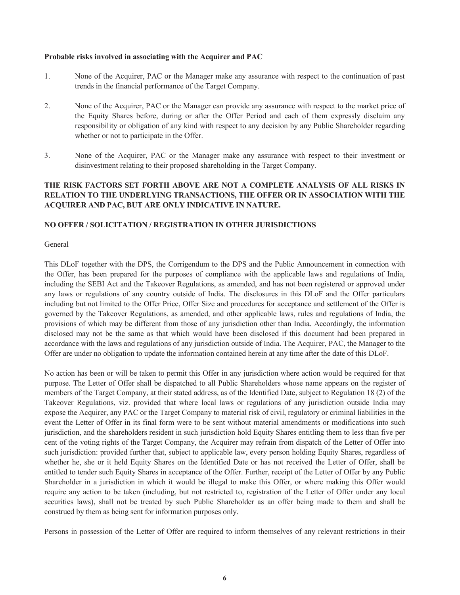#### **Probable risks involved in associating with the Acquirer and PAC**

- 1. None of the Acquirer, PAC or the Manager make any assurance with respect to the continuation of past trends in the financial performance of the Target Company.
- 2. None of the Acquirer, PAC or the Manager can provide any assurance with respect to the market price of the Equity Shares before, during or after the Offer Period and each of them expressly disclaim any responsibility or obligation of any kind with respect to any decision by any Public Shareholder regarding whether or not to participate in the Offer.
- 3. None of the Acquirer, PAC or the Manager make any assurance with respect to their investment or disinvestment relating to their proposed shareholding in the Target Company.

# **THE RISK FACTORS SET FORTH ABOVE ARE NOT A COMPLETE ANALYSIS OF ALL RISKS IN RELATION TO THE UNDERLYING TRANSACTIONS, THE OFFER OR IN ASSOCIATION WITH THE ACQUIRER AND PAC, BUT ARE ONLY INDICATIVE IN NATURE.**

### **NO OFFER / SOLICITATION / REGISTRATION IN OTHER JURISDICTIONS**

**General** 

This DLoF together with the DPS, the Corrigendum to the DPS and the Public Announcement in connection with the Offer, has been prepared for the purposes of compliance with the applicable laws and regulations of India, including the SEBI Act and the Takeover Regulations, as amended, and has not been registered or approved under any laws or regulations of any country outside of India. The disclosures in this DLoF and the Offer particulars including but not limited to the Offer Price, Offer Size and procedures for acceptance and settlement of the Offer is governed by the Takeover Regulations, as amended, and other applicable laws, rules and regulations of India, the provisions of which may be different from those of any jurisdiction other than India. Accordingly, the information disclosed may not be the same as that which would have been disclosed if this document had been prepared in accordance with the laws and regulations of any jurisdiction outside of India. The Acquirer, PAC, the Manager to the Offer are under no obligation to update the information contained herein at any time after the date of this DLoF.

No action has been or will be taken to permit this Offer in any jurisdiction where action would be required for that purpose. The Letter of Offer shall be dispatched to all Public Shareholders whose name appears on the register of members of the Target Company, at their stated address, as of the Identified Date, subject to Regulation 18 (2) of the Takeover Regulations, viz. provided that where local laws or regulations of any jurisdiction outside India may expose the Acquirer, any PAC or the Target Company to material risk of civil, regulatory or criminal liabilities in the event the Letter of Offer in its final form were to be sent without material amendments or modifications into such jurisdiction, and the shareholders resident in such jurisdiction hold Equity Shares entitling them to less than five per cent of the voting rights of the Target Company, the Acquirer may refrain from dispatch of the Letter of Offer into such jurisdiction: provided further that, subject to applicable law, every person holding Equity Shares, regardless of whether he, she or it held Equity Shares on the Identified Date or has not received the Letter of Offer, shall be entitled to tender such Equity Shares in acceptance of the Offer. Further, receipt of the Letter of Offer by any Public Shareholder in a jurisdiction in which it would be illegal to make this Offer, or where making this Offer would require any action to be taken (including, but not restricted to, registration of the Letter of Offer under any local securities laws), shall not be treated by such Public Shareholder as an offer being made to them and shall be construed by them as being sent for information purposes only.

Persons in possession of the Letter of Offer are required to inform themselves of any relevant restrictions in their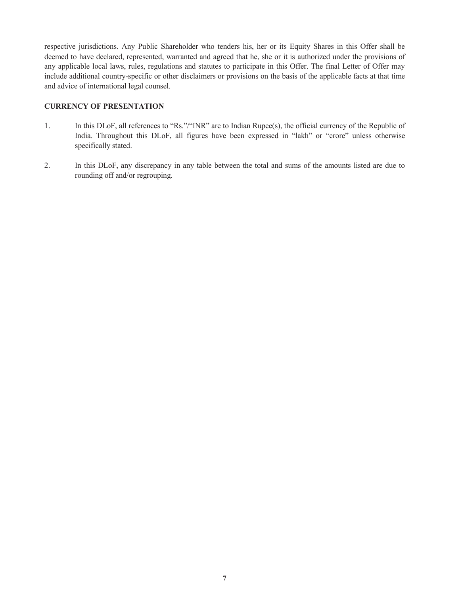respective jurisdictions. Any Public Shareholder who tenders his, her or its Equity Shares in this Offer shall be deemed to have declared, represented, warranted and agreed that he, she or it is authorized under the provisions of any applicable local laws, rules, regulations and statutes to participate in this Offer. The final Letter of Offer may include additional country-specific or other disclaimers or provisions on the basis of the applicable facts at that time and advice of international legal counsel.

### **CURRENCY OF PRESENTATION**

- 1. In this DLoF, all references to "Rs."/"INR" are to Indian Rupee(s), the official currency of the Republic of India. Throughout this DLoF, all figures have been expressed in "lakh" or "crore" unless otherwise specifically stated.
- 2. In this DLoF, any discrepancy in any table between the total and sums of the amounts listed are due to rounding off and/or regrouping.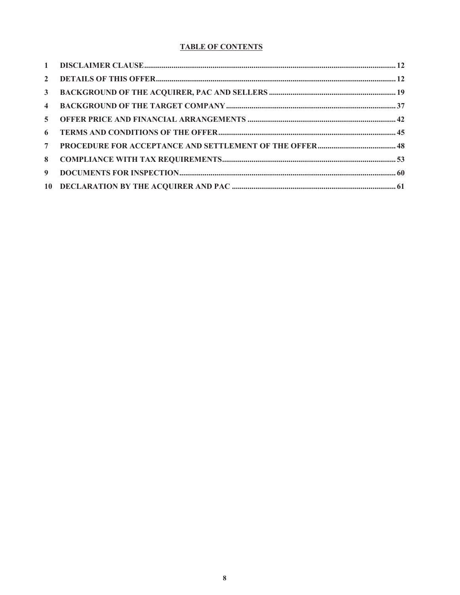# **TABLE OF CONTENTS**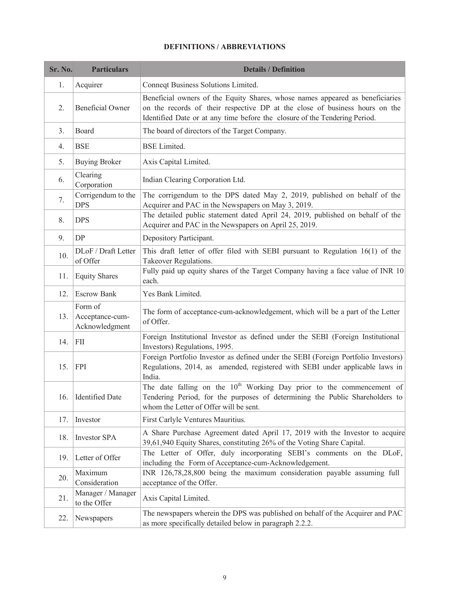# **DEFINITIONS / ABBREVIATIONS**

| <b>Sr. No.</b> | <b>Particulars</b>                           | <b>Details / Definition</b>                                                                                                                                                                                                                |
|----------------|----------------------------------------------|--------------------------------------------------------------------------------------------------------------------------------------------------------------------------------------------------------------------------------------------|
| 1.             | Acquirer                                     | Conneqt Business Solutions Limited.                                                                                                                                                                                                        |
| 2.             | <b>Beneficial Owner</b>                      | Beneficial owners of the Equity Shares, whose names appeared as beneficiaries<br>on the records of their respective DP at the close of business hours on the<br>Identified Date or at any time before the closure of the Tendering Period. |
| 3.             | Board                                        | The board of directors of the Target Company.                                                                                                                                                                                              |
| 4.             | <b>BSE</b>                                   | <b>BSE</b> Limited.                                                                                                                                                                                                                        |
| 5.             | <b>Buying Broker</b>                         | Axis Capital Limited.                                                                                                                                                                                                                      |
| 6.             | Clearing<br>Corporation                      | Indian Clearing Corporation Ltd.                                                                                                                                                                                                           |
| 7.             | Corrigendum to the<br><b>DPS</b>             | The corrigendum to the DPS dated May 2, 2019, published on behalf of the<br>Acquirer and PAC in the Newspapers on May 3, 2019.                                                                                                             |
| 8.             | <b>DPS</b>                                   | The detailed public statement dated April 24, 2019, published on behalf of the<br>Acquirer and PAC in the Newspapers on April 25, 2019.                                                                                                    |
| 9.             | DP                                           | Depository Participant.                                                                                                                                                                                                                    |
| 10.            | DLoF / Draft Letter<br>of Offer              | This draft letter of offer filed with SEBI pursuant to Regulation 16(1) of the<br><b>Takeover Regulations.</b>                                                                                                                             |
| 11.            | <b>Equity Shares</b>                         | Fully paid up equity shares of the Target Company having a face value of INR 10<br>each.                                                                                                                                                   |
| 12.            | <b>Escrow Bank</b>                           | Yes Bank Limited.                                                                                                                                                                                                                          |
| 13.            | Form of<br>Acceptance-cum-<br>Acknowledgment | The form of acceptance-cum-acknowledgement, which will be a part of the Letter<br>of Offer.                                                                                                                                                |
| 14.            | <b>FII</b>                                   | Foreign Institutional Investor as defined under the SEBI (Foreign Institutional<br>Investors) Regulations, 1995.                                                                                                                           |
| 15.            | <b>FPI</b>                                   | Foreign Portfolio Investor as defined under the SEBI (Foreign Portfolio Investors)<br>Regulations, 2014, as amended, registered with SEBI under applicable laws in<br>India.                                                               |
| 16.            | <b>Identified Date</b>                       | The date falling on the 10 <sup>th</sup> Working Day prior to the commencement of<br>Tendering Period, for the purposes of determining the Public Shareholders to<br>whom the Letter of Offer will be sent.                                |
| 17.            | Investor                                     | First Carlyle Ventures Mauritius.                                                                                                                                                                                                          |
| 18.            | <b>Investor SPA</b>                          | A Share Purchase Agreement dated April 17, 2019 with the Investor to acquire<br>39,61,940 Equity Shares, constituting 26% of the Voting Share Capital.                                                                                     |
| 19.            | Letter of Offer                              | The Letter of Offer, duly incorporating SEBI's comments on the DLoF,<br>including the Form of Acceptance-cum-Acknowledgement.                                                                                                              |
| 20.            | Maximum<br>Consideration                     | INR 126,78,28,800 being the maximum consideration payable assuming full<br>acceptance of the Offer.                                                                                                                                        |
| 21.            | Manager / Manager<br>to the Offer            | Axis Capital Limited.                                                                                                                                                                                                                      |
| 22.            | Newspapers                                   | The newspapers wherein the DPS was published on behalf of the Acquirer and PAC<br>as more specifically detailed below in paragraph 2.2.2.                                                                                                  |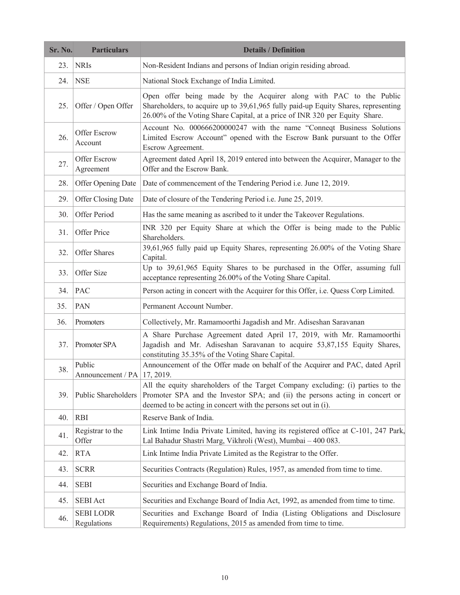| Sr. No. | <b>Particulars</b>                        | <b>Details / Definition</b>                                                                                                                                                                                                             |  |  |
|---------|-------------------------------------------|-----------------------------------------------------------------------------------------------------------------------------------------------------------------------------------------------------------------------------------------|--|--|
| 23.     | <b>NRIS</b>                               | Non-Resident Indians and persons of Indian origin residing abroad.                                                                                                                                                                      |  |  |
| 24.     | <b>NSE</b>                                | National Stock Exchange of India Limited.                                                                                                                                                                                               |  |  |
| 25.     | Offer / Open Offer                        | Open offer being made by the Acquirer along with PAC to the Public<br>Shareholders, to acquire up to 39,61,965 fully paid-up Equity Shares, representing<br>26.00% of the Voting Share Capital, at a price of INR 320 per Equity Share. |  |  |
| 26.     | Offer Escrow<br>Account                   | Account No. 000666200000247 with the name "Conneqt Business Solutions<br>Limited Escrow Account" opened with the Escrow Bank pursuant to the Offer<br>Escrow Agreement.                                                                 |  |  |
| 27.     | Offer Escrow<br>Agreement                 | Agreement dated April 18, 2019 entered into between the Acquirer, Manager to the<br>Offer and the Escrow Bank.                                                                                                                          |  |  |
| 28.     | Offer Opening Date                        | Date of commencement of the Tendering Period i.e. June 12, 2019.                                                                                                                                                                        |  |  |
| 29.     | Offer Closing Date                        | Date of closure of the Tendering Period i.e. June 25, 2019.                                                                                                                                                                             |  |  |
| 30.     | Offer Period                              | Has the same meaning as ascribed to it under the Takeover Regulations.                                                                                                                                                                  |  |  |
| 31.     | Offer Price                               | INR 320 per Equity Share at which the Offer is being made to the Public<br>Shareholders.                                                                                                                                                |  |  |
| 32.     | Offer Shares                              | 39,61,965 fully paid up Equity Shares, representing 26.00% of the Voting Share<br>Capital.                                                                                                                                              |  |  |
| 33.     | Offer Size                                | Up to 39,61,965 Equity Shares to be purchased in the Offer, assuming full<br>acceptance representing 26.00% of the Voting Share Capital.                                                                                                |  |  |
| 34.     | <b>PAC</b>                                | Person acting in concert with the Acquirer for this Offer, i.e. Quess Corp Limited.                                                                                                                                                     |  |  |
| 35.     | <b>PAN</b>                                | Permanent Account Number.                                                                                                                                                                                                               |  |  |
| 36.     | Promoters                                 | Collectively, Mr. Ramamoorthi Jagadish and Mr. Adiseshan Saravanan                                                                                                                                                                      |  |  |
| 37.     | Promoter SPA                              | A Share Purchase Agreement dated April 17, 2019, with Mr. Ramamoorthi<br>Jagadish and Mr. Adiseshan Saravanan to acquire 53,87,155 Equity Shares,<br>constituting 35.35% of the Voting Share Capital.                                   |  |  |
| 38.     | Public<br>Announcement / PA $ 17, 2019$ . | Announcement of the Offer made on behalf of the Acquirer and PAC, dated April                                                                                                                                                           |  |  |
| 39.     | Public Shareholders                       | All the equity shareholders of the Target Company excluding: (i) parties to the<br>Promoter SPA and the Investor SPA; and (ii) the persons acting in concert or<br>deemed to be acting in concert with the persons set out in (i).      |  |  |
| 40.     | <b>RBI</b>                                | Reserve Bank of India.                                                                                                                                                                                                                  |  |  |
| 41.     | Registrar to the<br>Offer                 | Link Intime India Private Limited, having its registered office at C-101, 247 Park,<br>Lal Bahadur Shastri Marg, Vikhroli (West), Mumbai - 400 083.                                                                                     |  |  |
| 42.     | <b>RTA</b>                                | Link Intime India Private Limited as the Registrar to the Offer.                                                                                                                                                                        |  |  |
| 43.     | <b>SCRR</b>                               | Securities Contracts (Regulation) Rules, 1957, as amended from time to time.                                                                                                                                                            |  |  |
| 44.     | <b>SEBI</b>                               | Securities and Exchange Board of India.                                                                                                                                                                                                 |  |  |
| 45.     | <b>SEBI Act</b>                           | Securities and Exchange Board of India Act, 1992, as amended from time to time.                                                                                                                                                         |  |  |
| 46.     | <b>SEBILODR</b><br>Regulations            | Securities and Exchange Board of India (Listing Obligations and Disclosure<br>Requirements) Regulations, 2015 as amended from time to time.                                                                                             |  |  |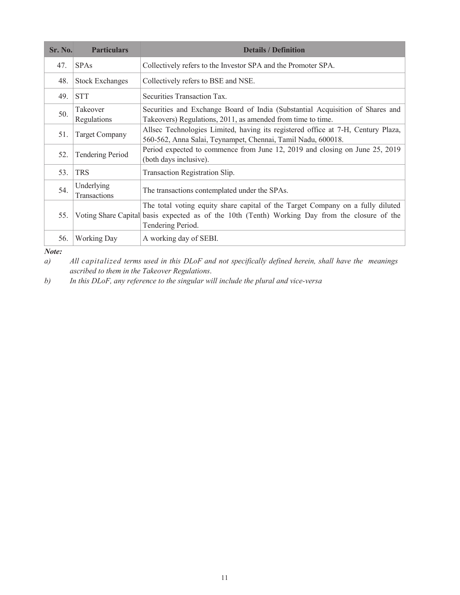| Sr. No. | <b>Particulars</b>         | <b>Details / Definition</b>                                                                                                                                                                           |
|---------|----------------------------|-------------------------------------------------------------------------------------------------------------------------------------------------------------------------------------------------------|
| 47.     | <b>SPAs</b>                | Collectively refers to the Investor SPA and the Promoter SPA.                                                                                                                                         |
| 48.     | <b>Stock Exchanges</b>     | Collectively refers to BSE and NSE.                                                                                                                                                                   |
| 49.     | <b>STT</b>                 | Securities Transaction Tax.                                                                                                                                                                           |
| 50.     | Takeover<br>Regulations    | Securities and Exchange Board of India (Substantial Acquisition of Shares and<br>Takeovers) Regulations, 2011, as amended from time to time.                                                          |
| 51.     | <b>Target Company</b>      | Allsec Technologies Limited, having its registered office at 7-H, Century Plaza,<br>560-562, Anna Salai, Teynampet, Chennai, Tamil Nadu, 600018.                                                      |
| 52.     | <b>Tendering Period</b>    | Period expected to commence from June 12, 2019 and closing on June 25, 2019<br>(both days inclusive).                                                                                                 |
| 53.     | <b>TRS</b>                 | Transaction Registration Slip.                                                                                                                                                                        |
| 54.     | Underlying<br>Transactions | The transactions contemplated under the SPAs.                                                                                                                                                         |
| 55.     |                            | The total voting equity share capital of the Target Company on a fully diluted<br>Voting Share Capital basis expected as of the 10th (Tenth) Working Day from the closure of the<br>Tendering Period. |
| 56.     | <b>Working Day</b>         | A working day of SEBI.                                                                                                                                                                                |

*Note: a) All capitalized terms used in this DLoF and not specifically defined herein, shall have the meanings ascribed to them in the Takeover Regulations*.

*b) In this DLoF, any reference to the singular will include the plural and vice-versa*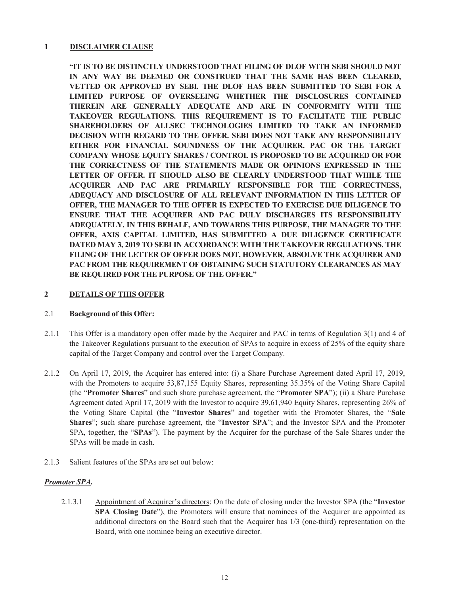### **1 DISCLAIMER CLAUSE**

**"IT IS TO BE DISTINCTLY UNDERSTOOD THAT FILING OF DLOF WITH SEBI SHOULD NOT IN ANY WAY BE DEEMED OR CONSTRUED THAT THE SAME HAS BEEN CLEARED, VETTED OR APPROVED BY SEBI. THE DLOF HAS BEEN SUBMITTED TO SEBI FOR A LIMITED PURPOSE OF OVERSEEING WHETHER THE DISCLOSURES CONTAINED THEREIN ARE GENERALLY ADEQUATE AND ARE IN CONFORMITY WITH THE TAKEOVER REGULATIONS. THIS REQUIREMENT IS TO FACILITATE THE PUBLIC SHAREHOLDERS OF ALLSEC TECHNOLOGIES LIMITED TO TAKE AN INFORMED DECISION WITH REGARD TO THE OFFER. SEBI DOES NOT TAKE ANY RESPONSIBILITY EITHER FOR FINANCIAL SOUNDNESS OF THE ACQUIRER, PAC OR THE TARGET COMPANY WHOSE EQUITY SHARES / CONTROL IS PROPOSED TO BE ACQUIRED OR FOR THE CORRECTNESS OF THE STATEMENTS MADE OR OPINIONS EXPRESSED IN THE LETTER OF OFFER. IT SHOULD ALSO BE CLEARLY UNDERSTOOD THAT WHILE THE ACQUIRER AND PAC ARE PRIMARILY RESPONSIBLE FOR THE CORRECTNESS, ADEQUACY AND DISCLOSURE OF ALL RELEVANT INFORMATION IN THIS LETTER OF OFFER, THE MANAGER TO THE OFFER IS EXPECTED TO EXERCISE DUE DILIGENCE TO ENSURE THAT THE ACQUIRER AND PAC DULY DISCHARGES ITS RESPONSIBILITY ADEQUATELY. IN THIS BEHALF, AND TOWARDS THIS PURPOSE, THE MANAGER TO THE OFFER, AXIS CAPITAL LIMITED, HAS SUBMITTED A DUE DILIGENCE CERTIFICATE DATED MAY 3, 2019 TO SEBI IN ACCORDANCE WITH THE TAKEOVER REGULATIONS. THE FILING OF THE LETTER OF OFFER DOES NOT, HOWEVER, ABSOLVE THE ACQUIRER AND PAC FROM THE REQUIREMENT OF OBTAINING SUCH STATUTORY CLEARANCES AS MAY BE REQUIRED FOR THE PURPOSE OF THE OFFER."**

### **2 DETAILS OF THIS OFFER**

#### 2.1 **Background of this Offer:**

- 2.1.1 This Offer is a mandatory open offer made by the Acquirer and PAC in terms of Regulation 3(1) and 4 of the Takeover Regulations pursuant to the execution of SPAs to acquire in excess of 25% of the equity share capital of the Target Company and control over the Target Company.
- 2.1.2 On April 17, 2019, the Acquirer has entered into: (i) a Share Purchase Agreement dated April 17, 2019, with the Promoters to acquire 53,87,155 Equity Shares, representing 35.35% of the Voting Share Capital (the "**Promoter Shares**" and such share purchase agreement, the "**Promoter SPA**"); (ii) a Share Purchase Agreement dated April 17, 2019 with the Investor to acquire 39,61,940 Equity Shares, representing 26% of the Voting Share Capital (the "**Investor Shares**" and together with the Promoter Shares, the "**Sale Shares**"; such share purchase agreement, the "**Investor SPA**"; and the Investor SPA and the Promoter SPA, together, the "**SPAs**"). The payment by the Acquirer for the purchase of the Sale Shares under the SPAs will be made in cash.
- 2.1.3 Salient features of the SPAs are set out below:

### *Promoter SPA.*

2.1.3.1 Appointment of Acquirer's directors: On the date of closing under the Investor SPA (the "**Investor SPA Closing Date**"), the Promoters will ensure that nominees of the Acquirer are appointed as additional directors on the Board such that the Acquirer has 1/3 (one-third) representation on the Board, with one nominee being an executive director.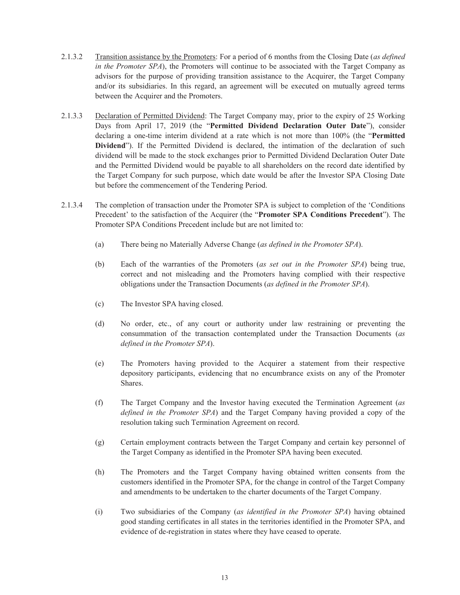- 2.1.3.2 Transition assistance by the Promoters: For a period of 6 months from the Closing Date (*as defined in the Promoter SPA*), the Promoters will continue to be associated with the Target Company as advisors for the purpose of providing transition assistance to the Acquirer, the Target Company and/or its subsidiaries. In this regard, an agreement will be executed on mutually agreed terms between the Acquirer and the Promoters.
- 2.1.3.3 Declaration of Permitted Dividend: The Target Company may, prior to the expiry of 25 Working Days from April 17, 2019 (the "**Permitted Dividend Declaration Outer Date**"), consider declaring a one-time interim dividend at a rate which is not more than 100% (the "**Permitted**  Dividend"). If the Permitted Dividend is declared, the intimation of the declaration of such dividend will be made to the stock exchanges prior to Permitted Dividend Declaration Outer Date and the Permitted Dividend would be payable to all shareholders on the record date identified by the Target Company for such purpose, which date would be after the Investor SPA Closing Date but before the commencement of the Tendering Period.
- 2.1.3.4 The completion of transaction under the Promoter SPA is subject to completion of the 'Conditions Precedent' to the satisfaction of the Acquirer (the "**Promoter SPA Conditions Precedent**"). The Promoter SPA Conditions Precedent include but are not limited to:
	- (a) There being no Materially Adverse Change (*as defined in the Promoter SPA*).
	- (b) Each of the warranties of the Promoters (*as set out in the Promoter SPA*) being true, correct and not misleading and the Promoters having complied with their respective obligations under the Transaction Documents (*as defined in the Promoter SPA*).
	- (c) The Investor SPA having closed.
	- (d) No order, etc., of any court or authority under law restraining or preventing the consummation of the transaction contemplated under the Transaction Documents (*as defined in the Promoter SPA*).
	- (e) The Promoters having provided to the Acquirer a statement from their respective depository participants, evidencing that no encumbrance exists on any of the Promoter Shares.
	- (f) The Target Company and the Investor having executed the Termination Agreement (*as defined in the Promoter SPA*) and the Target Company having provided a copy of the resolution taking such Termination Agreement on record.
	- (g) Certain employment contracts between the Target Company and certain key personnel of the Target Company as identified in the Promoter SPA having been executed.
	- (h) The Promoters and the Target Company having obtained written consents from the customers identified in the Promoter SPA, for the change in control of the Target Company and amendments to be undertaken to the charter documents of the Target Company.
	- (i) Two subsidiaries of the Company (*as identified in the Promoter SPA*) having obtained good standing certificates in all states in the territories identified in the Promoter SPA, and evidence of de-registration in states where they have ceased to operate.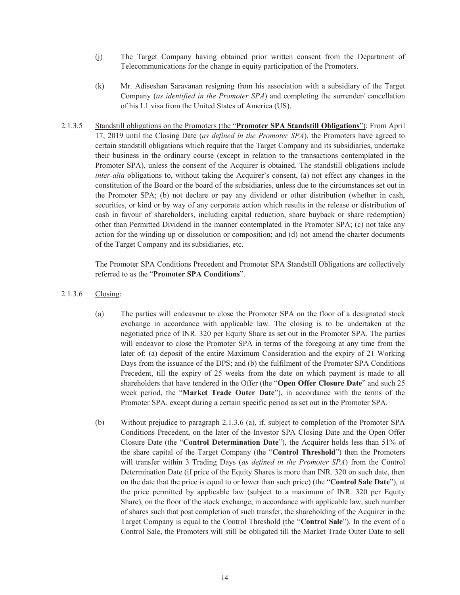- (j) The Target Company having obtained prior written consent from the Department of Telecommunications for the change in equity participation of the Promoters.
- (k) Mr. Adiseshan Saravanan resigning from his association with a subsidiary of the Target Company (*as identified in the Promoter SPA*) and completing the surrender/ cancellation of his L1 visa from the United States of America (US).
- 2.1.3.5 Standstill obligations on the Promoters (the "**Promoter SPA Standstill Obligations**"): From April 17, 2019 until the Closing Date (*as defined in the Promoter SPA*), the Promoters have agreed to certain standstill obligations which require that the Target Company and its subsidiaries, undertake their business in the ordinary course (except in relation to the transactions contemplated in the Promoter SPA), unless the consent of the Acquirer is obtained. The standstill obligations include *inter-alia* obligations to, without taking the Acquirer's consent, (a) not effect any changes in the constitution of the Board or the board of the subsidiaries, unless due to the circumstances set out in the Promoter SPA; (b) not declare or pay any dividend or other distribution (whether in cash, securities, or kind or by way of any corporate action which results in the release or distribution of cash in favour of shareholders, including capital reduction, share buyback or share redemption) other than Permitted Dividend in the manner contemplated in the Promoter SPA; (c) not take any action for the winding up or dissolution or composition; and (d) not amend the charter documents of the Target Company and its subsidiaries, etc.

The Promoter SPA Conditions Precedent and Promoter SPA Standstill Obligations are collectively referred to as the "**Promoter SPA Conditions**".

- 2.1.3.6 Closing:
	- (a) The parties will endeavour to close the Promoter SPA on the floor of a designated stock exchange in accordance with applicable law. The closing is to be undertaken at the negotiated price of INR. 320 per Equity Share as set out in the Promoter SPA. The parties will endeavor to close the Promoter SPA in terms of the foregoing at any time from the later of: (a) deposit of the entire Maximum Consideration and the expiry of 21 Working Days from the issuance of the DPS; and (b) the fulfilment of the Promoter SPA Conditions Precedent, till the expiry of 25 weeks from the date on which payment is made to all shareholders that have tendered in the Offer (the "**Open Offer Closure Date**" and such 25 week period, the "**Market Trade Outer Date**"), in accordance with the terms of the Promoter SPA, except during a certain specific period as set out in the Promoter SPA.
	- (b) Without prejudice to paragraph 2.1.3.6 (a), if, subject to completion of the Promoter SPA Conditions Precedent, on the later of the Investor SPA Closing Date and the Open Offer Closure Date (the "**Control Determination Date**"), the Acquirer holds less than 51% of the share capital of the Target Company (the "**Control Threshold**") then the Promoters will transfer within 3 Trading Days (*as defined in the Promoter SPA*) from the Control Determination Date (if price of the Equity Shares is more than INR. 320 on such date, then on the date that the price is equal to or lower than such price) (the "**Control Sale Date**"), at the price permitted by applicable law (subject to a maximum of INR. 320 per Equity Share), on the floor of the stock exchange, in accordance with applicable law, such number of shares such that post completion of such transfer, the shareholding of the Acquirer in the Target Company is equal to the Control Threshold (the "**Control Sale**"). In the event of a Control Sale, the Promoters will still be obligated till the Market Trade Outer Date to sell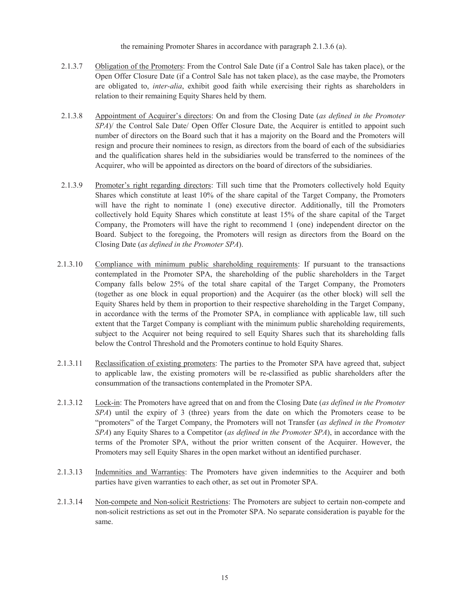the remaining Promoter Shares in accordance with paragraph 2.1.3.6 (a).

- 2.1.3.7 Obligation of the Promoters: From the Control Sale Date (if a Control Sale has taken place), or the Open Offer Closure Date (if a Control Sale has not taken place), as the case maybe, the Promoters are obligated to, *inter-alia*, exhibit good faith while exercising their rights as shareholders in relation to their remaining Equity Shares held by them.
- 2.1.3.8 Appointment of Acquirer's directors: On and from the Closing Date (*as defined in the Promoter SPA*)/ the Control Sale Date/ Open Offer Closure Date, the Acquirer is entitled to appoint such number of directors on the Board such that it has a majority on the Board and the Promoters will resign and procure their nominees to resign, as directors from the board of each of the subsidiaries and the qualification shares held in the subsidiaries would be transferred to the nominees of the Acquirer, who will be appointed as directors on the board of directors of the subsidiaries.
- 2.1.3.9 Promoter's right regarding directors: Till such time that the Promoters collectively hold Equity Shares which constitute at least 10% of the share capital of the Target Company, the Promoters will have the right to nominate 1 (one) executive director. Additionally, till the Promoters collectively hold Equity Shares which constitute at least 15% of the share capital of the Target Company, the Promoters will have the right to recommend 1 (one) independent director on the Board. Subject to the foregoing, the Promoters will resign as directors from the Board on the Closing Date (*as defined in the Promoter SPA*).
- 2.1.3.10 Compliance with minimum public shareholding requirements: If pursuant to the transactions contemplated in the Promoter SPA, the shareholding of the public shareholders in the Target Company falls below 25% of the total share capital of the Target Company, the Promoters (together as one block in equal proportion) and the Acquirer (as the other block) will sell the Equity Shares held by them in proportion to their respective shareholding in the Target Company, in accordance with the terms of the Promoter SPA, in compliance with applicable law, till such extent that the Target Company is compliant with the minimum public shareholding requirements, subject to the Acquirer not being required to sell Equity Shares such that its shareholding falls below the Control Threshold and the Promoters continue to hold Equity Shares.
- 2.1.3.11 Reclassification of existing promoters: The parties to the Promoter SPA have agreed that, subject to applicable law, the existing promoters will be re-classified as public shareholders after the consummation of the transactions contemplated in the Promoter SPA.
- 2.1.3.12 Lock-in: The Promoters have agreed that on and from the Closing Date (*as defined in the Promoter SPA*) until the expiry of 3 (three) years from the date on which the Promoters cease to be "promoters" of the Target Company, the Promoters will not Transfer (*as defined in the Promoter SPA*) any Equity Shares to a Competitor (*as defined in the Promoter SPA*), in accordance with the terms of the Promoter SPA, without the prior written consent of the Acquirer. However, the Promoters may sell Equity Shares in the open market without an identified purchaser.
- 2.1.3.13 Indemnities and Warranties: The Promoters have given indemnities to the Acquirer and both parties have given warranties to each other, as set out in Promoter SPA.
- 2.1.3.14 Non-compete and Non-solicit Restrictions: The Promoters are subject to certain non-compete and non-solicit restrictions as set out in the Promoter SPA. No separate consideration is payable for the same.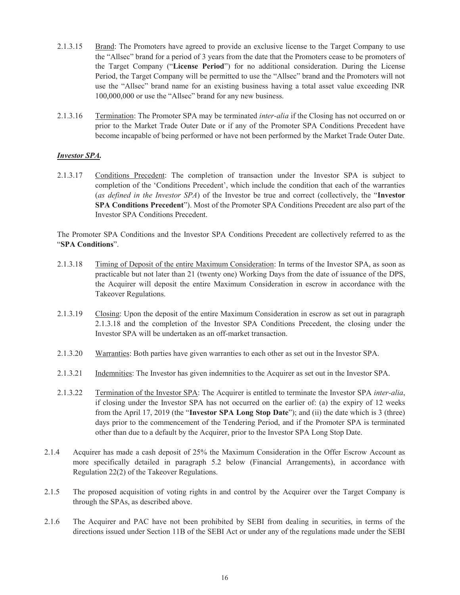- 2.1.3.15 Brand: The Promoters have agreed to provide an exclusive license to the Target Company to use the "Allsec" brand for a period of 3 years from the date that the Promoters cease to be promoters of the Target Company ("**License Period**") for no additional consideration. During the License Period, the Target Company will be permitted to use the "Allsec" brand and the Promoters will not use the "Allsec" brand name for an existing business having a total asset value exceeding INR 100,000,000 or use the "Allsec" brand for any new business.
- 2.1.3.16 Termination: The Promoter SPA may be terminated *inter-alia* if the Closing has not occurred on or prior to the Market Trade Outer Date or if any of the Promoter SPA Conditions Precedent have become incapable of being performed or have not been performed by the Market Trade Outer Date.

### *Investor SPA.*

2.1.3.17 Conditions Precedent: The completion of transaction under the Investor SPA is subject to completion of the 'Conditions Precedent', which include the condition that each of the warranties (*as defined in the Investor SPA*) of the Investor be true and correct (collectively, the "**Investor SPA Conditions Precedent**"). Most of the Promoter SPA Conditions Precedent are also part of the Investor SPA Conditions Precedent.

The Promoter SPA Conditions and the Investor SPA Conditions Precedent are collectively referred to as the "**SPA Conditions**".

- 2.1.3.18 Timing of Deposit of the entire Maximum Consideration: In terms of the Investor SPA, as soon as practicable but not later than 21 (twenty one) Working Days from the date of issuance of the DPS, the Acquirer will deposit the entire Maximum Consideration in escrow in accordance with the Takeover Regulations.
- 2.1.3.19 Closing: Upon the deposit of the entire Maximum Consideration in escrow as set out in paragraph 2.1.3.18 and the completion of the Investor SPA Conditions Precedent, the closing under the Investor SPA will be undertaken as an off-market transaction.
- 2.1.3.20 Warranties: Both parties have given warranties to each other as set out in the Investor SPA.
- 2.1.3.21 Indemnities: The Investor has given indemnities to the Acquirer as set out in the Investor SPA.
- 2.1.3.22 Termination of the Investor SPA: The Acquirer is entitled to terminate the Investor SPA *inter-alia*, if closing under the Investor SPA has not occurred on the earlier of: (a) the expiry of 12 weeks from the April 17, 2019 (the "**Investor SPA Long Stop Date**"); and (ii) the date which is 3 (three) days prior to the commencement of the Tendering Period, and if the Promoter SPA is terminated other than due to a default by the Acquirer, prior to the Investor SPA Long Stop Date.
- 2.1.4 Acquirer has made a cash deposit of 25% the Maximum Consideration in the Offer Escrow Account as more specifically detailed in paragraph 5.2 below (Financial Arrangements), in accordance with Regulation 22(2) of the Takeover Regulations.
- 2.1.5 The proposed acquisition of voting rights in and control by the Acquirer over the Target Company is through the SPAs, as described above.
- 2.1.6 The Acquirer and PAC have not been prohibited by SEBI from dealing in securities, in terms of the directions issued under Section 11B of the SEBI Act or under any of the regulations made under the SEBI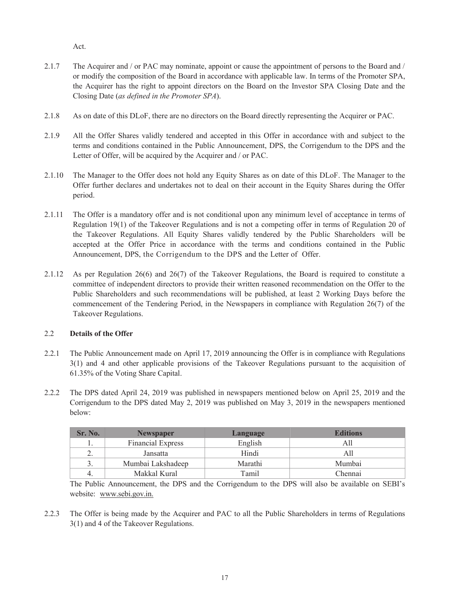Act.

- 2.1.7 The Acquirer and / or PAC may nominate, appoint or cause the appointment of persons to the Board and / or modify the composition of the Board in accordance with applicable law. In terms of the Promoter SPA, the Acquirer has the right to appoint directors on the Board on the Investor SPA Closing Date and the Closing Date (*as defined in the Promoter SPA*).
- 2.1.8 As on date of this DLoF, there are no directors on the Board directly representing the Acquirer or PAC.
- 2.1.9 All the Offer Shares validly tendered and accepted in this Offer in accordance with and subject to the terms and conditions contained in the Public Announcement, DPS, the Corrigendum to the DPS and the Letter of Offer, will be acquired by the Acquirer and / or PAC.
- 2.1.10 The Manager to the Offer does not hold any Equity Shares as on date of this DLoF. The Manager to the Offer further declares and undertakes not to deal on their account in the Equity Shares during the Offer period.
- 2.1.11 The Offer is a mandatory offer and is not conditional upon any minimum level of acceptance in terms of Regulation 19(1) of the Takeover Regulations and is not a competing offer in terms of Regulation 20 of the Takeover Regulations. All Equity Shares validly tendered by the Public Shareholders will be accepted at the Offer Price in accordance with the terms and conditions contained in the Public Announcement, DPS, the Corrigendum to the DPS and the Letter of Offer.
- 2.1.12 As per Regulation 26(6) and 26(7) of the Takeover Regulations, the Board is required to constitute a committee of independent directors to provide their written reasoned recommendation on the Offer to the Public Shareholders and such recommendations will be published, at least 2 Working Days before the commencement of the Tendering Period, in the Newspapers in compliance with Regulation 26(7) of the Takeover Regulations.

### 2.2 **Details of the Offer**

- 2.2.1 The Public Announcement made on April 17, 2019 announcing the Offer is in compliance with Regulations 3(1) and 4 and other applicable provisions of the Takeover Regulations pursuant to the acquisition of 61.35% of the Voting Share Capital.
- 2.2.2 The DPS dated April 24, 2019 was published in newspapers mentioned below on April 25, 2019 and the Corrigendum to the DPS dated May 2, 2019 was published on May 3, 2019 in the newspapers mentioned below:

| Sr. No. | <b>Newspaper</b>                    | <b>Language</b> | <b>Editions</b> |  |
|---------|-------------------------------------|-----------------|-----------------|--|
| .,      | English<br><b>Financial Express</b> |                 | All             |  |
| ۷,      | Jansatta                            | Hindi           | All             |  |
| . ر     | Mumbai Lakshadeep                   | Marathi         | Mumbai          |  |
| -4.     | Makkal Kural                        | Tamil           | Chennai         |  |

The Public Announcement, the DPS and the Corrigendum to the DPS will also be available on SEBI's website: www.sebi.gov.in.

2.2.3 The Offer is being made by the Acquirer and PAC to all the Public Shareholders in terms of Regulations 3(1) and 4 of the Takeover Regulations.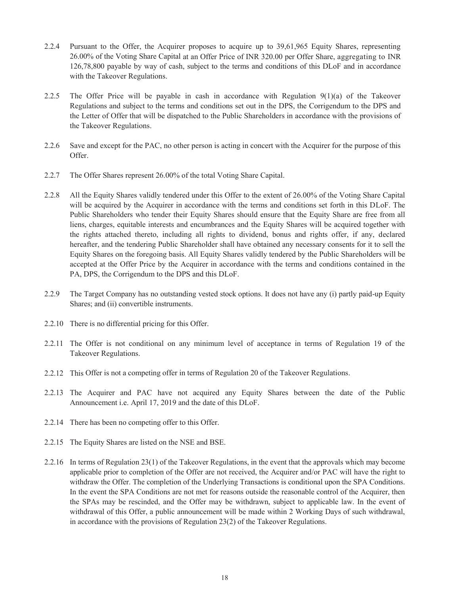- 2.2.4 Pursuant to the Offer, the Acquirer proposes to acquire up to 39,61,965 Equity Shares, representing 26.00% of the Voting Share Capital at an Offer Price of INR 320.00 per Offer Share, aggregating to INR 126,78,800 payable by way of cash, subject to the terms and conditions of this DLoF and in accordance with the Takeover Regulations.
- 2.2.5 The Offer Price will be payable in cash in accordance with Regulation  $9(1)(a)$  of the Takeover Regulations and subject to the terms and conditions set out in the DPS, the Corrigendum to the DPS and the Letter of Offer that will be dispatched to the Public Shareholders in accordance with the provisions of the Takeover Regulations.
- 2.2.6 Save and except for the PAC, no other person is acting in concert with the Acquirer for the purpose of this Offer.
- 2.2.7 The Offer Shares represent 26.00% of the total Voting Share Capital.
- 2.2.8 All the Equity Shares validly tendered under this Offer to the extent of 26.00% of the Voting Share Capital will be acquired by the Acquirer in accordance with the terms and conditions set forth in this DLoF. The Public Shareholders who tender their Equity Shares should ensure that the Equity Share are free from all liens, charges, equitable interests and encumbrances and the Equity Shares will be acquired together with the rights attached thereto, including all rights to dividend, bonus and rights offer, if any, declared hereafter, and the tendering Public Shareholder shall have obtained any necessary consents for it to sell the Equity Shares on the foregoing basis. All Equity Shares validly tendered by the Public Shareholders will be accepted at the Offer Price by the Acquirer in accordance with the terms and conditions contained in the PA, DPS, the Corrigendum to the DPS and this DLoF.
- 2.2.9 The Target Company has no outstanding vested stock options. It does not have any (i) partly paid-up Equity Shares; and (ii) convertible instruments.
- 2.2.10 There is no differential pricing for this Offer.
- 2.2.11 The Offer is not conditional on any minimum level of acceptance in terms of Regulation 19 of the Takeover Regulations.
- 2.2.12 This Offer is not a competing offer in terms of Regulation 20 of the Takeover Regulations.
- 2.2.13 The Acquirer and PAC have not acquired any Equity Shares between the date of the Public Announcement i.e. April 17, 2019 and the date of this DLoF.
- 2.2.14 There has been no competing offer to this Offer.
- 2.2.15 The Equity Shares are listed on the NSE and BSE.
- 2.2.16 In terms of Regulation 23(1) of the Takeover Regulations, in the event that the approvals which may become applicable prior to completion of the Offer are not received, the Acquirer and/or PAC will have the right to withdraw the Offer. The completion of the Underlying Transactions is conditional upon the SPA Conditions. In the event the SPA Conditions are not met for reasons outside the reasonable control of the Acquirer, then the SPAs may be rescinded, and the Offer may be withdrawn, subject to applicable law. In the event of withdrawal of this Offer, a public announcement will be made within 2 Working Days of such withdrawal, in accordance with the provisions of Regulation 23(2) of the Takeover Regulations.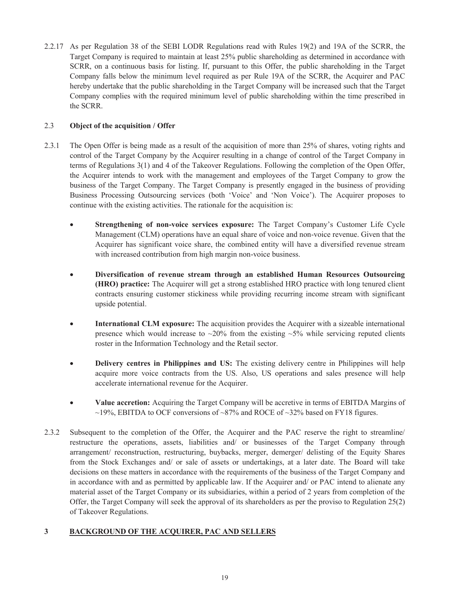2.2.17 As per Regulation 38 of the SEBI LODR Regulations read with Rules 19(2) and 19A of the SCRR, the Target Company is required to maintain at least 25% public shareholding as determined in accordance with SCRR, on a continuous basis for listing. If, pursuant to this Offer, the public shareholding in the Target Company falls below the minimum level required as per Rule 19A of the SCRR, the Acquirer and PAC hereby undertake that the public shareholding in the Target Company will be increased such that the Target Company complies with the required minimum level of public shareholding within the time prescribed in the SCRR.

# 2.3 **Object of the acquisition / Offer**

- 2.3.1 The Open Offer is being made as a result of the acquisition of more than 25% of shares, voting rights and control of the Target Company by the Acquirer resulting in a change of control of the Target Company in terms of Regulations 3(1) and 4 of the Takeover Regulations. Following the completion of the Open Offer, the Acquirer intends to work with the management and employees of the Target Company to grow the business of the Target Company. The Target Company is presently engaged in the business of providing Business Processing Outsourcing services (both 'Voice' and 'Non Voice'). The Acquirer proposes to continue with the existing activities. The rationale for the acquisition is:
	- · **Strengthening of non-voice services exposure:** The Target Company's Customer Life Cycle Management (CLM) operations have an equal share of voice and non-voice revenue. Given that the Acquirer has significant voice share, the combined entity will have a diversified revenue stream with increased contribution from high margin non-voice business.
	- · **Diversification of revenue stream through an established Human Resources Outsourcing (HRO) practice:** The Acquirer will get a strong established HRO practice with long tenured client contracts ensuring customer stickiness while providing recurring income stream with significant upside potential.
	- **International CLM exposure:** The acquisition provides the Acquirer with a sizeable international presence which would increase to  $\sim$ 20% from the existing  $\sim$ 5% while servicing reputed clients roster in the Information Technology and the Retail sector.
	- · **Delivery centres in Philippines and US:** The existing delivery centre in Philippines will help acquire more voice contracts from the US. Also, US operations and sales presence will help accelerate international revenue for the Acquirer.
	- · **Value accretion:** Acquiring the Target Company will be accretive in terms of EBITDA Margins of  $\sim$ 19%, EBITDA to OCF conversions of  $\sim$ 87% and ROCE of  $\sim$ 32% based on FY18 figures.
- 2.3.2 Subsequent to the completion of the Offer, the Acquirer and the PAC reserve the right to streamline/ restructure the operations, assets, liabilities and/ or businesses of the Target Company through arrangement/ reconstruction, restructuring, buybacks, merger, demerger/ delisting of the Equity Shares from the Stock Exchanges and/ or sale of assets or undertakings, at a later date. The Board will take decisions on these matters in accordance with the requirements of the business of the Target Company and in accordance with and as permitted by applicable law. If the Acquirer and/ or PAC intend to alienate any material asset of the Target Company or its subsidiaries, within a period of 2 years from completion of the Offer, the Target Company will seek the approval of its shareholders as per the proviso to Regulation 25(2) of Takeover Regulations.

# **3 BACKGROUND OF THE ACQUIRER, PAC AND SELLERS**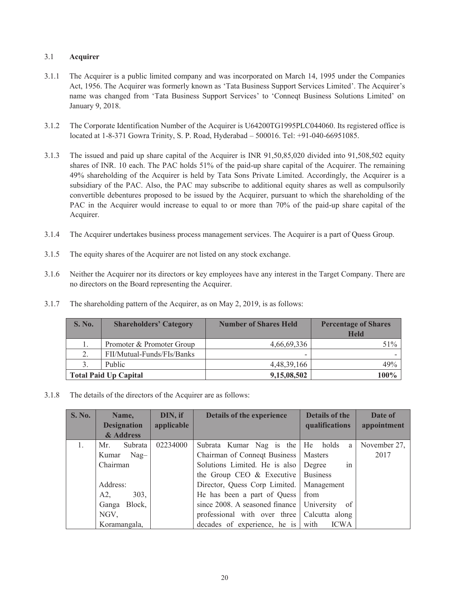# 3.1 **Acquirer**

- 3.1.1 The Acquirer is a public limited company and was incorporated on March 14, 1995 under the Companies Act, 1956. The Acquirer was formerly known as 'Tata Business Support Services Limited'. The Acquirer's name was changed from 'Tata Business Support Services' to 'Conneqt Business Solutions Limited' on January 9, 2018.
- 3.1.2 The Corporate Identification Number of the Acquirer is U64200TG1995PLC044060. Its registered office is located at 1-8-371 Gowra Trinity, S. P. Road, Hyderabad – 500016. Tel: +91-040-66951085.
- 3.1.3 The issued and paid up share capital of the Acquirer is INR 91,50,85,020 divided into 91,508,502 equity shares of INR. 10 each. The PAC holds 51% of the paid-up share capital of the Acquirer. The remaining 49% shareholding of the Acquirer is held by Tata Sons Private Limited. Accordingly, the Acquirer is a subsidiary of the PAC. Also, the PAC may subscribe to additional equity shares as well as compulsorily convertible debentures proposed to be issued by the Acquirer, pursuant to which the shareholding of the PAC in the Acquirer would increase to equal to or more than 70% of the paid-up share capital of the Acquirer.
- 3.1.4 The Acquirer undertakes business process management services. The Acquirer is a part of Quess Group.
- 3.1.5 The equity shares of the Acquirer are not listed on any stock exchange.
- 3.1.6 Neither the Acquirer nor its directors or key employees have any interest in the Target Company. There are no directors on the Board representing the Acquirer.
- 3.1.7 The shareholding pattern of the Acquirer, as on May 2, 2019, is as follows:

| <b>S. No.</b>                | <b>Shareholders' Category</b> | <b>Number of Shares Held</b> | <b>Percentage of Shares</b><br><b>Held</b> |
|------------------------------|-------------------------------|------------------------------|--------------------------------------------|
|                              | Promoter & Promoter Group     | 4,66,69,336                  | 51%                                        |
| 2.                           | FII/Mutual-Funds/FIs/Banks    |                              |                                            |
| 3.                           | Public                        | 4,48,39,166                  | 49%                                        |
| <b>Total Paid Up Capital</b> |                               | 9,15,08,502                  | 100%                                       |

3.1.8 The details of the directors of the Acquirer are as follows:

| <b>S. No.</b> | Name,              | DIN, if    | Details of the experience         | <b>Details of the</b> | Date of      |
|---------------|--------------------|------------|-----------------------------------|-----------------------|--------------|
|               | <b>Designation</b> | applicable |                                   | qualifications        | appointment  |
|               | & Address          |            |                                   |                       |              |
| 1.            | Subrata<br>Mr.     | 02234000   | Subrata Kumar Nag is the He holds | a                     | November 27, |
|               | Nag-<br>Kumar      |            | Chairman of Connect Business      | <b>Masters</b>        | 2017         |
|               | Chairman           |            | Solutions Limited. He is also     | Degree<br>1n          |              |
|               |                    |            | the Group CEO $&$ Executive       | <b>Business</b>       |              |
|               | Address:           |            | Director, Quess Corp Limited.     | Management            |              |
|               | 303,<br>A2         |            | He has been a part of Quess       | from                  |              |
|               | Ganga Block,       |            | since 2008. A seasoned finance    | University<br>of      |              |
|               | NGV,               |            | professional with over three      | Calcutta along        |              |
|               | Koramangala,       |            | decades of experience, he is      | with<br><b>ICWA</b>   |              |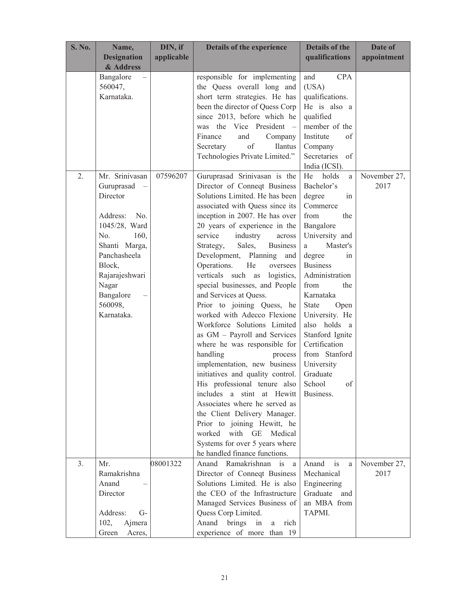| <b>S. No.</b>  | Name,                   | DIN, if    | Details of the experience                    | <b>Details of the</b>           | Date of      |
|----------------|-------------------------|------------|----------------------------------------------|---------------------------------|--------------|
|                | <b>Designation</b>      | applicable |                                              | qualifications                  | appointment  |
|                | & Address               |            |                                              |                                 |              |
|                | Bangalore               |            | responsible for implementing                 | <b>CPA</b><br>and               |              |
|                | 560047,                 |            | the Quess overall long and                   | (USA)                           |              |
|                | Karnataka.              |            | short term strategies. He has                | qualifications.                 |              |
|                |                         |            | been the director of Quess Corp              | He is also a                    |              |
|                |                         |            | since 2013, before which he                  | qualified                       |              |
|                |                         |            | was the Vice President -                     | member of the                   |              |
|                |                         |            | Finance<br>and<br>Company                    | Institute<br>of                 |              |
|                |                         |            | of<br>Ilantus<br>Secretary                   | Company                         |              |
|                |                         |            | Technologies Private Limited."               | Secretaries of                  |              |
|                |                         |            |                                              | India (ICSI).                   |              |
| 2.             | Mr. Srinivasan          | 07596207   | Guruprasad Srinivasan is the                 | holds<br>He<br>a                | November 27, |
|                | Guruprasad              |            | Director of Conneqt Business                 | Bachelor's                      | 2017         |
|                | Director                |            | Solutions Limited. He has been               | degree<br>in                    |              |
|                |                         |            | associated with Quess since its              | Commerce                        |              |
|                | Address: No.            |            | inception in 2007. He has over               | from<br>the                     |              |
|                | 1045/28, Ward           |            | 20 years of experience in the                | Bangalore                       |              |
|                | 160,<br>No.             |            | service<br>industry<br>across                | University and                  |              |
|                | Shanti Marga,           |            | Sales,<br>Strategy,<br><b>Business</b>       | Master's<br>a                   |              |
|                | Panchasheela            |            | Development, Planning and<br>He              | degree<br>in<br><b>Business</b> |              |
|                | Block,                  |            | Operations.<br>oversees<br>verticals such as | Administration                  |              |
|                | Rajarajeshwari<br>Nagar |            | logistics,<br>special businesses, and People | from<br>the                     |              |
|                | Bangalore               |            | and Services at Quess.                       | Karnataka                       |              |
|                | 560098,                 |            | Prior to joining Quess, he                   | <b>State</b><br>Open            |              |
|                | Karnataka.              |            | worked with Adecco Flexione                  | University. He                  |              |
|                |                         |            | Workforce Solutions Limited                  | also holds a                    |              |
|                |                         |            | as GM - Payroll and Services                 | Stanford Ignite                 |              |
|                |                         |            | where he was responsible for                 | Certification                   |              |
|                |                         |            | handling<br>process                          | from Stanford                   |              |
|                |                         |            | implementation, new business                 | University                      |              |
|                |                         |            | initiatives and quality control.             | Graduate                        |              |
|                |                         |            | His professional tenure also                 | School<br>of                    |              |
|                |                         |            | includes a stint at Hewitt                   | Business.                       |              |
|                |                         |            | Associates where he served as                |                                 |              |
|                |                         |            | the Client Delivery Manager.                 |                                 |              |
|                |                         |            | Prior to joining Hewitt, he                  |                                 |              |
|                |                         |            | with GE<br>worked<br>Medical                 |                                 |              |
|                |                         |            | Systems for over 5 years where               |                                 |              |
|                |                         |            | he handled finance functions.                |                                 |              |
| 3 <sub>1</sub> | Mr.                     | 08001322   | Ramakrishnan<br>Anand<br>is<br>a             | is<br>Anand<br>a                | November 27, |
|                | Ramakrishna             |            | Director of Conneqt Business                 | Mechanical                      | 2017         |
|                | Anand                   |            | Solutions Limited. He is also                | Engineering                     |              |
|                | Director                |            | the CEO of the Infrastructure                | Graduate<br>and                 |              |
|                |                         |            | Managed Services Business of                 | an MBA from                     |              |
|                | Address:<br>$G-$        |            | Quess Corp Limited.                          | TAPMI.                          |              |
|                | 102,<br>Ajmera          |            | Anand<br>brings<br>in<br>rich<br>a           |                                 |              |
|                | Green<br>Acres,         |            | experience of more than 19                   |                                 |              |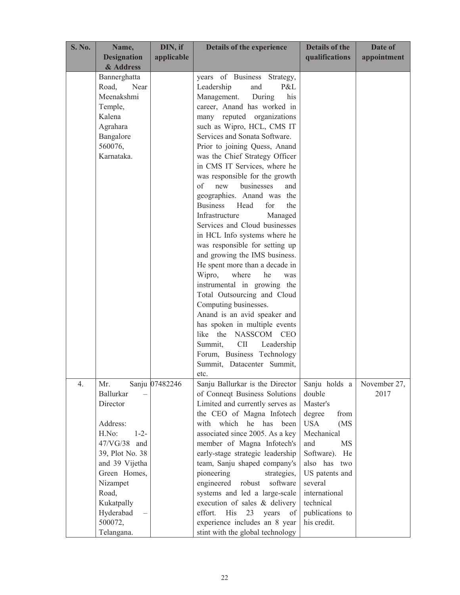| <b>S. No.</b> | Name,              | DIN, if        | <b>Details of the experience</b>      | <b>Details of the</b> | Date of      |
|---------------|--------------------|----------------|---------------------------------------|-----------------------|--------------|
|               | <b>Designation</b> | applicable     |                                       | qualifications        | appointment  |
|               | & Address          |                |                                       |                       |              |
|               | Bannerghatta       |                | years of Business<br>Strategy,        |                       |              |
|               | Road,<br>Near      |                | Leadership<br>P&L<br>and              |                       |              |
|               | Meenakshmi         |                | Management.<br>During<br>his          |                       |              |
|               | Temple,            |                | career, Anand has worked in           |                       |              |
|               | Kalena             |                | many reputed organizations            |                       |              |
|               | Agrahara           |                | such as Wipro, HCL, CMS IT            |                       |              |
|               | Bangalore          |                | Services and Sonata Software.         |                       |              |
|               | 560076,            |                | Prior to joining Quess, Anand         |                       |              |
|               | Karnataka.         |                | was the Chief Strategy Officer        |                       |              |
|               |                    |                | in CMS IT Services, where he          |                       |              |
|               |                    |                | was responsible for the growth        |                       |              |
|               |                    |                | of<br>new<br>businesses<br>and        |                       |              |
|               |                    |                | geographies. Anand was the            |                       |              |
|               |                    |                | <b>Business</b><br>Head<br>for<br>the |                       |              |
|               |                    |                | Infrastructure<br>Managed             |                       |              |
|               |                    |                | Services and Cloud businesses         |                       |              |
|               |                    |                | in HCL Info systems where he          |                       |              |
|               |                    |                | was responsible for setting up        |                       |              |
|               |                    |                | and growing the IMS business.         |                       |              |
|               |                    |                | He spent more than a decade in        |                       |              |
|               |                    |                | Wipro,<br>where<br>he<br>was          |                       |              |
|               |                    |                | instrumental in growing the           |                       |              |
|               |                    |                | Total Outsourcing and Cloud           |                       |              |
|               |                    |                | Computing businesses.                 |                       |              |
|               |                    |                | Anand is an avid speaker and          |                       |              |
|               |                    |                | has spoken in multiple events         |                       |              |
|               |                    |                | the<br>like<br>NASSCOM CEO            |                       |              |
|               |                    |                | <b>CII</b><br>Summit,<br>Leadership   |                       |              |
|               |                    |                | Forum, Business Technology            |                       |              |
|               |                    |                | Summit, Datacenter Summit,            |                       |              |
|               |                    |                | etc.                                  |                       |              |
| 4.            | Mr.                | Sanju 07482246 | Sanju Ballurkar is the Director       | Sanju holds a         | November 27, |
|               | Ballurkar          |                | of Conneqt Business Solutions         | double                | 2017         |
|               | Director           |                | Limited and currently serves as       | Master's              |              |
|               |                    |                | the CEO of Magna Infotech             | degree<br>from        |              |
|               | Address:           |                | with which he<br>has<br>been          | <b>USA</b><br>(MS)    |              |
|               | H.No:<br>$1 - 2 -$ |                | associated since 2005. As a key       | Mechanical            |              |
|               | 47/VG/38 and       |                | member of Magna Infotech's            | and<br><b>MS</b>      |              |
|               | 39, Plot No. 38    |                | early-stage strategic leadership      | Software). He         |              |
|               | and 39 Vijetha     |                | team, Sanju shaped company's          | also has two          |              |
|               | Green Homes,       |                | pioneering<br>strategies,             | US patents and        |              |
|               | Nizampet           |                | engineered<br>robust<br>software      | several               |              |
|               | Road,              |                | systems and led a large-scale         | international         |              |
|               | Kukatpally         |                | execution of sales & delivery         | technical             |              |
|               | Hyderabad          |                | His<br>effort.<br>23<br>years<br>of   | publications to       |              |
|               | 500072,            |                | experience includes an 8 year         | his credit.           |              |
|               | Telangana.         |                | stint with the global technology      |                       |              |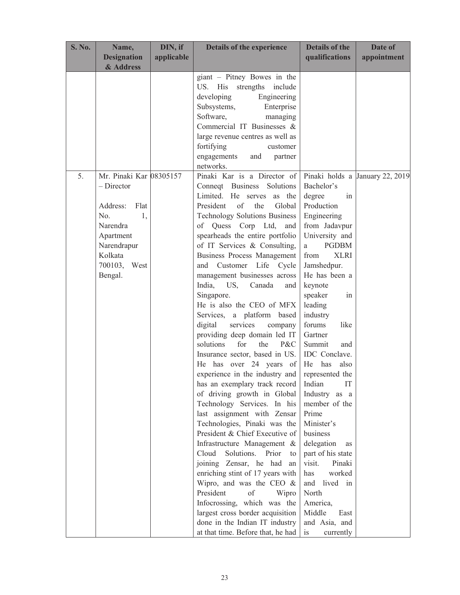| <b>Designation</b><br>qualifications<br>applicable<br>& Address<br>giant - Pitney Bowes in the<br>US. His<br>strengths<br>include<br>developing<br>Engineering<br>Subsystems,<br>Enterprise<br>Software,<br>managing<br>Commercial IT Businesses &<br>large revenue centres as well as<br>fortifying<br>customer<br>engagements<br>and<br>partner<br>networks.<br>Pinaki Kar is a Director of<br>5.<br>Mr. Pinaki Kar 08305157<br>Pinaki holds a January 22, 2019<br>$-$ Director<br>Bachelor's<br>Connect Business<br>Solutions<br>Limited. He serves<br>as the<br>degree<br>in<br>President<br>Production<br>of<br>the<br>Global<br>Address:<br>Flat<br>No.<br><b>Technology Solutions Business</b><br>1,<br>Engineering<br>Narendra<br>of Quess Corp Ltd,<br>from Jadavpur<br>and<br>spearheads the entire portfolio<br>University and<br>Apartment<br>Narendrapur<br>of IT Services & Consulting,<br><b>PGDBM</b><br>a<br>Kolkata<br><b>Business Process Management</b><br><b>XLRI</b><br>from<br>700103, West<br>Customer Life Cycle<br>Jamshedpur.<br>and<br>He has been a<br>Bengal.<br>management businesses across<br>keynote<br>India,<br>US,<br>Canada<br>and<br>speaker<br>Singapore.<br>in<br>He is also the CEO of MFX<br>leading<br>Services, a platform based<br>industry<br>services<br>digital<br>forums<br>company<br>like<br>providing deep domain led IT<br>Gartner<br>for<br>the<br>solutions<br>P&C<br>Summit<br>and<br>Insurance sector, based in US.<br>IDC Conclave.<br>He has over 24 years of<br>He has<br>also<br>experience in the industry and<br>represented the | <b>S. No.</b> | Name, | DIN, if | Details of the experience     | <b>Details of the</b> | Date of     |
|--------------------------------------------------------------------------------------------------------------------------------------------------------------------------------------------------------------------------------------------------------------------------------------------------------------------------------------------------------------------------------------------------------------------------------------------------------------------------------------------------------------------------------------------------------------------------------------------------------------------------------------------------------------------------------------------------------------------------------------------------------------------------------------------------------------------------------------------------------------------------------------------------------------------------------------------------------------------------------------------------------------------------------------------------------------------------------------------------------------------------------------------------------------------------------------------------------------------------------------------------------------------------------------------------------------------------------------------------------------------------------------------------------------------------------------------------------------------------------------------------------------------------------------------------------------------------------------------------|---------------|-------|---------|-------------------------------|-----------------------|-------------|
|                                                                                                                                                                                                                                                                                                                                                                                                                                                                                                                                                                                                                                                                                                                                                                                                                                                                                                                                                                                                                                                                                                                                                                                                                                                                                                                                                                                                                                                                                                                                                                                                  |               |       |         |                               |                       | appointment |
|                                                                                                                                                                                                                                                                                                                                                                                                                                                                                                                                                                                                                                                                                                                                                                                                                                                                                                                                                                                                                                                                                                                                                                                                                                                                                                                                                                                                                                                                                                                                                                                                  |               |       |         |                               |                       |             |
| of driving growth in Global<br>Industry as a<br>Technology Services. In his<br>member of the<br>last assignment with Zensar<br>Prime<br>Minister's<br>Technologies, Pinaki was the<br>President & Chief Executive of<br>business<br>Infrastructure Management &<br>delegation<br>as<br>Cloud<br>Solutions. Prior<br>part of his state<br>to<br>joining Zensar, he had<br>visit.<br>Pinaki<br>an<br>enriching stint of 17 years with<br>worked<br>has<br>Wipro, and was the CEO $\&$<br>and lived in<br>President<br>North<br>of<br>Wipro<br>Infocrossing, which was the<br>America,<br>largest cross border acquisition<br>Middle<br>East<br>done in the Indian IT industry<br>and Asia, and<br>at that time. Before that, he had<br>is<br>currently                                                                                                                                                                                                                                                                                                                                                                                                                                                                                                                                                                                                                                                                                                                                                                                                                                             |               |       |         | has an exemplary track record | Indian<br>IT          |             |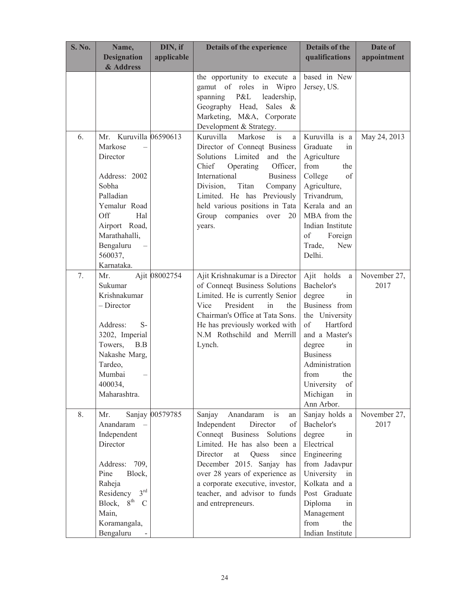| <b>S. No.</b> | Name,                                                                                                                                                                                                                                                                                                | DIN, if                          | <b>Details of the experience</b>                                                                                                                                                                                                                                                            | <b>Details of the</b>                                                                                                                                                                                                                                                                        | Date of                              |
|---------------|------------------------------------------------------------------------------------------------------------------------------------------------------------------------------------------------------------------------------------------------------------------------------------------------------|----------------------------------|---------------------------------------------------------------------------------------------------------------------------------------------------------------------------------------------------------------------------------------------------------------------------------------------|----------------------------------------------------------------------------------------------------------------------------------------------------------------------------------------------------------------------------------------------------------------------------------------------|--------------------------------------|
|               | <b>Designation</b><br>& Address                                                                                                                                                                                                                                                                      | applicable                       |                                                                                                                                                                                                                                                                                             | qualifications                                                                                                                                                                                                                                                                               | appointment                          |
|               |                                                                                                                                                                                                                                                                                                      |                                  | the opportunity to execute a                                                                                                                                                                                                                                                                | based in New                                                                                                                                                                                                                                                                                 |                                      |
|               |                                                                                                                                                                                                                                                                                                      |                                  | gamut of roles<br>in Wipro                                                                                                                                                                                                                                                                  | Jersey, US.                                                                                                                                                                                                                                                                                  |                                      |
|               |                                                                                                                                                                                                                                                                                                      |                                  | P&L<br>leadership,<br>spanning                                                                                                                                                                                                                                                              |                                                                                                                                                                                                                                                                                              |                                      |
|               |                                                                                                                                                                                                                                                                                                      |                                  | Geography Head,<br>Sales &                                                                                                                                                                                                                                                                  |                                                                                                                                                                                                                                                                                              |                                      |
|               |                                                                                                                                                                                                                                                                                                      |                                  | Marketing, M&A, Corporate                                                                                                                                                                                                                                                                   |                                                                                                                                                                                                                                                                                              |                                      |
| 6.            | Mr. Kuruvilla 06590613                                                                                                                                                                                                                                                                               |                                  | Development & Strategy.<br>Kuruvilla<br>Markose<br>is<br>a                                                                                                                                                                                                                                  | Kuruvilla is a                                                                                                                                                                                                                                                                               | May 24, 2013                         |
|               | Markose                                                                                                                                                                                                                                                                                              |                                  | Director of Conneqt Business                                                                                                                                                                                                                                                                | Graduate<br>in                                                                                                                                                                                                                                                                               |                                      |
|               | Director                                                                                                                                                                                                                                                                                             |                                  | Solutions Limited<br>and the                                                                                                                                                                                                                                                                | Agriculture                                                                                                                                                                                                                                                                                  |                                      |
|               |                                                                                                                                                                                                                                                                                                      |                                  | Operating<br>Chief<br>Officer,                                                                                                                                                                                                                                                              | from<br>the                                                                                                                                                                                                                                                                                  |                                      |
|               | Address: 2002                                                                                                                                                                                                                                                                                        |                                  | International<br><b>Business</b>                                                                                                                                                                                                                                                            | College<br>of                                                                                                                                                                                                                                                                                |                                      |
|               | Sobha                                                                                                                                                                                                                                                                                                |                                  | Division,<br>Titan<br>Company                                                                                                                                                                                                                                                               | Agriculture,                                                                                                                                                                                                                                                                                 |                                      |
|               | Palladian                                                                                                                                                                                                                                                                                            |                                  | Limited. He has Previously                                                                                                                                                                                                                                                                  | Trivandrum,                                                                                                                                                                                                                                                                                  |                                      |
|               | Yemalur Road                                                                                                                                                                                                                                                                                         |                                  | held various positions in Tata                                                                                                                                                                                                                                                              | Kerala and an                                                                                                                                                                                                                                                                                |                                      |
|               | Off<br>Hal                                                                                                                                                                                                                                                                                           |                                  | Group companies over<br>20                                                                                                                                                                                                                                                                  | MBA from the                                                                                                                                                                                                                                                                                 |                                      |
|               | Airport Road,                                                                                                                                                                                                                                                                                        |                                  | years.                                                                                                                                                                                                                                                                                      | Indian Institute                                                                                                                                                                                                                                                                             |                                      |
|               | Marathahalli,                                                                                                                                                                                                                                                                                        |                                  |                                                                                                                                                                                                                                                                                             | Foreign<br>of                                                                                                                                                                                                                                                                                |                                      |
|               | Bengaluru                                                                                                                                                                                                                                                                                            |                                  |                                                                                                                                                                                                                                                                                             | Trade,<br><b>New</b>                                                                                                                                                                                                                                                                         |                                      |
|               | 560037,<br>Karnataka.                                                                                                                                                                                                                                                                                |                                  |                                                                                                                                                                                                                                                                                             | Delhi.                                                                                                                                                                                                                                                                                       |                                      |
|               |                                                                                                                                                                                                                                                                                                      |                                  |                                                                                                                                                                                                                                                                                             |                                                                                                                                                                                                                                                                                              |                                      |
|               |                                                                                                                                                                                                                                                                                                      |                                  |                                                                                                                                                                                                                                                                                             |                                                                                                                                                                                                                                                                                              |                                      |
|               |                                                                                                                                                                                                                                                                                                      |                                  |                                                                                                                                                                                                                                                                                             |                                                                                                                                                                                                                                                                                              |                                      |
|               | $-$ Director                                                                                                                                                                                                                                                                                         |                                  | President<br>Vice<br>in<br>the                                                                                                                                                                                                                                                              | Business from                                                                                                                                                                                                                                                                                |                                      |
|               |                                                                                                                                                                                                                                                                                                      |                                  | Chairman's Office at Tata Sons.                                                                                                                                                                                                                                                             | the University                                                                                                                                                                                                                                                                               |                                      |
|               | Address:<br>$S-$                                                                                                                                                                                                                                                                                     |                                  | He has previously worked with                                                                                                                                                                                                                                                               | of<br>Hartford                                                                                                                                                                                                                                                                               |                                      |
|               | 3202, Imperial                                                                                                                                                                                                                                                                                       |                                  | N.M Rothschild and Merrill                                                                                                                                                                                                                                                                  | and a Master's                                                                                                                                                                                                                                                                               |                                      |
|               |                                                                                                                                                                                                                                                                                                      |                                  |                                                                                                                                                                                                                                                                                             | in                                                                                                                                                                                                                                                                                           |                                      |
|               |                                                                                                                                                                                                                                                                                                      |                                  |                                                                                                                                                                                                                                                                                             |                                                                                                                                                                                                                                                                                              |                                      |
|               |                                                                                                                                                                                                                                                                                                      |                                  |                                                                                                                                                                                                                                                                                             |                                                                                                                                                                                                                                                                                              |                                      |
|               |                                                                                                                                                                                                                                                                                                      |                                  |                                                                                                                                                                                                                                                                                             |                                                                                                                                                                                                                                                                                              |                                      |
|               |                                                                                                                                                                                                                                                                                                      |                                  |                                                                                                                                                                                                                                                                                             |                                                                                                                                                                                                                                                                                              |                                      |
|               |                                                                                                                                                                                                                                                                                                      |                                  |                                                                                                                                                                                                                                                                                             |                                                                                                                                                                                                                                                                                              |                                      |
|               |                                                                                                                                                                                                                                                                                                      |                                  |                                                                                                                                                                                                                                                                                             |                                                                                                                                                                                                                                                                                              |                                      |
|               | Anandaram                                                                                                                                                                                                                                                                                            |                                  | Director<br>of                                                                                                                                                                                                                                                                              | Bachelor's                                                                                                                                                                                                                                                                                   | 2017                                 |
|               |                                                                                                                                                                                                                                                                                                      |                                  |                                                                                                                                                                                                                                                                                             | in                                                                                                                                                                                                                                                                                           |                                      |
|               | Director                                                                                                                                                                                                                                                                                             |                                  | Limited. He has also been a                                                                                                                                                                                                                                                                 | Electrical                                                                                                                                                                                                                                                                                   |                                      |
|               |                                                                                                                                                                                                                                                                                                      |                                  | Director<br>at<br>Quess<br>since                                                                                                                                                                                                                                                            | Engineering                                                                                                                                                                                                                                                                                  |                                      |
|               | Address: 709,                                                                                                                                                                                                                                                                                        |                                  | December 2015. Sanjay has                                                                                                                                                                                                                                                                   | from Jadavpur                                                                                                                                                                                                                                                                                |                                      |
|               | Pine                                                                                                                                                                                                                                                                                                 |                                  | over 28 years of experience as                                                                                                                                                                                                                                                              | University<br>in                                                                                                                                                                                                                                                                             |                                      |
|               |                                                                                                                                                                                                                                                                                                      |                                  |                                                                                                                                                                                                                                                                                             |                                                                                                                                                                                                                                                                                              |                                      |
|               |                                                                                                                                                                                                                                                                                                      |                                  |                                                                                                                                                                                                                                                                                             |                                                                                                                                                                                                                                                                                              |                                      |
|               |                                                                                                                                                                                                                                                                                                      |                                  |                                                                                                                                                                                                                                                                                             |                                                                                                                                                                                                                                                                                              |                                      |
|               |                                                                                                                                                                                                                                                                                                      |                                  |                                                                                                                                                                                                                                                                                             |                                                                                                                                                                                                                                                                                              |                                      |
|               |                                                                                                                                                                                                                                                                                                      |                                  |                                                                                                                                                                                                                                                                                             |                                                                                                                                                                                                                                                                                              |                                      |
| 7.<br>8.      | Mr.<br>Sukumar<br>Krishnakumar<br>Towers,<br>B.B<br>Nakashe Marg,<br>Tardeo,<br>Mumbai<br>$\qquad \qquad -$<br>400034,<br>Maharashtra.<br>Mr.<br>Independent<br>Block,<br>Raheja<br>3 <sup>rd</sup><br>Residency<br>$8^{\text{th}}$<br>Block,<br>$\mathcal{C}$<br>Main,<br>Koramangala,<br>Bengaluru | Ajit 08002754<br>Sanjay 00579785 | Ajit Krishnakumar is a Director<br>of Conneqt Business Solutions<br>Limited. He is currently Senior<br>Lynch.<br>Sanjay<br>Anandaram<br>is<br>an<br>Independent<br>Connect Business<br>Solutions<br>a corporate executive, investor,<br>teacher, and advisor to funds<br>and entrepreneurs. | Ajit holds a<br>Bachelor's<br>degree<br>in<br>degree<br><b>Business</b><br>Administration<br>from<br>the<br>of<br>University<br>Michigan<br>in<br>Ann Arbor.<br>Sanjay holds a<br>degree<br>Kolkata and a<br>Post Graduate<br>Diploma<br>in<br>Management<br>from<br>the<br>Indian Institute | November 27,<br>2017<br>November 27, |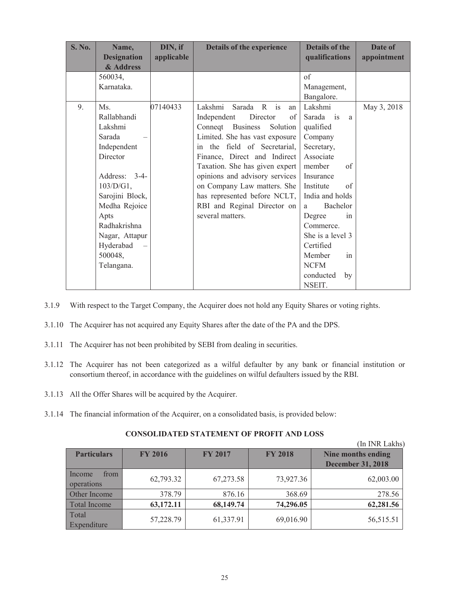| <b>S. No.</b> | Name,              | DIN, if    | Details of the experience       | <b>Details of the</b>     | Date of     |
|---------------|--------------------|------------|---------------------------------|---------------------------|-------------|
|               | <b>Designation</b> | applicable |                                 | qualifications            | appointment |
|               | & Address          |            |                                 |                           |             |
|               | 560034,            |            |                                 | of                        |             |
|               | Karnataka.         |            |                                 | Management,               |             |
|               |                    |            |                                 | Bangalore.                |             |
| 9.            | Ms.                | 07140433   | Lakshmi<br>Sarada R is<br>an    | Lakshmi                   | May 3, 2018 |
|               | Rallabhandi        |            | Independent<br>Director<br>of   | Sarada is<br>a            |             |
|               | Lakshmi            |            | Connect Business<br>Solution    | qualified                 |             |
|               | Sarada             |            | Limited. She has vast exposure  | Company                   |             |
|               | Independent        |            | the field of Secretarial,<br>in | Secretary,                |             |
|               | Director           |            | Finance, Direct and Indirect    | Associate                 |             |
|               |                    |            | Taxation. She has given expert  | member<br>of              |             |
|               | Address: 3-4-      |            | opinions and advisory services  | Insurance                 |             |
|               | $103/D/G1$ ,       |            | on Company Law matters. She     | Institute<br>of           |             |
|               | Sarojini Block,    |            | has represented before NCLT,    | India and holds           |             |
|               | Medha Rejoice      |            | RBI and Reginal Director on     | Bachelor<br>a             |             |
|               | Apts               |            | several matters.                | Degree<br>in              |             |
|               | Radhakrishna       |            |                                 | Commerce.                 |             |
|               | Nagar, Attapur     |            |                                 | She is a level 3          |             |
|               | Hyderabad          |            |                                 | Certified                 |             |
|               | 500048,            |            |                                 | Member<br>in              |             |
|               | Telangana.         |            |                                 | <b>NCFM</b>               |             |
|               |                    |            |                                 | conducted<br>by<br>NSEIT. |             |

- 3.1.9 With respect to the Target Company, the Acquirer does not hold any Equity Shares or voting rights.
- 3.1.10 The Acquirer has not acquired any Equity Shares after the date of the PA and the DPS.
- 3.1.11 The Acquirer has not been prohibited by SEBI from dealing in securities.
- 3.1.12 The Acquirer has not been categorized as a wilful defaulter by any bank or financial institution or consortium thereof, in accordance with the guidelines on wilful defaulters issued by the RBI.
- 3.1.13 All the Offer Shares will be acquired by the Acquirer.
- 3.1.14 The financial information of the Acquirer, on a consolidated basis, is provided below:

|                              |                |                |                | (In INR Lakhs)           |
|------------------------------|----------------|----------------|----------------|--------------------------|
| <b>Particulars</b>           | <b>FY 2016</b> | <b>FY 2017</b> | <b>FY 2018</b> | Nine months ending       |
|                              |                |                |                | <b>December 31, 2018</b> |
| Income<br>from<br>operations | 62,793.32      | 67,273.58      | 73,927.36      | 62,003.00                |
| Other Income                 | 378.79         | 876.16         | 368.69         | 278.56                   |
| <b>Total Income</b>          | 63,172.11      | 68,149.74      | 74,296.05      | 62,281.56                |
| Total<br>Expenditure         | 57,228.79      | 61,337.91      | 69,016.90      | 56,515.51                |

# **CONSOLIDATED STATEMENT OF PROFIT AND LOSS**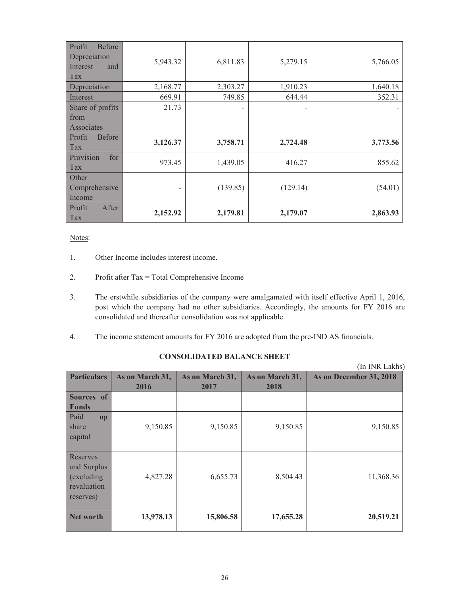| Profit<br><b>Before</b><br>Depreciation<br>Interest<br>and<br>Tax | 5,943.32 | 6,811.83 | 5,279.15 | 5,766.05 |
|-------------------------------------------------------------------|----------|----------|----------|----------|
| Depreciation                                                      | 2,168.77 | 2,303.27 | 1,910.23 | 1,640.18 |
| Interest                                                          | 669.91   | 749.85   | 644.44   | 352.31   |
| Share of profits                                                  | 21.73    |          |          |          |
| from                                                              |          |          |          |          |
| Associates                                                        |          |          |          |          |
| Profit<br><b>Before</b><br>Tax                                    | 3,126.37 | 3,758.71 | 2,724.48 | 3,773.56 |
| Provision<br>for<br>Tax                                           | 973.45   | 1,439.05 | 416.27   | 855.62   |
| Other<br>Comprehensive                                            |          | (139.85) | (129.14) | (54.01)  |
| Income                                                            |          |          |          |          |

### Notes:

- 1. Other Income includes interest income.
- 2. Profit after Tax = Total Comprehensive Income
- 3. The erstwhile subsidiaries of the company were amalgamated with itself effective April 1, 2016, post which the company had no other subsidiaries. Accordingly, the amounts for FY 2016 are consolidated and thereafter consolidation was not applicable.
- 4. The income statement amounts for FY 2016 are adopted from the pre-IND AS financials.

|                                                                    |                         |                         |                         | (In INR Lakhs)          |
|--------------------------------------------------------------------|-------------------------|-------------------------|-------------------------|-------------------------|
| <b>Particulars</b>                                                 | As on March 31,<br>2016 | As on March 31,<br>2017 | As on March 31,<br>2018 | As on December 31, 2018 |
| Sources of<br><b>Funds</b>                                         |                         |                         |                         |                         |
| Paid<br>up<br>share<br>capital                                     | 9,150.85                | 9,150.85                | 9,150.85                | 9,150.85                |
| Reserves<br>and Surplus<br>(excluding)<br>revaluation<br>reserves) | 4,827.28                | 6,655.73                | 8,504.43                | 11,368.36               |
| <b>Net worth</b>                                                   | 13,978.13               | 15,806.58               | 17,655.28               | 20,519.21               |

# **CONSOLIDATED BALANCE SHEET**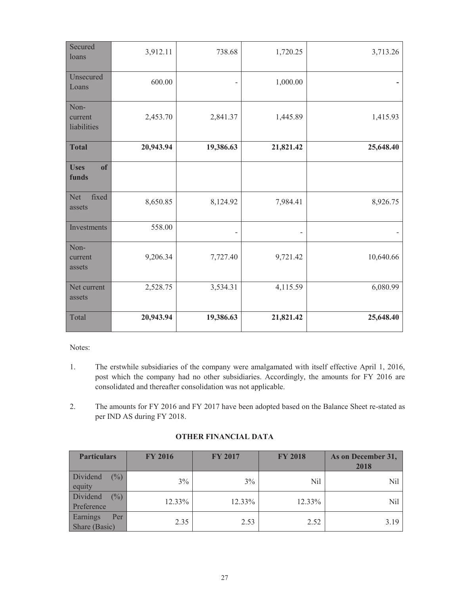| Secured<br>loans                  | 3,912.11  | 738.68    | 1,720.25                 | 3,713.26  |
|-----------------------------------|-----------|-----------|--------------------------|-----------|
| Unsecured<br>Loans                | 600.00    |           | 1,000.00                 |           |
| Non-<br>current<br>liabilities    | 2,453.70  | 2,841.37  | 1,445.89                 | 1,415.93  |
| <b>Total</b>                      | 20,943.94 | 19,386.63 | 21,821.42                | 25,648.40 |
| <b>of</b><br><b>Uses</b><br>funds |           |           |                          |           |
| fixed<br><b>Net</b><br>assets     | 8,650.85  | 8,124.92  | 7,984.41                 | 8,926.75  |
| Investments                       | 558.00    |           | $\overline{\phantom{a}}$ |           |
| Non-<br>current<br>assets         | 9,206.34  | 7,727.40  | 9,721.42                 | 10,640.66 |
| Net current<br>assets             | 2,528.75  | 3,534.31  | 4,115.59                 | 6,080.99  |
| Total                             | 20,943.94 | 19,386.63 | 21,821.42                | 25,648.40 |

Notes:

- 1. The erstwhile subsidiaries of the company were amalgamated with itself effective April 1, 2016, post which the company had no other subsidiaries. Accordingly, the amounts for FY 2016 are consolidated and thereafter consolidation was not applicable.
- 2. The amounts for FY 2016 and FY 2017 have been adopted based on the Balance Sheet re-stated as per IND AS during FY 2018.

# **OTHER FINANCIAL DATA**

| <b>Particulars</b>                                      | <b>FY 2016</b> | <b>FY 2017</b> | <b>FY 2018</b> | As on December 31,<br>2018 |
|---------------------------------------------------------|----------------|----------------|----------------|----------------------------|
| $\left(\frac{0}{0}\right)$<br><b>Dividend</b><br>equity | 3%             | 3%             | Nil            | Nil                        |
| Dividend<br>$\overline{(^{0}_{0}})$<br>Preference       | 12.33%         | 12.33%         | 12.33%         | Nil                        |
| Earnings<br>Per<br>Share (Basic)                        | 2.35           | 2.53           | 2.52           | 3.19                       |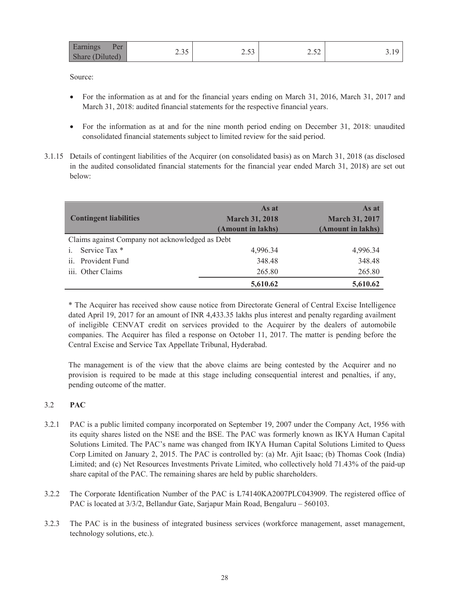| Earnings<br>Per  | $\sim$ $\sim$ $\sim$ | $\sim$ $\sim$ | $\sim$                   |          |
|------------------|----------------------|---------------|--------------------------|----------|
| Share<br>duted). | ں رہے۔               | ر ر. ے        | $\overline{\phantom{a}}$ | <u>.</u> |

Source:

- For the information as at and for the financial years ending on March 31, 2016, March 31, 2017 and March 31, 2018: audited financial statements for the respective financial years.
- For the information as at and for the nine month period ending on December 31, 2018: unaudited consolidated financial statements subject to limited review for the said period.
- 3.1.15 Details of contingent liabilities of the Acquirer (on consolidated basis) as on March 31, 2018 (as disclosed in the audited consolidated financial statements for the financial year ended March 31, 2018) are set out below:

| <b>Contingent liabilities</b>                   | As at<br><b>March 31, 2018</b><br>(Amount in lakhs) | As at<br><b>March 31, 2017</b><br>(Amount in lakhs) |  |  |
|-------------------------------------------------|-----------------------------------------------------|-----------------------------------------------------|--|--|
| Claims against Company not acknowledged as Debt |                                                     |                                                     |  |  |
| Service Tax *<br>$\mathbf{i}$ .                 | 4,996.34                                            | 4,996.34                                            |  |  |
| ii. Provident Fund                              | 348.48                                              | 348.48                                              |  |  |
| iii. Other Claims                               | 265.80                                              | 265.80                                              |  |  |
|                                                 | 5,610.62                                            | 5,610.62                                            |  |  |

\* The Acquirer has received show cause notice from Directorate General of Central Excise Intelligence dated April 19, 2017 for an amount of INR 4,433.35 lakhs plus interest and penalty regarding availment of ineligible CENVAT credit on services provided to the Acquirer by the dealers of automobile companies. The Acquirer has filed a response on October 11, 2017. The matter is pending before the Central Excise and Service Tax Appellate Tribunal, Hyderabad.

The management is of the view that the above claims are being contested by the Acquirer and no provision is required to be made at this stage including consequential interest and penalties, if any, pending outcome of the matter.

# 3.2 **PAC**

- 3.2.1 PAC is a public limited company incorporated on September 19, 2007 under the Company Act, 1956 with its equity shares listed on the NSE and the BSE. The PAC was formerly known as IKYA Human Capital Solutions Limited. The PAC's name was changed from IKYA Human Capital Solutions Limited to Quess Corp Limited on January 2, 2015. The PAC is controlled by: (a) Mr. Ajit Isaac; (b) Thomas Cook (India) Limited; and (c) Net Resources Investments Private Limited, who collectively hold 71.43% of the paid-up share capital of the PAC. The remaining shares are held by public shareholders.
- 3.2.2 The Corporate Identification Number of the PAC is L74140KA2007PLC043909. The registered office of PAC is located at 3/3/2, Bellandur Gate, Sarjapur Main Road, Bengaluru – 560103.
- 3.2.3 The PAC is in the business of integrated business services (workforce management, asset management, technology solutions, etc.).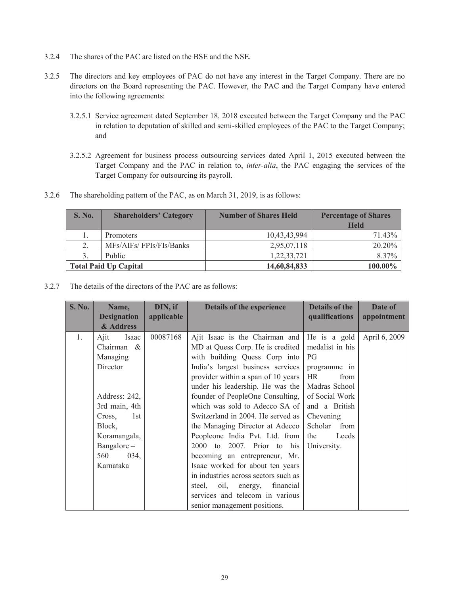- 3.2.4 The shares of the PAC are listed on the BSE and the NSE.
- 3.2.5 The directors and key employees of PAC do not have any interest in the Target Company. There are no directors on the Board representing the PAC. However, the PAC and the Target Company have entered into the following agreements:
	- 3.2.5.1 Service agreement dated September 18, 2018 executed between the Target Company and the PAC in relation to deputation of skilled and semi-skilled employees of the PAC to the Target Company; and
	- 3.2.5.2 Agreement for business process outsourcing services dated April 1, 2015 executed between the Target Company and the PAC in relation to, *inter-alia*, the PAC engaging the services of the Target Company for outsourcing its payroll.
- 3.2.6 The shareholding pattern of the PAC, as on March 31, 2019, is as follows:

| <b>S. No.</b>                | <b>Shareholders' Category</b> | <b>Number of Shares Held</b> |             |
|------------------------------|-------------------------------|------------------------------|-------------|
|                              |                               |                              | <b>Held</b> |
|                              | <b>Promoters</b>              | 10,43,43,994                 | 71.43%      |
| 2.                           | MFs/AIFs/FPIs/FIs/Banks       | 2,95,07,118                  | 20.20%      |
|                              | Public                        | 1,22,33,721                  | 8.37%       |
| <b>Total Paid Up Capital</b> |                               | 14,60,84,833                 | 100.00%     |

3.2.7 The details of the directors of the PAC are as follows:

| <b>S. No.</b> | Name,              | DIN, if    | <b>Details of the experience</b>     | Details of the    | Date of       |
|---------------|--------------------|------------|--------------------------------------|-------------------|---------------|
|               | <b>Designation</b> | applicable |                                      | qualifications    | appointment   |
|               | & Address          |            |                                      |                   |               |
| 1.            | $A$ jit<br>Isaac   | 00087168   | Ajit Isaac is the Chairman and       | He is a gold      | April 6, 2009 |
|               | Chairman $\&$      |            | MD at Quess Corp. He is credited     | medalist in his   |               |
|               | Managing           |            | with building Quess Corp into        | PG                |               |
|               | Director           |            | India's largest business services    | programme in      |               |
|               |                    |            | provider within a span of 10 years   | <b>HR</b><br>from |               |
|               |                    |            | under his leadership. He was the     | Madras School     |               |
|               | Address: 242,      |            | founder of PeopleOne Consulting,     | of Social Work    |               |
|               | 3rd main, 4th      |            | which was sold to Adecco SA of       | and a British     |               |
|               | 1st<br>Cross,      |            | Switzerland in 2004. He served as    | Chevening         |               |
|               | Block,             |            | the Managing Director at Adecco      | Scholar<br>from   |               |
|               | Koramangala,       |            | Peopleone India Pvt. Ltd. from       | the<br>Leeds      |               |
|               | Bangalore-         |            | 2000 to 2007. Prior to his           | University.       |               |
|               | 560<br>034,        |            | becoming an entrepreneur, Mr.        |                   |               |
|               | Karnataka          |            | Isaac worked for about ten years     |                   |               |
|               |                    |            | in industries across sectors such as |                   |               |
|               |                    |            | oil, energy, financial<br>steel.     |                   |               |
|               |                    |            | services and telecom in various      |                   |               |
|               |                    |            | senior management positions.         |                   |               |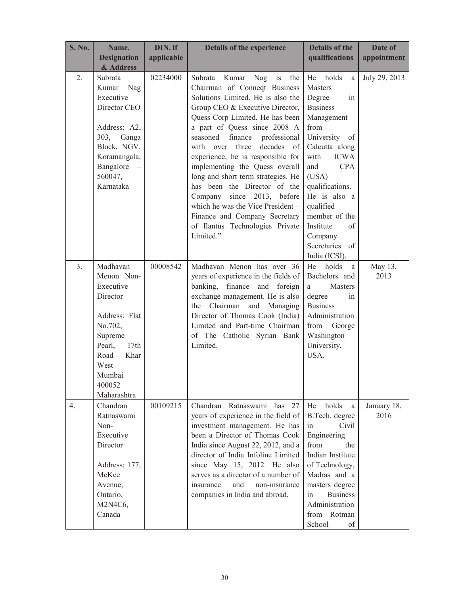| <b>S. No.</b> | Name,<br><b>Designation</b><br>& Address                                                                                                                            | DIN, if<br>applicable | Details of the experience                                                                                                                                                                                                                                                                                                                                                                                                                                                                                                                                                                        | <b>Details of the</b><br>qualifications                                                                                                                                                                                                                                                                        | Date of<br>appointment |
|---------------|---------------------------------------------------------------------------------------------------------------------------------------------------------------------|-----------------------|--------------------------------------------------------------------------------------------------------------------------------------------------------------------------------------------------------------------------------------------------------------------------------------------------------------------------------------------------------------------------------------------------------------------------------------------------------------------------------------------------------------------------------------------------------------------------------------------------|----------------------------------------------------------------------------------------------------------------------------------------------------------------------------------------------------------------------------------------------------------------------------------------------------------------|------------------------|
| 2.            | Subrata<br>Kumar<br>Nag<br>Executive<br>Director CEO<br>Address: A2,<br>303, Ganga<br>Block, NGV,<br>Koramangala,<br>Bangalore<br>560047,<br>Karnataka              | 02234000              | Subrata<br>Kumar<br>Nag<br>is<br>the<br>Chairman of Conneqt Business<br>Solutions Limited. He is also the<br>Group CEO & Executive Director,<br>Quess Corp Limited. He has been<br>a part of Quess since 2008 A<br>seasoned<br>finance<br>professional<br>with over three<br>decades<br>- of<br>experience, he is responsible for<br>implementing the Quess overall<br>long and short term strategies. He<br>has been the Director of the<br>since 2013, before<br>Company<br>which he was the Vice President -<br>Finance and Company Secretary<br>of Ilantus Technologies Private<br>Limited." | He<br>holds<br>a<br>Masters<br>Degree<br>in<br><b>Business</b><br>Management<br>from<br>University of<br>Calcutta along<br><b>ICWA</b><br>with<br><b>CPA</b><br>and<br>(USA)<br>qualifications.<br>He is also a<br>qualified<br>member of the<br>Institute<br>of<br>Company<br>Secretaries of<br>India (ICSI). | July 29, 2013          |
| 3.            | Madhavan<br>Menon Non-<br>Executive<br>Director<br>Address: Flat<br>No.702,<br>Supreme<br>Pearl,<br>17th<br>Road<br>Khar<br>West<br>Mumbai<br>400052<br>Maharashtra | 00008542              | Madhavan Menon has over 36<br>years of experience in the fields of<br>banking,<br>finance<br>and foreign<br>exchange management. He is also<br>the Chairman and Managing<br>Director of Thomas Cook (India)<br>Limited and Part-time Chairman<br>of The Catholic Syrian Bank<br>Limited.                                                                                                                                                                                                                                                                                                         | holds<br>He<br>a<br>Bachelors and<br>Masters<br>a<br>degree<br>1n<br><b>Business</b><br>Administration<br>from<br>George<br>Washington<br>University,<br>USA.                                                                                                                                                  | May 13,<br>2013        |
| 4.            | Chandran<br>Ratnaswami<br>Non-<br>Executive<br>Director<br>Address: 177,<br>McKee<br>Avenue,<br>Ontario,<br>M2N4C6,<br>Canada                                       | 00109215              | Chandran<br>Ratnaswami has<br>27<br>years of experience in the field of<br>investment management. He has<br>been a Director of Thomas Cook<br>India since August 22, 2012, and a<br>director of India Infoline Limited<br>since May 15, 2012. He also<br>serves as a director of a number of<br>and<br>non-insurance<br>insurance<br>companies in India and abroad.                                                                                                                                                                                                                              | holds<br>He<br>a<br>B.Tech. degree<br>Civil<br>in<br>Engineering<br>from<br>the<br>Indian Institute<br>of Technology,<br>Madras and a<br>masters degree<br>in<br><b>Business</b><br>Administration<br>from Rotman<br>School<br>of                                                                              | January 18,<br>2016    |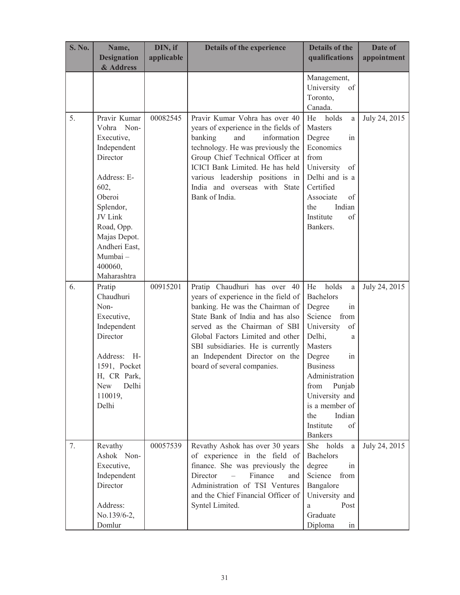| <b>S. No.</b> | Name,                           | DIN, if    | Details of the experience                                             | <b>Details of the</b>                      | Date of       |
|---------------|---------------------------------|------------|-----------------------------------------------------------------------|--------------------------------------------|---------------|
|               | <b>Designation</b><br>& Address | applicable |                                                                       | qualifications                             | appointment   |
|               |                                 |            |                                                                       | Management,<br>University<br><sub>of</sub> |               |
|               |                                 |            |                                                                       | Toronto,                                   |               |
|               |                                 |            |                                                                       | Canada.                                    |               |
| 5.            | Pravir Kumar                    | 00082545   | Pravir Kumar Vohra has over 40                                        | holds<br>He<br>a                           | July 24, 2015 |
|               | Vohra Non-                      |            | years of experience in the fields of                                  | Masters                                    |               |
|               | Executive,                      |            | banking<br>and<br>information                                         | Degree<br>in                               |               |
|               | Independent<br>Director         |            | technology. He was previously the<br>Group Chief Technical Officer at | Economics<br>from                          |               |
|               |                                 |            | ICICI Bank Limited. He has held                                       | University<br>of                           |               |
|               | Address: E-                     |            | various leadership positions in                                       | Delhi and is a                             |               |
|               | 602,                            |            | India and overseas with State                                         | Certified                                  |               |
|               | Oberoi                          |            | Bank of India.                                                        | Associate<br>of                            |               |
|               | Splendor,                       |            |                                                                       | Indian<br>the                              |               |
|               | JV Link                         |            |                                                                       | Institute<br>of                            |               |
|               | Road, Opp.                      |            |                                                                       | Bankers.                                   |               |
|               | Majas Depot.                    |            |                                                                       |                                            |               |
|               | Andheri East,<br>Mumbai-        |            |                                                                       |                                            |               |
|               | 400060,                         |            |                                                                       |                                            |               |
|               | Maharashtra                     |            |                                                                       |                                            |               |
| 6.            | Pratip                          | 00915201   | Pratip Chaudhuri has over 40                                          | holds<br>He<br>a                           | July 24, 2015 |
|               | Chaudhuri                       |            | years of experience in the field of                                   | <b>Bachelors</b>                           |               |
|               | Non-                            |            | banking. He was the Chairman of                                       | Degree<br>in                               |               |
|               | Executive,                      |            | State Bank of India and has also                                      | Science<br>from                            |               |
|               | Independent<br>Director         |            | served as the Chairman of SBI<br>Global Factors Limited and other     | University<br>of<br>Delhi,                 |               |
|               |                                 |            | SBI subsidiaries. He is currently                                     | a<br>Masters                               |               |
|               | Address: H-                     |            | an Independent Director on the                                        | Degree<br>in                               |               |
|               | 1591, Pocket                    |            | board of several companies.                                           | <b>Business</b>                            |               |
|               | H, CR Park,                     |            |                                                                       | Administration                             |               |
|               | Delhi<br>New                    |            |                                                                       | Punjab<br>from                             |               |
|               | 110019,                         |            |                                                                       | University and                             |               |
|               | Delhi                           |            |                                                                       | is a member of<br>Indian<br>the            |               |
|               |                                 |            |                                                                       | Institute<br>of                            |               |
|               |                                 |            |                                                                       | <b>Bankers</b>                             |               |
| 7.            | Revathy                         | 00057539   | Revathy Ashok has over 30 years                                       | She holds<br>a                             | July 24, 2015 |
|               | Ashok Non-                      |            | of experience in the field of                                         | <b>Bachelors</b>                           |               |
|               | Executive,                      |            | finance. She was previously the                                       | degree<br>in                               |               |
|               | Independent                     |            | Director<br>Finance<br>and<br>$\overline{\phantom{m}}$                | Science<br>from                            |               |
|               | Director                        |            | Administration of TSI Ventures                                        | Bangalore                                  |               |
|               |                                 |            | and the Chief Financial Officer of                                    | University and                             |               |
|               | Address:<br>No.139/6-2,         |            | Syntel Limited.                                                       | Post<br>a<br>Graduate                      |               |
|               |                                 |            |                                                                       |                                            |               |
|               | Domlur                          |            |                                                                       | Diploma<br>in                              |               |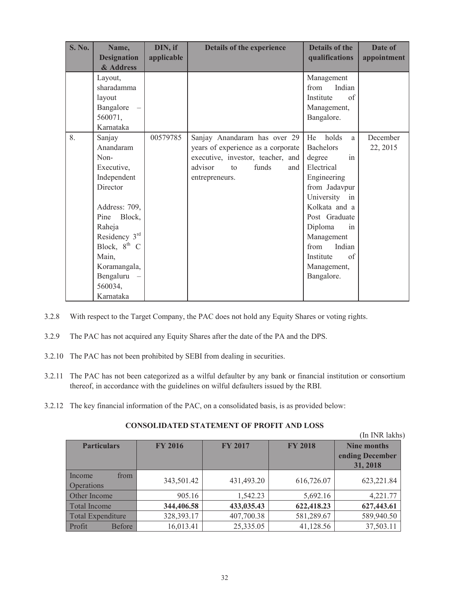| <b>S. No.</b> | Name,              | DIN, if    | Details of the experience          | <b>Details of the</b> | Date of     |
|---------------|--------------------|------------|------------------------------------|-----------------------|-------------|
|               | <b>Designation</b> | applicable |                                    | qualifications        | appointment |
|               | & Address          |            |                                    |                       |             |
|               | Layout,            |            |                                    | Management            |             |
|               | sharadamma         |            |                                    | from<br>Indian        |             |
|               | layout             |            |                                    | Institute<br>of       |             |
|               | Bangalore          |            |                                    | Management,           |             |
|               | 560071,            |            |                                    | Bangalore.            |             |
|               | Karnataka          |            |                                    |                       |             |
| 8.            | Sanjay             | 00579785   | Sanjay Anandaram has over 29       | holds<br>He<br>a      | December    |
|               | Anandaram          |            | years of experience as a corporate | <b>Bachelors</b>      | 22, 2015    |
|               | Non-               |            | executive, investor, teacher, and  | degree<br>in          |             |
|               | Executive,         |            | advisor<br>funds<br>to<br>and      | Electrical            |             |
|               | Independent        |            | entrepreneurs.                     | Engineering           |             |
|               | Director           |            |                                    | from Jadavpur         |             |
|               |                    |            |                                    | University in         |             |
|               | Address: 709,      |            |                                    | Kolkata and a         |             |
|               | Block,<br>Pine     |            |                                    | Post Graduate         |             |
|               | Raheja             |            |                                    | Diploma<br>in         |             |
|               | Residency 3rd      |            |                                    | Management            |             |
|               | Block, $8^{th}$ C  |            |                                    | from<br>Indian        |             |
|               | Main,              |            |                                    | Institute<br>of       |             |
|               | Koramangala,       |            |                                    | Management,           |             |
|               | Bengaluru          |            |                                    | Bangalore.            |             |
|               | 560034,            |            |                                    |                       |             |
|               | Karnataka          |            |                                    |                       |             |

- 3.2.8 With respect to the Target Company, the PAC does not hold any Equity Shares or voting rights.
- 3.2.9 The PAC has not acquired any Equity Shares after the date of the PA and the DPS.
- 3.2.10 The PAC has not been prohibited by SEBI from dealing in securities.
- 3.2.11 The PAC has not been categorized as a wilful defaulter by any bank or financial institution or consortium thereof, in accordance with the guidelines on wilful defaulters issued by the RBI.
- 3.2.12 The key financial information of the PAC, on a consolidated basis, is as provided below:

# **CONSOLIDATED STATEMENT OF PROFIT AND LOSS**

(In INR lakhs)

|                                     |                |                |                | (ші пуіл іакііз    |
|-------------------------------------|----------------|----------------|----------------|--------------------|
| <b>Particulars</b>                  | <b>FY 2016</b> | <b>FY 2017</b> | <b>FY 2018</b> | <b>Nine months</b> |
|                                     |                |                |                | ending December    |
|                                     |                |                |                | 31, 2018           |
| Income<br>from<br><b>Operations</b> | 343,501.42     | 431,493.20     | 616,726.07     | 623,221.84         |
| Other Income                        | 905.16         | 1,542.23       | 5,692.16       | 4,221.77           |
| Total Income                        | 344,406.58     | 433,035.43     | 622,418.23     | 627,443.61         |
| <b>Total Expenditure</b>            | 328,393.17     | 407,700.38     | 581,289.67     | 589,940.50         |
| Profit<br><b>Before</b>             | 16,013.41      | 25,335.05      | 41,128.56      | 37,503.11          |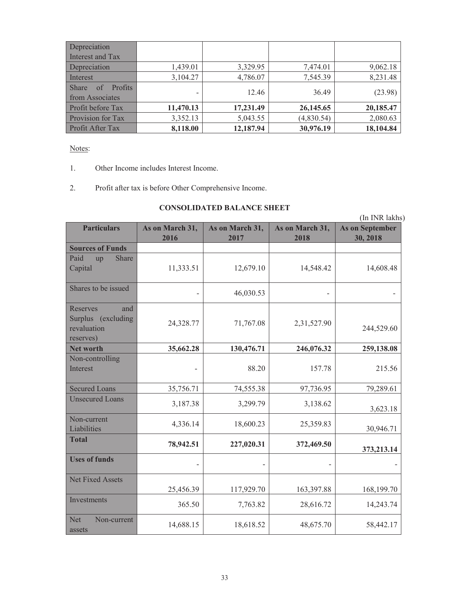| Depreciation                          |           |           |            |           |
|---------------------------------------|-----------|-----------|------------|-----------|
| Interest and Tax                      |           |           |            |           |
| Depreciation                          | 1,439.01  | 3,329.95  | 7,474.01   | 9,062.18  |
| Interest                              | 3,104.27  | 4,786.07  | 7,545.39   | 8,231.48  |
| <b>Share</b><br>Profits<br>$-$ of $-$ |           |           |            |           |
| from Associates                       |           | 12.46     | 36.49      | (23.98)   |
| Profit before Tax                     | 11,470.13 | 17,231.49 | 26,145.65  | 20,185.47 |
| Provision for Tax                     | 3,352.13  | 5,043.55  | (4,830.54) | 2,080.63  |
| Profit After Tax                      | 8,118.00  | 12,187.94 | 30,976.19  | 18,104.84 |

# Notes:

- 1. Other Income includes Interest Income.
- 2. Profit after tax is before Other Comprehensive Income.

# **CONSOLIDATED BALANCE SHEET**

|                                                                   |                         | CONSOLIDATED BALANCE SHEET |                         |                                    |
|-------------------------------------------------------------------|-------------------------|----------------------------|-------------------------|------------------------------------|
|                                                                   |                         |                            |                         | (In INR lakhs)                     |
| <b>Particulars</b>                                                | As on March 31,<br>2016 | As on March 31,<br>2017    | As on March 31,<br>2018 | <b>As on September</b><br>30, 2018 |
| <b>Sources of Funds</b>                                           |                         |                            |                         |                                    |
| Paid<br>Share<br>up<br>Capital                                    | 11,333.51               | 12,679.10                  | 14,548.42               | 14,608.48                          |
| Shares to be issued                                               |                         | 46,030.53                  |                         |                                    |
| Reserves<br>and<br>Surplus (excluding<br>revaluation<br>reserves) | 24,328.77               | 71,767.08                  | 2,31,527.90             | 244,529.60                         |
| <b>Net worth</b>                                                  | 35,662.28               | 130,476.71                 | 246,076.32              | 259,138.08                         |
| Non-controlling<br>Interest                                       |                         | 88.20                      | 157.78                  | 215.56                             |
| <b>Secured Loans</b>                                              | 35,756.71               | 74,555.38                  | 97,736.95               | 79,289.61                          |
| <b>Unsecured Loans</b>                                            | 3,187.38                | 3,299.79                   | 3,138.62                | 3,623.18                           |
| Non-current<br>Liabilities                                        | 4,336.14                | 18,600.23                  | 25,359.83               | 30,946.71                          |
| <b>Total</b>                                                      | 78,942.51               | 227,020.31                 | 372,469.50              | 373,213.14                         |
| <b>Uses of funds</b>                                              |                         |                            |                         |                                    |
| <b>Net Fixed Assets</b>                                           | 25,456.39               | 117,929.70                 | 163,397.88              | 168,199.70                         |
| Investments                                                       | 365.50                  | 7,763.82                   | 28,616.72               | 14,243.74                          |
| <b>Net</b><br>Non-current<br>assets                               | 14,688.15               | 18,618.52                  | 48,675.70               | 58,442.17                          |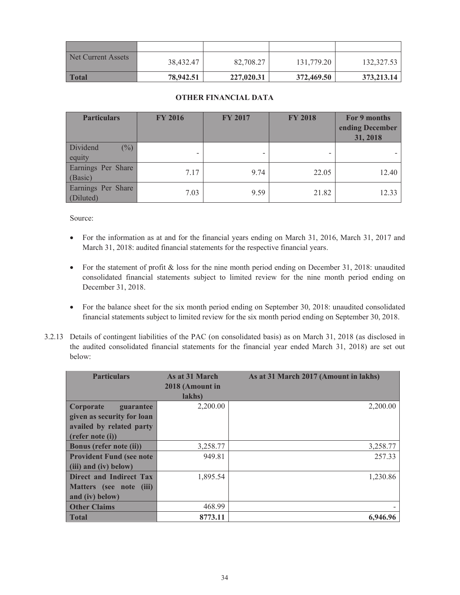| Net Current Assets | 38,432.47 | 82,708.27  | 131,779.20 | 132,327.53 |
|--------------------|-----------|------------|------------|------------|
| <b>Total</b>       | 78,942.51 | 227,020.31 | 372,469.50 | 373,213.14 |

# **OTHER FINANCIAL DATA**

| <b>Particulars</b>                   | <b>FY 2016</b> | <b>FY 2017</b> | <b>FY 2018</b> | For 9 months<br>ending December<br>31, 2018 |
|--------------------------------------|----------------|----------------|----------------|---------------------------------------------|
| Dividend<br>$\binom{0}{0}$<br>equity |                |                |                |                                             |
| Earnings Per Share<br>(Basic)        | 7.17           | 9.74           | 22.05          | 12.40                                       |
| Earnings Per Share<br>(Diluted)      | 7.03           | 9.59           | 21.82          | 12.33                                       |

Source:

- For the information as at and for the financial years ending on March 31, 2016, March 31, 2017 and March 31, 2018: audited financial statements for the respective financial years.
- For the statement of profit & loss for the nine month period ending on December 31, 2018: unaudited consolidated financial statements subject to limited review for the nine month period ending on December 31, 2018.
- For the balance sheet for the six month period ending on September 30, 2018: unaudited consolidated financial statements subject to limited review for the six month period ending on September 30, 2018.
- 3.2.13 Details of contingent liabilities of the PAC (on consolidated basis) as on March 31, 2018 (as disclosed in the audited consolidated financial statements for the financial year ended March 31, 2018) are set out below:

| <b>Particulars</b>              | As at 31 March<br>2018 (Amount in<br>lakhs) | As at 31 March 2017 (Amount in lakhs) |
|---------------------------------|---------------------------------------------|---------------------------------------|
| Corporate<br>guarantee          | 2,200.00                                    | 2,200.00                              |
| given as security for loan      |                                             |                                       |
| availed by related party        |                                             |                                       |
| (refer note (i))                |                                             |                                       |
| Bonus (refer note (ii))         | 3,258.77                                    | 3,258.77                              |
| <b>Provident Fund (see note</b> | 949.81                                      | 257.33                                |
| (iii) and (iv) below)           |                                             |                                       |
| Direct and Indirect Tax         | 1,895.54                                    | 1,230.86                              |
| Matters (see note (iii)         |                                             |                                       |
| and (iv) below)                 |                                             |                                       |
| <b>Other Claims</b>             | 468.99                                      |                                       |
| <b>Total</b>                    | 8773.11                                     | 6,946.96                              |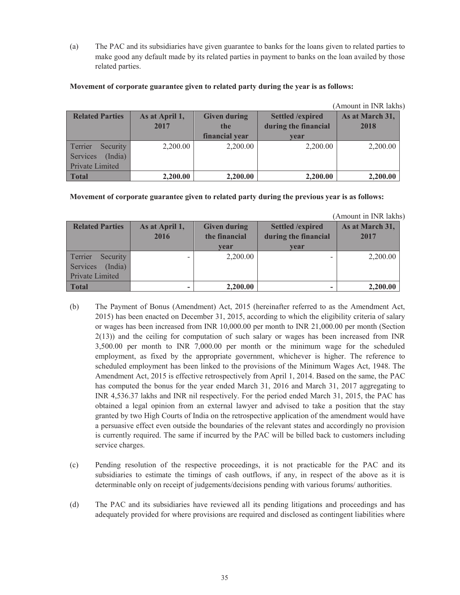(a) The PAC and its subsidiaries have given guarantee to banks for the loans given to related parties to make good any default made by its related parties in payment to banks on the loan availed by those related parties.

|                        |                |                     |                         | (Amount in INR lakhs) |
|------------------------|----------------|---------------------|-------------------------|-----------------------|
| <b>Related Parties</b> | As at April 1, | <b>Given during</b> | <b>Settled /expired</b> | As at March 31,       |
|                        | 2017           | the                 | during the financial    | 2018                  |
|                        |                | financial year      | vear                    |                       |
| Terrier<br>Security    | 2,200.00       | 2,200.00            | 2,200.00                | 2,200.00              |
| Services<br>(India)    |                |                     |                         |                       |
| Private Limited        |                |                     |                         |                       |
| <b>Total</b>           | 2,200.00       | 2,200.00            | 2,200.00                | 2,200.00              |

#### **Movement of corporate guarantee given to related party during the year is as follows:**

**Movement of corporate guarantee given to related party during the previous year is as follows:** 

(Amount in INR lakhs)

| <b>Related Parties</b> | As at April 1,<br>2016 | <b>Given during</b><br>the financial<br>vear | <b>Settled /expired</b><br>during the financial<br>vear | As at March 31,<br>2017 |
|------------------------|------------------------|----------------------------------------------|---------------------------------------------------------|-------------------------|
| Terrier<br>Security    |                        | 2,200.00                                     |                                                         | 2,200.00                |
| (India)<br>Services    |                        |                                              |                                                         |                         |
| Private Limited        |                        |                                              |                                                         |                         |
| <b>Total</b>           |                        | 2,200.00                                     |                                                         | 2,200.00                |

- (b) The Payment of Bonus (Amendment) Act, 2015 (hereinafter referred to as the Amendment Act, 2015) has been enacted on December 31, 2015, according to which the eligibility criteria of salary or wages has been increased from INR 10,000.00 per month to INR 21,000.00 per month (Section 2(13)) and the ceiling for computation of such salary or wages has been increased from INR 3,500.00 per month to INR 7,000.00 per month or the minimum wage for the scheduled employment, as fixed by the appropriate government, whichever is higher. The reference to scheduled employment has been linked to the provisions of the Minimum Wages Act, 1948. The Amendment Act, 2015 is effective retrospectively from April 1, 2014. Based on the same, the PAC has computed the bonus for the year ended March 31, 2016 and March 31, 2017 aggregating to INR 4,536.37 lakhs and INR nil respectively. For the period ended March 31, 2015, the PAC has obtained a legal opinion from an external lawyer and advised to take a position that the stay granted by two High Courts of India on the retrospective application of the amendment would have a persuasive effect even outside the boundaries of the relevant states and accordingly no provision is currently required. The same if incurred by the PAC will be billed back to customers including service charges.
- (c) Pending resolution of the respective proceedings, it is not practicable for the PAC and its subsidiaries to estimate the timings of cash outflows, if any, in respect of the above as it is determinable only on receipt of judgements/decisions pending with various forums/ authorities.
- (d) The PAC and its subsidiaries have reviewed all its pending litigations and proceedings and has adequately provided for where provisions are required and disclosed as contingent liabilities where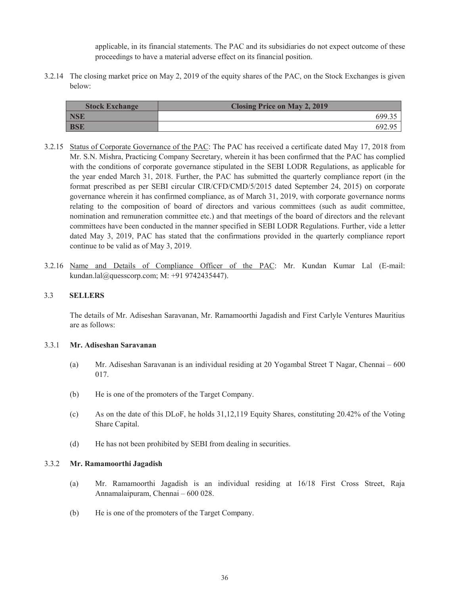applicable, in its financial statements. The PAC and its subsidiaries do not expect outcome of these proceedings to have a material adverse effect on its financial position.

3.2.14 The closing market price on May 2, 2019 of the equity shares of the PAC, on the Stock Exchanges is given below:

| <b>Stock Exchange</b> | <b>Closing Price on May 2, 2019</b> |
|-----------------------|-------------------------------------|
| <b>NSE</b>            | 699 <sup>2</sup>                    |
| <b>BSE</b>            | 6929'                               |

- 3.2.15 Status of Corporate Governance of the PAC: The PAC has received a certificate dated May 17, 2018 from Mr. S.N. Mishra, Practicing Company Secretary, wherein it has been confirmed that the PAC has complied with the conditions of corporate governance stipulated in the SEBI LODR Regulations, as applicable for the year ended March 31, 2018. Further, the PAC has submitted the quarterly compliance report (in the format prescribed as per SEBI circular CIR/CFD/CMD/5/2015 dated September 24, 2015) on corporate governance wherein it has confirmed compliance, as of March 31, 2019, with corporate governance norms relating to the composition of board of directors and various committees (such as audit committee, nomination and remuneration committee etc.) and that meetings of the board of directors and the relevant committees have been conducted in the manner specified in SEBI LODR Regulations. Further, vide a letter dated May 3, 2019, PAC has stated that the confirmations provided in the quarterly compliance report continue to be valid as of May 3, 2019.
- 3.2.16 Name and Details of Compliance Officer of the PAC: Mr. Kundan Kumar Lal (E-mail: kundan.lal@quesscorp.com; M: +91 9742435447).

#### 3.3 **SELLERS**

The details of Mr. Adiseshan Saravanan, Mr. Ramamoorthi Jagadish and First Carlyle Ventures Mauritius are as follows:

#### 3.3.1 **Mr. Adiseshan Saravanan**

- (a) Mr. Adiseshan Saravanan is an individual residing at 20 Yogambal Street T Nagar, Chennai 600 017.
- (b) He is one of the promoters of the Target Company.
- (c) As on the date of this DLoF, he holds 31,12,119 Equity Shares, constituting 20.42% of the Voting Share Capital.
- (d) He has not been prohibited by SEBI from dealing in securities.

#### 3.3.2 **Mr. Ramamoorthi Jagadish**

- (a) Mr. Ramamoorthi Jagadish is an individual residing at 16/18 First Cross Street, Raja Annamalaipuram, Chennai – 600 028.
- (b) He is one of the promoters of the Target Company.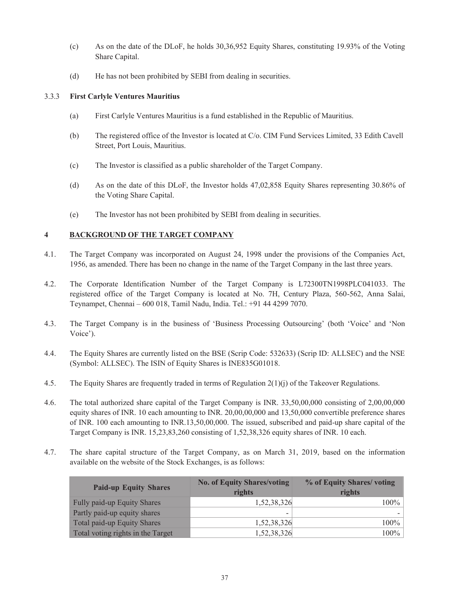- (c) As on the date of the DLoF, he holds 30,36,952 Equity Shares, constituting 19.93% of the Voting Share Capital.
- (d) He has not been prohibited by SEBI from dealing in securities.

# 3.3.3 **First Carlyle Ventures Mauritius**

- (a) First Carlyle Ventures Mauritius is a fund established in the Republic of Mauritius.
- (b) The registered office of the Investor is located at C/o. CIM Fund Services Limited, 33 Edith Cavell Street, Port Louis, Mauritius.
- (c) The Investor is classified as a public shareholder of the Target Company.
- (d) As on the date of this DLoF, the Investor holds 47,02,858 Equity Shares representing 30.86% of the Voting Share Capital.
- (e) The Investor has not been prohibited by SEBI from dealing in securities.

# **4 BACKGROUND OF THE TARGET COMPANY**

- 4.1. The Target Company was incorporated on August 24, 1998 under the provisions of the Companies Act, 1956, as amended. There has been no change in the name of the Target Company in the last three years.
- 4.2. The Corporate Identification Number of the Target Company is L72300TN1998PLC041033. The registered office of the Target Company is located at No. 7H, Century Plaza, 560-562, Anna Salai, Teynampet, Chennai – 600 018, Tamil Nadu, India. Tel.: +91 44 4299 7070.
- 4.3. The Target Company is in the business of 'Business Processing Outsourcing' (both 'Voice' and 'Non Voice').
- 4.4. The Equity Shares are currently listed on the BSE (Scrip Code: 532633) (Scrip ID: ALLSEC) and the NSE (Symbol: ALLSEC). The ISIN of Equity Shares is INE835G01018.
- 4.5. The Equity Shares are frequently traded in terms of Regulation  $2(1)(i)$  of the Takeover Regulations.
- 4.6. The total authorized share capital of the Target Company is INR. 33,50,00,000 consisting of 2,00,00,000 equity shares of INR. 10 each amounting to INR. 20,00,00,000 and 13,50,000 convertible preference shares of INR. 100 each amounting to INR.13,50,00,000. The issued, subscribed and paid-up share capital of the Target Company is INR. 15,23,83,260 consisting of 1,52,38,326 equity shares of INR. 10 each.
- 4.7. The share capital structure of the Target Company, as on March 31, 2019, based on the information available on the website of the Stock Exchanges, is as follows:

| <b>Paid-up Equity Shares</b>       | <b>No. of Equity Shares/voting</b><br>rights | % of Equity Shares/voting<br>rights |
|------------------------------------|----------------------------------------------|-------------------------------------|
| <b>Fully paid-up Equity Shares</b> | 1,52,38,326                                  | $100\%$                             |
| Partly paid-up equity shares       | -                                            |                                     |
| Total paid-up Equity Shares        | 1,52,38,326                                  | $100\%$                             |
| Total voting rights in the Target  | 1,52,38,326                                  | 100%                                |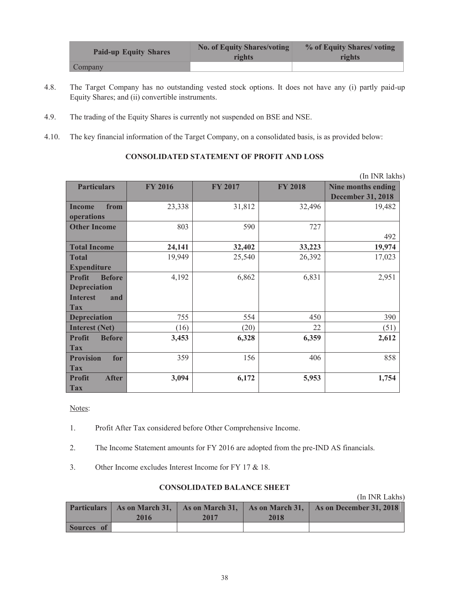| <b>Paid-up Equity Shares</b> | <b>No. of Equity Shares/voting</b><br>rights | % of Equity Shares/voting<br>rights |
|------------------------------|----------------------------------------------|-------------------------------------|
| Company                      |                                              |                                     |

- 4.8. The Target Company has no outstanding vested stock options. It does not have any (i) partly paid-up Equity Shares; and (ii) convertible instruments.
- 4.9. The trading of the Equity Shares is currently not suspended on BSE and NSE.
- 4.10. The key financial information of the Target Company, on a consolidated basis, is as provided below:

### **CONSOLIDATED STATEMENT OF PROFIT AND LOSS**

|                                                                                               |                |                |                | (In INR lakhs)                                 |
|-----------------------------------------------------------------------------------------------|----------------|----------------|----------------|------------------------------------------------|
| <b>Particulars</b>                                                                            | <b>FY 2016</b> | <b>FY 2017</b> | <b>FY 2018</b> | Nine months ending<br><b>December 31, 2018</b> |
| <b>Income</b><br>from<br>operations                                                           | 23,338         | 31,812         | 32,496         | 19,482                                         |
| <b>Other Income</b>                                                                           | 803            | 590            | 727            | 492                                            |
| <b>Total Income</b>                                                                           | 24,141         | 32,402         | 33,223         | 19,974                                         |
| <b>Total</b><br><b>Expenditure</b>                                                            | 19,949         | 25,540         | 26,392         | 17,023                                         |
| <b>Profit</b><br><b>Before</b><br><b>Depreciation</b><br><b>Interest</b><br>and<br><b>Tax</b> | 4,192          | 6,862          | 6,831          | 2,951                                          |
| <b>Depreciation</b>                                                                           | 755            | 554            | 450            | 390                                            |
| <b>Interest (Net)</b>                                                                         | (16)           | (20)           | 22             | (51)                                           |
| <b>Profit</b><br><b>Before</b><br><b>Tax</b>                                                  | 3,453          | 6,328          | 6,359          | 2,612                                          |
| <b>Provision</b><br>for<br><b>Tax</b>                                                         | 359            | 156            | 406            | 858                                            |
| <b>Profit</b><br><b>After</b><br><b>Tax</b>                                                   | 3,094          | 6,172          | 5,953          | 1,754                                          |

Notes:

- 1. Profit After Tax considered before Other Comprehensive Income.
- 2. The Income Statement amounts for FY 2016 are adopted from the pre-IND AS financials.
- 3. Other Income excludes Interest Income for FY 17 & 18.

### **CONSOLIDATED BALANCE SHEET**

(In INR Lakhs)

|            | 2016 | 2017 | 2018 | <b>Particulars</b>   As on March 31,   As on March 31,   As on March 31,   As on December 31, 2018 |
|------------|------|------|------|----------------------------------------------------------------------------------------------------|
| Sources of |      |      |      |                                                                                                    |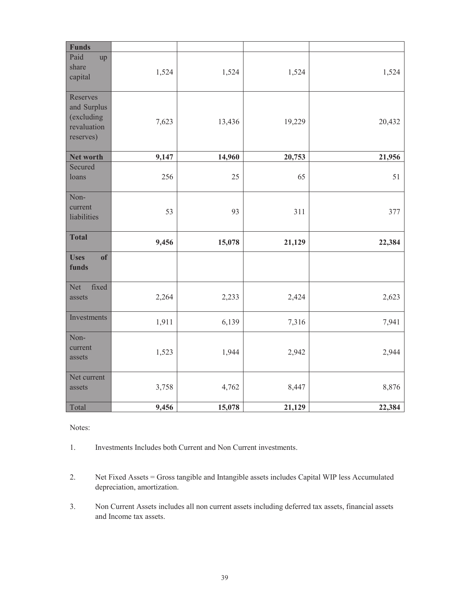| <b>Funds</b>                                                      |       |        |        |        |
|-------------------------------------------------------------------|-------|--------|--------|--------|
| Paid<br>up<br>share<br>capital                                    | 1,524 | 1,524  | 1,524  | 1,524  |
| Reserves<br>and Surplus<br>(excluding<br>revaluation<br>reserves) | 7,623 | 13,436 | 19,229 | 20,432 |
| Net worth                                                         | 9,147 | 14,960 | 20,753 | 21,956 |
| Secured<br>loans                                                  | 256   | 25     | 65     | 51     |
| Non-<br>current<br>liabilities                                    | 53    | 93     | 311    | 377    |
| <b>Total</b>                                                      | 9,456 | 15,078 | 21,129 | 22,384 |
| <b>Uses</b><br>of<br>funds                                        |       |        |        |        |
| Net<br>fixed<br>assets                                            | 2,264 | 2,233  | 2,424  | 2,623  |
| Investments                                                       | 1,911 | 6,139  | 7,316  |        |
|                                                                   |       |        |        | 7,941  |
| Non-<br>current<br>assets                                         | 1,523 | 1,944  | 2,942  | 2,944  |
| Net current<br>assets                                             | 3,758 | 4,762  | 8,447  | 8,876  |

Notes:

- 1. Investments Includes both Current and Non Current investments.
- 2. Net Fixed Assets = Gross tangible and Intangible assets includes Capital WIP less Accumulated depreciation, amortization.
- 3. Non Current Assets includes all non current assets including deferred tax assets, financial assets and Income tax assets.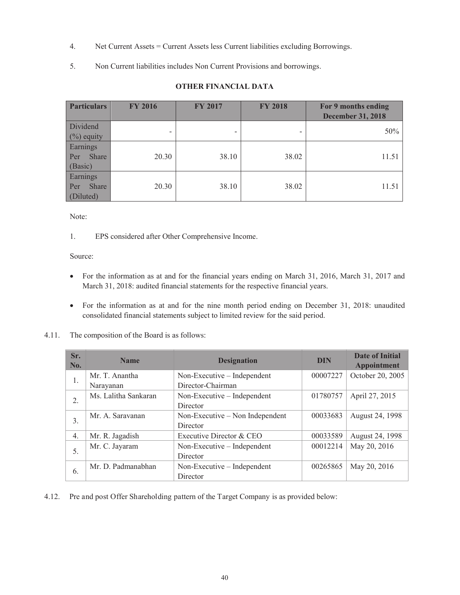- 4. Net Current Assets = Current Assets less Current liabilities excluding Borrowings.
- 5. Non Current liabilities includes Non Current Provisions and borrowings.

| <b>Particulars</b>                    | <b>FY 2016</b>           | <b>FY 2017</b>           | <b>FY 2018</b> | For 9 months ending<br><b>December 31, 2018</b> |
|---------------------------------------|--------------------------|--------------------------|----------------|-------------------------------------------------|
| Dividend<br>$(\%)$ equity             | $\overline{\phantom{0}}$ | $\overline{\phantom{0}}$ |                | 50%                                             |
| Earnings<br>Share<br>Per<br>(Basic)   | 20.30                    | 38.10                    | 38.02          | 11.51                                           |
| Earnings<br>Share<br>Per<br>(Diluted) | 20.30                    | 38.10                    | 38.02          | 11.51                                           |

# **OTHER FINANCIAL DATA**

Note:

1. EPS considered after Other Comprehensive Income.

Source:

- · For the information as at and for the financial years ending on March 31, 2016, March 31, 2017 and March 31, 2018: audited financial statements for the respective financial years.
- · For the information as at and for the nine month period ending on December 31, 2018: unaudited consolidated financial statements subject to limited review for the said period.
- 4.11. The composition of the Board is as follows:

| Sr.<br>No. | <b>Name</b>          | <b>Designation</b>              | <b>DIN</b> | <b>Date of Initial</b><br><b>Appointment</b> |
|------------|----------------------|---------------------------------|------------|----------------------------------------------|
| 1.         | Mr. T. Anantha       | Non-Executive – Independent     | 00007227   | October 20, 2005                             |
|            | Narayanan            | Director-Chairman               |            |                                              |
| 2.         | Ms. Lalitha Sankaran | Non-Executive – Independent     | 01780757   | April 27, 2015                               |
|            |                      | Director                        |            |                                              |
| 3.         | Mr. A. Saravanan     | Non-Executive – Non Independent | 00033683   | August 24, 1998                              |
|            |                      | Director                        |            |                                              |
| 4.         | Mr. R. Jagadish      | Executive Director & CEO        | 00033589   | August 24, 1998                              |
|            | Mr. C. Jayaram       | Non-Executive – Independent     | 00012214   | May 20, 2016                                 |
| 5.         |                      | Director                        |            |                                              |
|            | Mr. D. Padmanabhan   | Non-Executive – Independent     | 00265865   | May 20, 2016                                 |
| 6.         |                      | Director                        |            |                                              |

4.12. Pre and post Offer Shareholding pattern of the Target Company is as provided below: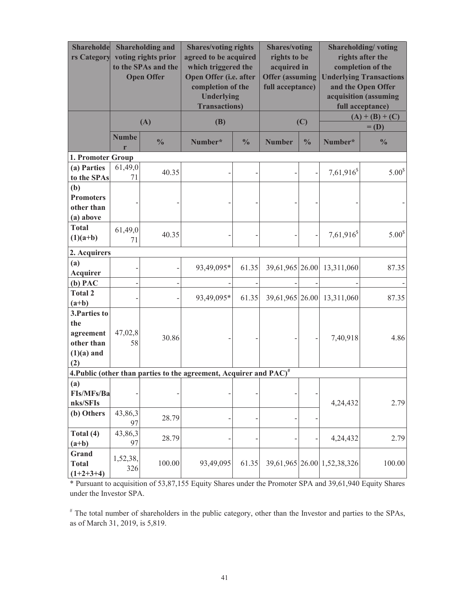| Shareholde<br>rs Category                                              | <b>Shareholding and</b><br>voting rights prior<br>to the SPAs and the<br><b>Open Offer</b> |               |                                                                                | <b>Shares/voting rights</b><br><b>Shares/voting</b><br>agreed to be acquired<br>rights to be<br>acquired in<br>which triggered the<br>Open Offer (i.e. after<br><b>Offer (assuming</b><br>completion of the<br>full acceptance)<br><b>Underlying</b><br><b>Transactions</b> ) |                 | Shareholding/voting<br>rights after the<br>completion of the<br><b>Underlying Transactions</b><br>and the Open Offer<br>acquisition (assuming<br>full acceptance) |                             |                              |
|------------------------------------------------------------------------|--------------------------------------------------------------------------------------------|---------------|--------------------------------------------------------------------------------|-------------------------------------------------------------------------------------------------------------------------------------------------------------------------------------------------------------------------------------------------------------------------------|-----------------|-------------------------------------------------------------------------------------------------------------------------------------------------------------------|-----------------------------|------------------------------|
|                                                                        |                                                                                            | (A)           | (B)                                                                            |                                                                                                                                                                                                                                                                               | (C)             |                                                                                                                                                                   |                             | $(A) + (B) + (C)$<br>$=$ (D) |
|                                                                        | <b>Numbe</b><br>r                                                                          | $\frac{0}{0}$ | Number*                                                                        | $\frac{0}{0}$                                                                                                                                                                                                                                                                 | <b>Number</b>   | $\frac{0}{0}$                                                                                                                                                     | Number*                     | $\frac{0}{0}$                |
| 1. Promoter Group                                                      |                                                                                            |               |                                                                                |                                                                                                                                                                                                                                                                               |                 |                                                                                                                                                                   |                             |                              |
| (a) Parties<br>to the SPAs                                             | 61,49,0<br>71                                                                              | 40.35         |                                                                                |                                                                                                                                                                                                                                                                               |                 |                                                                                                                                                                   | $7,61,916^s$                | 5.00 <sup>s</sup>            |
| (b)<br><b>Promoters</b><br>other than<br>(a) above                     |                                                                                            |               |                                                                                |                                                                                                                                                                                                                                                                               |                 |                                                                                                                                                                   |                             |                              |
| <b>Total</b><br>$(1)(a+b)$                                             | 61,49,0<br>71                                                                              | 40.35         |                                                                                |                                                                                                                                                                                                                                                                               |                 |                                                                                                                                                                   | $7,61,916^s$                | 5.00 <sup>s</sup>            |
| 2. Acquirers                                                           |                                                                                            |               |                                                                                |                                                                                                                                                                                                                                                                               |                 |                                                                                                                                                                   |                             |                              |
| (a)<br>Acquirer                                                        |                                                                                            |               | 93,49,095*                                                                     | 61.35                                                                                                                                                                                                                                                                         | 39,61,965 26.00 |                                                                                                                                                                   | 13,311,060                  | 87.35                        |
| $(b)$ PAC                                                              |                                                                                            |               |                                                                                |                                                                                                                                                                                                                                                                               |                 |                                                                                                                                                                   |                             |                              |
| <b>Total 2</b><br>$(a+b)$                                              |                                                                                            |               | 93,49,095*                                                                     | 61.35                                                                                                                                                                                                                                                                         | 39,61,965 26.00 |                                                                                                                                                                   | 13,311,060                  | 87.35                        |
| 3. Parties to<br>the<br>agreement<br>other than<br>$(1)(a)$ and<br>(2) | 47,02,8<br>58                                                                              | 30.86         |                                                                                |                                                                                                                                                                                                                                                                               |                 |                                                                                                                                                                   | 7,40,918                    | 4.86                         |
|                                                                        |                                                                                            |               | 4. Public (other than parties to the agreement, Acquirer and PAC) <sup>#</sup> |                                                                                                                                                                                                                                                                               |                 |                                                                                                                                                                   |                             |                              |
| (a)<br>FIs/MFs/Ba<br>nks/SFIs                                          |                                                                                            |               |                                                                                |                                                                                                                                                                                                                                                                               |                 |                                                                                                                                                                   | 4,24,432                    | 2.79                         |
| (b) Others                                                             | 43,86,3<br>97                                                                              | 28.79         |                                                                                |                                                                                                                                                                                                                                                                               |                 |                                                                                                                                                                   |                             |                              |
| Total (4)<br>$(a+b)$                                                   | 43,86,3<br>97                                                                              | 28.79         |                                                                                |                                                                                                                                                                                                                                                                               |                 |                                                                                                                                                                   | 4,24,432                    | 2.79                         |
| Grand<br><b>Total</b><br>$(1+2+3+4)$                                   | 1,52,38,<br>326                                                                            | 100.00        | 93,49,095                                                                      | 61.35                                                                                                                                                                                                                                                                         |                 |                                                                                                                                                                   | 39,61,965 26.00 1,52,38,326 | 100.00                       |

\* Pursuant to acquisition of 53,87,155 Equity Shares under the Promoter SPA and 39,61,940 Equity Shares under the Investor SPA.

# The total number of shareholders in the public category, other than the Investor and parties to the SPAs, as of March 31, 2019, is 5,819.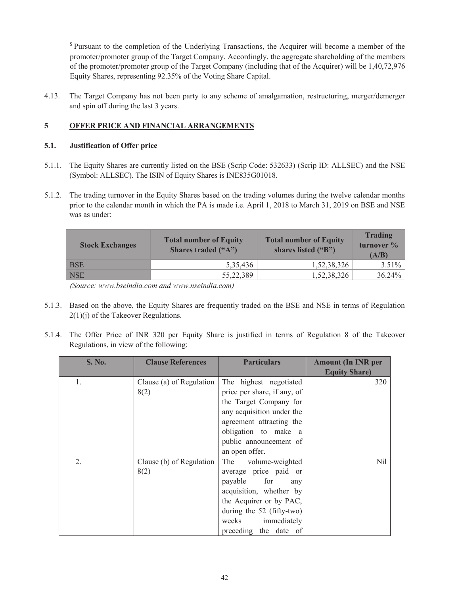<sup>\$</sup> Pursuant to the completion of the Underlying Transactions, the Acquirer will become a member of the promoter/promoter group of the Target Company. Accordingly, the aggregate shareholding of the members of the promoter/promoter group of the Target Company (including that of the Acquirer) will be 1,40,72,976 Equity Shares, representing 92.35% of the Voting Share Capital.

4.13. The Target Company has not been party to any scheme of amalgamation, restructuring, merger/demerger and spin off during the last 3 years.

# **5 OFFER PRICE AND FINANCIAL ARRANGEMENTS**

# **5.1. Justification of Offer price**

- 5.1.1. The Equity Shares are currently listed on the BSE (Scrip Code: 532633) (Scrip ID: ALLSEC) and the NSE (Symbol: ALLSEC). The ISIN of Equity Shares is INE835G01018.
- 5.1.2. The trading turnover in the Equity Shares based on the trading volumes during the twelve calendar months prior to the calendar month in which the PA is made i.e. April 1, 2018 to March 31, 2019 on BSE and NSE was as under:

| <b>Stock Exchanges</b> | <b>Total number of Equity</b><br><b>Shares traded ("A")</b> | <b>Total number of Equity</b><br>shares listed ("B") | Trading<br>turnover %<br>(A/B) |
|------------------------|-------------------------------------------------------------|------------------------------------------------------|--------------------------------|
| <b>BSE</b>             | 5.35,436                                                    | 1,52,38,326                                          | $3.51\%$                       |
| <b>NSE</b>             | 55,22,389                                                   | 1,52,38,326                                          | $36.24\%$                      |

 *(Source: www.bseindia.com and www.nseindia.com)* 

- 5.1.3. Based on the above, the Equity Shares are frequently traded on the BSE and NSE in terms of Regulation 2(1)(j) of the Takeover Regulations.
- 5.1.4. The Offer Price of INR 320 per Equity Share is justified in terms of Regulation 8 of the Takeover Regulations, in view of the following:

| <b>S. No.</b> | <b>Clause References</b> | <b>Particulars</b>          | <b>Amount (In INR per</b> |
|---------------|--------------------------|-----------------------------|---------------------------|
|               |                          |                             | <b>Equity Share)</b>      |
| 1.            | Clause (a) of Regulation | The highest negotiated      | 320                       |
|               | 8(2)                     | price per share, if any, of |                           |
|               |                          | the Target Company for      |                           |
|               |                          | any acquisition under the   |                           |
|               |                          | agreement attracting the    |                           |
|               |                          | obligation to make a        |                           |
|               |                          | public announcement of      |                           |
|               |                          | an open offer.              |                           |
| 2.            | Clause (b) of Regulation | The<br>volume-weighted      | Nil                       |
|               | 8(2)                     | average price paid or       |                           |
|               |                          | payable for<br>any          |                           |
|               |                          | acquisition, whether by     |                           |
|               |                          | the Acquirer or by PAC,     |                           |
|               |                          | during the $52$ (fifty-two) |                           |
|               |                          | weeks immediately           |                           |
|               |                          | preceding the date of       |                           |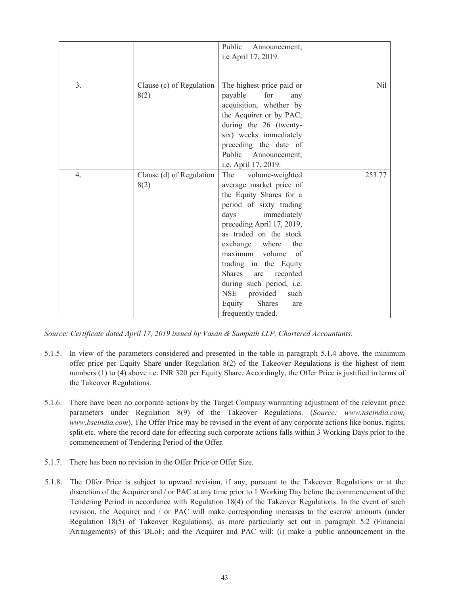|    |                                  | Public<br>Announcement,<br>i.e April 17, 2019.                                                                                                                                                                                                                                                                                                                                                                               |            |
|----|----------------------------------|------------------------------------------------------------------------------------------------------------------------------------------------------------------------------------------------------------------------------------------------------------------------------------------------------------------------------------------------------------------------------------------------------------------------------|------------|
| 3. | Clause (c) of Regulation<br>8(2) | The highest price paid or<br>payable<br>for<br>any<br>acquisition, whether by<br>the Acquirer or by PAC,<br>during the 26 (twenty-<br>six) weeks immediately<br>preceding the date of<br>Public<br>Announcement,<br>i.e. April 17, 2019.                                                                                                                                                                                     | <b>Nil</b> |
| 4. | Clause (d) of Regulation<br>8(2) | The<br>volume-weighted<br>average market price of<br>the Equity Shares for a<br>period of sixty trading<br>days<br>immediately<br>preceding April 17, 2019,<br>as traded on the stock<br>exchange where<br>the<br>maximum<br>volume<br>of<br>trading in the Equity<br><b>Shares</b><br>recorded<br>are<br>during such period, <i>i.e.</i><br><b>NSE</b><br>provided<br>such<br>Shares<br>Equity<br>are<br>frequently traded. | 253.77     |

*Source: Certificate dated April 17, 2019 issued by Vasan & Sampath LLP, Chartered Accountants*.

- 5.1.5. In view of the parameters considered and presented in the table in paragraph 5.1.4 above, the minimum offer price per Equity Share under Regulation 8(2) of the Takeover Regulations is the highest of item numbers (1) to (4) above i.e. INR 320 per Equity Share. Accordingly, the Offer Price is justified in terms of the Takeover Regulations.
- 5.1.6. There have been no corporate actions by the Target Company warranting adjustment of the relevant price parameters under Regulation 8(9) of the Takeover Regulations. (*Source: www.nseindia.com, www.bseindia.com*). The Offer Price may be revised in the event of any corporate actions like bonus, rights, split etc. where the record date for effecting such corporate actions falls within 3 Working Days prior to the commencement of Tendering Period of the Offer.
- 5.1.7. There has been no revision in the Offer Price or Offer Size.
- 5.1.8. The Offer Price is subject to upward revision, if any, pursuant to the Takeover Regulations or at the discretion of the Acquirer and / or PAC at any time prior to 1 Working Day before the commencement of the Tendering Period in accordance with Regulation 18(4) of the Takeover Regulations. In the event of such revision, the Acquirer and / or PAC will make corresponding increases to the escrow amounts (under Regulation 18(5) of Takeover Regulations), as more particularly set out in paragraph 5.2 (Financial Arrangements) of this DLoF; and the Acquirer and PAC will: (i) make a public announcement in the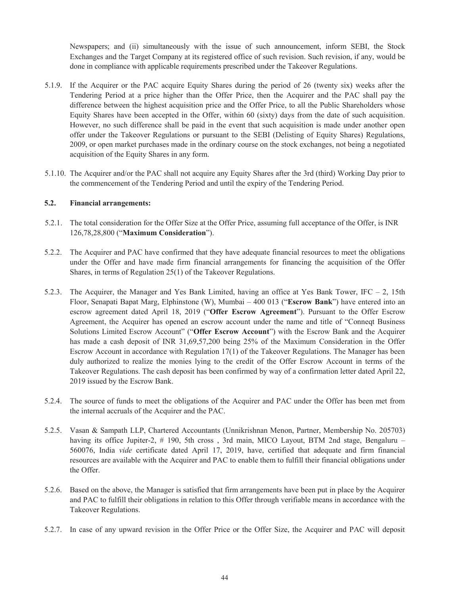Newspapers; and (ii) simultaneously with the issue of such announcement, inform SEBI, the Stock Exchanges and the Target Company at its registered office of such revision. Such revision, if any, would be done in compliance with applicable requirements prescribed under the Takeover Regulations.

- 5.1.9. If the Acquirer or the PAC acquire Equity Shares during the period of 26 (twenty six) weeks after the Tendering Period at a price higher than the Offer Price, then the Acquirer and the PAC shall pay the difference between the highest acquisition price and the Offer Price, to all the Public Shareholders whose Equity Shares have been accepted in the Offer, within 60 (sixty) days from the date of such acquisition. However, no such difference shall be paid in the event that such acquisition is made under another open offer under the Takeover Regulations or pursuant to the SEBI (Delisting of Equity Shares) Regulations, 2009, or open market purchases made in the ordinary course on the stock exchanges, not being a negotiated acquisition of the Equity Shares in any form.
- 5.1.10. The Acquirer and/or the PAC shall not acquire any Equity Shares after the 3rd (third) Working Day prior to the commencement of the Tendering Period and until the expiry of the Tendering Period.

### **5.2. Financial arrangements:**

- 5.2.1. The total consideration for the Offer Size at the Offer Price, assuming full acceptance of the Offer, is INR 126,78,28,800 ("**Maximum Consideration**").
- 5.2.2. The Acquirer and PAC have confirmed that they have adequate financial resources to meet the obligations under the Offer and have made firm financial arrangements for financing the acquisition of the Offer Shares, in terms of Regulation 25(1) of the Takeover Regulations.
- 5.2.3. The Acquirer, the Manager and Yes Bank Limited, having an office at Yes Bank Tower, IFC  $-$  2, 15th Floor, Senapati Bapat Marg, Elphinstone (W), Mumbai – 400 013 ("**Escrow Bank**") have entered into an escrow agreement dated April 18, 2019 ("**Offer Escrow Agreement**"). Pursuant to the Offer Escrow Agreement, the Acquirer has opened an escrow account under the name and title of "Conneqt Business Solutions Limited Escrow Account" ("**Offer Escrow Account**") with the Escrow Bank and the Acquirer has made a cash deposit of INR 31,69,57,200 being 25% of the Maximum Consideration in the Offer Escrow Account in accordance with Regulation 17(1) of the Takeover Regulations. The Manager has been duly authorized to realize the monies lying to the credit of the Offer Escrow Account in terms of the Takeover Regulations. The cash deposit has been confirmed by way of a confirmation letter dated April 22, 2019 issued by the Escrow Bank.
- 5.2.4. The source of funds to meet the obligations of the Acquirer and PAC under the Offer has been met from the internal accruals of the Acquirer and the PAC.
- 5.2.5. Vasan & Sampath LLP, Chartered Accountants (Unnikrishnan Menon, Partner, Membership No. 205703) having its office Jupiter-2, # 190, 5th cross, 3rd main, MICO Layout, BTM 2nd stage, Bengaluru – 560076, India *vide* certificate dated April 17, 2019, have, certified that adequate and firm financial resources are available with the Acquirer and PAC to enable them to fulfill their financial obligations under the Offer.
- 5.2.6. Based on the above, the Manager is satisfied that firm arrangements have been put in place by the Acquirer and PAC to fulfill their obligations in relation to this Offer through verifiable means in accordance with the Takeover Regulations.
- 5.2.7. In case of any upward revision in the Offer Price or the Offer Size, the Acquirer and PAC will deposit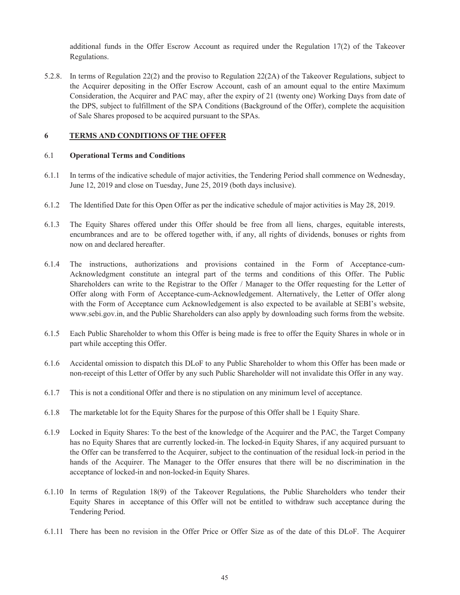additional funds in the Offer Escrow Account as required under the Regulation 17(2) of the Takeover Regulations.

5.2.8. In terms of Regulation 22(2) and the proviso to Regulation 22(2A) of the Takeover Regulations, subject to the Acquirer depositing in the Offer Escrow Account, cash of an amount equal to the entire Maximum Consideration, the Acquirer and PAC may, after the expiry of 21 (twenty one) Working Days from date of the DPS, subject to fulfillment of the SPA Conditions (Background of the Offer), complete the acquisition of Sale Shares proposed to be acquired pursuant to the SPAs.

### **6 TERMS AND CONDITIONS OF THE OFFER**

#### 6.1 **Operational Terms and Conditions**

- 6.1.1 In terms of the indicative schedule of major activities, the Tendering Period shall commence on Wednesday, June 12, 2019 and close on Tuesday, June 25, 2019 (both days inclusive).
- 6.1.2 The Identified Date for this Open Offer as per the indicative schedule of major activities is May 28, 2019.
- 6.1.3 The Equity Shares offered under this Offer should be free from all liens, charges, equitable interests, encumbrances and are to be offered together with, if any, all rights of dividends, bonuses or rights from now on and declared hereafter.
- 6.1.4 The instructions, authorizations and provisions contained in the Form of Acceptance-cum-Acknowledgment constitute an integral part of the terms and conditions of this Offer. The Public Shareholders can write to the Registrar to the Offer / Manager to the Offer requesting for the Letter of Offer along with Form of Acceptance-cum-Acknowledgement. Alternatively, the Letter of Offer along with the Form of Acceptance cum Acknowledgement is also expected to be available at SEBI's website, www.sebi.gov.in, and the Public Shareholders can also apply by downloading such forms from the website.
- 6.1.5 Each Public Shareholder to whom this Offer is being made is free to offer the Equity Shares in whole or in part while accepting this Offer.
- 6.1.6 Accidental omission to dispatch this DLoF to any Public Shareholder to whom this Offer has been made or non-receipt of this Letter of Offer by any such Public Shareholder will not invalidate this Offer in any way.
- 6.1.7 This is not a conditional Offer and there is no stipulation on any minimum level of acceptance.
- 6.1.8 The marketable lot for the Equity Shares for the purpose of this Offer shall be 1 Equity Share.
- 6.1.9 Locked in Equity Shares: To the best of the knowledge of the Acquirer and the PAC, the Target Company has no Equity Shares that are currently locked-in. The locked-in Equity Shares, if any acquired pursuant to the Offer can be transferred to the Acquirer, subject to the continuation of the residual lock-in period in the hands of the Acquirer. The Manager to the Offer ensures that there will be no discrimination in the acceptance of locked-in and non-locked-in Equity Shares.
- 6.1.10 In terms of Regulation 18(9) of the Takeover Regulations, the Public Shareholders who tender their Equity Shares in acceptance of this Offer will not be entitled to withdraw such acceptance during the Tendering Period.
- 6.1.11 There has been no revision in the Offer Price or Offer Size as of the date of this DLoF. The Acquirer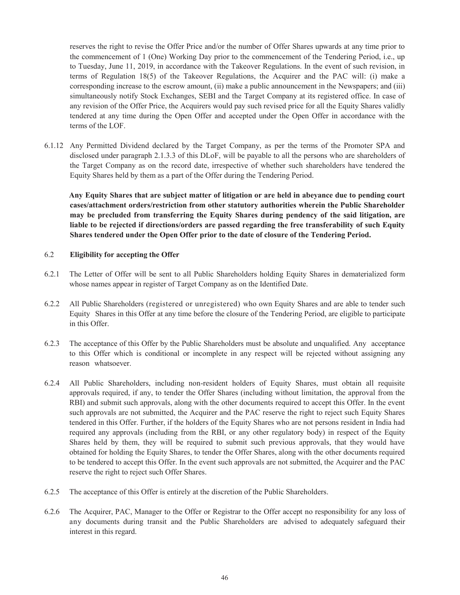reserves the right to revise the Offer Price and/or the number of Offer Shares upwards at any time prior to the commencement of 1 (One) Working Day prior to the commencement of the Tendering Period, i.e., up to Tuesday, June 11, 2019, in accordance with the Takeover Regulations. In the event of such revision, in terms of Regulation 18(5) of the Takeover Regulations, the Acquirer and the PAC will: (i) make a corresponding increase to the escrow amount, (ii) make a public announcement in the Newspapers; and (iii) simultaneously notify Stock Exchanges, SEBI and the Target Company at its registered office. In case of any revision of the Offer Price, the Acquirers would pay such revised price for all the Equity Shares validly tendered at any time during the Open Offer and accepted under the Open Offer in accordance with the terms of the LOF.

6.1.12 Any Permitted Dividend declared by the Target Company, as per the terms of the Promoter SPA and disclosed under paragraph 2.1.3.3 of this DLoF, will be payable to all the persons who are shareholders of the Target Company as on the record date, irrespective of whether such shareholders have tendered the Equity Shares held by them as a part of the Offer during the Tendering Period.

**Any Equity Shares that are subject matter of litigation or are held in abeyance due to pending court cases/attachment orders/restriction from other statutory authorities wherein the Public Shareholder may be precluded from transferring the Equity Shares during pendency of the said litigation, are liable to be rejected if directions/orders are passed regarding the free transferability of such Equity Shares tendered under the Open Offer prior to the date of closure of the Tendering Period.** 

### 6.2 **Eligibility for accepting the Offer**

- 6.2.1 The Letter of Offer will be sent to all Public Shareholders holding Equity Shares in dematerialized form whose names appear in register of Target Company as on the Identified Date.
- 6.2.2 All Public Shareholders (registered or unregistered) who own Equity Shares and are able to tender such Equity Shares in this Offer at any time before the closure of the Tendering Period, are eligible to participate in this Offer.
- 6.2.3 The acceptance of this Offer by the Public Shareholders must be absolute and unqualified. Any acceptance to this Offer which is conditional or incomplete in any respect will be rejected without assigning any reason whatsoever.
- 6.2.4 All Public Shareholders, including non-resident holders of Equity Shares, must obtain all requisite approvals required, if any, to tender the Offer Shares (including without limitation, the approval from the RBI) and submit such approvals, along with the other documents required to accept this Offer. In the event such approvals are not submitted, the Acquirer and the PAC reserve the right to reject such Equity Shares tendered in this Offer. Further, if the holders of the Equity Shares who are not persons resident in India had required any approvals (including from the RBI, or any other regulatory body) in respect of the Equity Shares held by them, they will be required to submit such previous approvals, that they would have obtained for holding the Equity Shares, to tender the Offer Shares, along with the other documents required to be tendered to accept this Offer. In the event such approvals are not submitted, the Acquirer and the PAC reserve the right to reject such Offer Shares.
- 6.2.5 The acceptance of this Offer is entirely at the discretion of the Public Shareholders.
- 6.2.6 The Acquirer, PAC, Manager to the Offer or Registrar to the Offer accept no responsibility for any loss of any documents during transit and the Public Shareholders are advised to adequately safeguard their interest in this regard.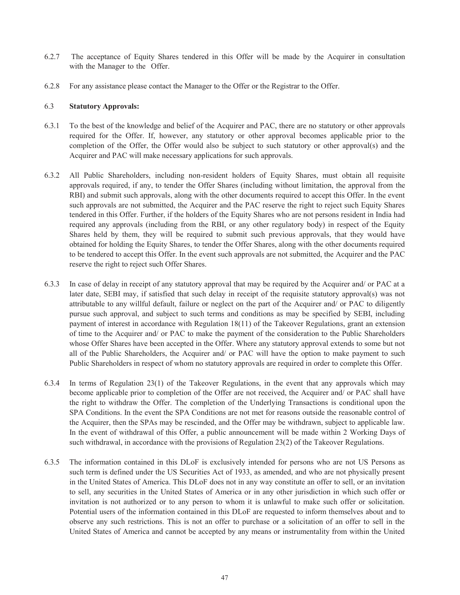- 6.2.7 The acceptance of Equity Shares tendered in this Offer will be made by the Acquirer in consultation with the Manager to the Offer.
- 6.2.8 For any assistance please contact the Manager to the Offer or the Registrar to the Offer.

#### 6.3 **Statutory Approvals:**

- 6.3.1 To the best of the knowledge and belief of the Acquirer and PAC, there are no statutory or other approvals required for the Offer. If, however, any statutory or other approval becomes applicable prior to the completion of the Offer, the Offer would also be subject to such statutory or other approval(s) and the Acquirer and PAC will make necessary applications for such approvals.
- 6.3.2 All Public Shareholders, including non-resident holders of Equity Shares, must obtain all requisite approvals required, if any, to tender the Offer Shares (including without limitation, the approval from the RBI) and submit such approvals, along with the other documents required to accept this Offer. In the event such approvals are not submitted, the Acquirer and the PAC reserve the right to reject such Equity Shares tendered in this Offer. Further, if the holders of the Equity Shares who are not persons resident in India had required any approvals (including from the RBI, or any other regulatory body) in respect of the Equity Shares held by them, they will be required to submit such previous approvals, that they would have obtained for holding the Equity Shares, to tender the Offer Shares, along with the other documents required to be tendered to accept this Offer. In the event such approvals are not submitted, the Acquirer and the PAC reserve the right to reject such Offer Shares.
- 6.3.3 In case of delay in receipt of any statutory approval that may be required by the Acquirer and/ or PAC at a later date, SEBI may, if satisfied that such delay in receipt of the requisite statutory approval(s) was not attributable to any willful default, failure or neglect on the part of the Acquirer and/ or PAC to diligently pursue such approval, and subject to such terms and conditions as may be specified by SEBI, including payment of interest in accordance with Regulation 18(11) of the Takeover Regulations, grant an extension of time to the Acquirer and/ or PAC to make the payment of the consideration to the Public Shareholders whose Offer Shares have been accepted in the Offer. Where any statutory approval extends to some but not all of the Public Shareholders, the Acquirer and/ or PAC will have the option to make payment to such Public Shareholders in respect of whom no statutory approvals are required in order to complete this Offer.
- 6.3.4 In terms of Regulation 23(1) of the Takeover Regulations, in the event that any approvals which may become applicable prior to completion of the Offer are not received, the Acquirer and/ or PAC shall have the right to withdraw the Offer. The completion of the Underlying Transactions is conditional upon the SPA Conditions. In the event the SPA Conditions are not met for reasons outside the reasonable control of the Acquirer, then the SPAs may be rescinded, and the Offer may be withdrawn, subject to applicable law. In the event of withdrawal of this Offer, a public announcement will be made within 2 Working Days of such withdrawal, in accordance with the provisions of Regulation 23(2) of the Takeover Regulations.
- 6.3.5 The information contained in this DLoF is exclusively intended for persons who are not US Persons as such term is defined under the US Securities Act of 1933, as amended, and who are not physically present in the United States of America. This DLoF does not in any way constitute an offer to sell, or an invitation to sell, any securities in the United States of America or in any other jurisdiction in which such offer or invitation is not authorized or to any person to whom it is unlawful to make such offer or solicitation. Potential users of the information contained in this DLoF are requested to inform themselves about and to observe any such restrictions. This is not an offer to purchase or a solicitation of an offer to sell in the United States of America and cannot be accepted by any means or instrumentality from within the United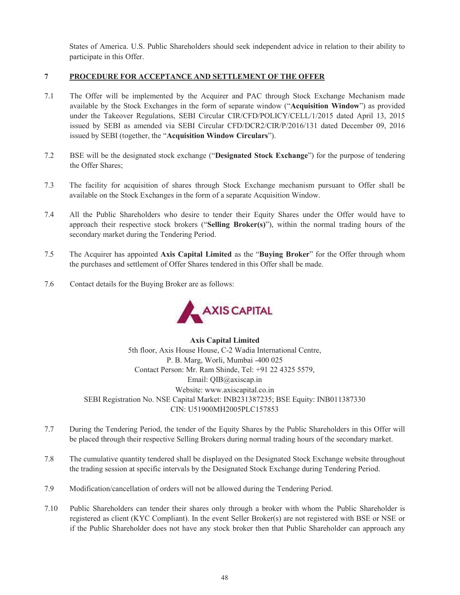States of America. U.S. Public Shareholders should seek independent advice in relation to their ability to participate in this Offer.

### **7 PROCEDURE FOR ACCEPTANCE AND SETTLEMENT OF THE OFFER**

- 7.1 The Offer will be implemented by the Acquirer and PAC through Stock Exchange Mechanism made available by the Stock Exchanges in the form of separate window ("**Acquisition Window**") as provided under the Takeover Regulations, SEBI Circular CIR/CFD/POLICY/CELL/1/2015 dated April 13, 2015 issued by SEBI as amended via SEBI Circular CFD/DCR2/CIR/P/2016/131 dated December 09, 2016 issued by SEBI (together, the "**Acquisition Window Circulars**").
- 7.2 BSE will be the designated stock exchange ("**Designated Stock Exchange**") for the purpose of tendering the Offer Shares;
- 7.3 The facility for acquisition of shares through Stock Exchange mechanism pursuant to Offer shall be available on the Stock Exchanges in the form of a separate Acquisition Window.
- 7.4 All the Public Shareholders who desire to tender their Equity Shares under the Offer would have to approach their respective stock brokers ("**Selling Broker(s)**"), within the normal trading hours of the secondary market during the Tendering Period.
- 7.5 The Acquirer has appointed **Axis Capital Limited** as the "**Buying Broker**" for the Offer through whom the purchases and settlement of Offer Shares tendered in this Offer shall be made.
- 7.6 Contact details for the Buying Broker are as follows:



**Axis Capital Limited**  5th floor, Axis House House, C-2 Wadia International Centre, P. B. Marg, Worli, Mumbai -400 025 Contact Person: Mr. Ram Shinde, Tel: +91 22 4325 5579, Email: QIB@axiscap.in Website: www.axiscapital.co.in SEBI Registration No. NSE Capital Market: INB231387235; BSE Equity: INB011387330 CIN: U51900MH2005PLC157853

- 7.7 During the Tendering Period, the tender of the Equity Shares by the Public Shareholders in this Offer will be placed through their respective Selling Brokers during normal trading hours of the secondary market.
- 7.8 The cumulative quantity tendered shall be displayed on the Designated Stock Exchange website throughout the trading session at specific intervals by the Designated Stock Exchange during Tendering Period.
- 7.9 Modification/cancellation of orders will not be allowed during the Tendering Period.
- 7.10 Public Shareholders can tender their shares only through a broker with whom the Public Shareholder is registered as client (KYC Compliant). In the event Seller Broker(s) are not registered with BSE or NSE or if the Public Shareholder does not have any stock broker then that Public Shareholder can approach any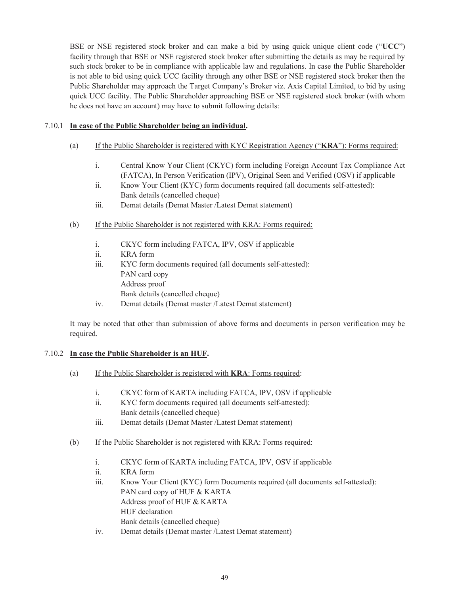BSE or NSE registered stock broker and can make a bid by using quick unique client code ("**UCC**") facility through that BSE or NSE registered stock broker after submitting the details as may be required by such stock broker to be in compliance with applicable law and regulations. In case the Public Shareholder is not able to bid using quick UCC facility through any other BSE or NSE registered stock broker then the Public Shareholder may approach the Target Company's Broker viz. Axis Capital Limited, to bid by using quick UCC facility. The Public Shareholder approaching BSE or NSE registered stock broker (with whom he does not have an account) may have to submit following details:

### 7.10.1 **In case of the Public Shareholder being an individual.**

- (a) If the Public Shareholder is registered with KYC Registration Agency ("**KRA**"): Forms required:
	- i. Central Know Your Client (CKYC) form including Foreign Account Tax Compliance Act (FATCA), In Person Verification (IPV), Original Seen and Verified (OSV) if applicable
	- ii. Know Your Client (KYC) form documents required (all documents self-attested): Bank details (cancelled cheque)
	- iii. Demat details (Demat Master /Latest Demat statement)
- (b) If the Public Shareholder is not registered with KRA: Forms required:
	- i. CKYC form including FATCA, IPV, OSV if applicable
	- ii. KRA form
	- iii. KYC form documents required (all documents self-attested): PAN card copy Address proof Bank details (cancelled cheque)
	- iv. Demat details (Demat master /Latest Demat statement)

It may be noted that other than submission of above forms and documents in person verification may be required.

### 7.10.2 **In case the Public Shareholder is an HUF.**

- (a) If the Public Shareholder is registered with **KRA**: Forms required:
	- i. CKYC form of KARTA including FATCA, IPV, OSV if applicable
	- ii. KYC form documents required (all documents self-attested): Bank details (cancelled cheque)
	- iii. Demat details (Demat Master /Latest Demat statement)
- (b) If the Public Shareholder is not registered with KRA: Forms required:
	- i. CKYC form of KARTA including FATCA, IPV, OSV if applicable
	- ii. KRA form
	- iii. Know Your Client (KYC) form Documents required (all documents self-attested): PAN card copy of HUF & KARTA Address proof of HUF & KARTA HUF declaration Bank details (cancelled cheque)
	- iv. Demat details (Demat master /Latest Demat statement)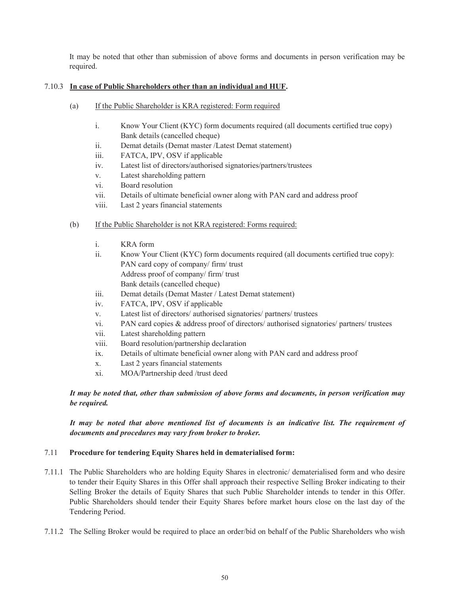It may be noted that other than submission of above forms and documents in person verification may be required.

# 7.10.3 **In case of Public Shareholders other than an individual and HUF.**

- (a) If the Public Shareholder is KRA registered: Form required
	- i. Know Your Client (KYC) form documents required (all documents certified true copy) Bank details (cancelled cheque)
	- ii. Demat details (Demat master /Latest Demat statement)
	- iii. FATCA, IPV, OSV if applicable
	- iv. Latest list of directors/authorised signatories/partners/trustees
	- v. Latest shareholding pattern
	- vi. Board resolution
	- vii. Details of ultimate beneficial owner along with PAN card and address proof
	- viii. Last 2 years financial statements
- (b) If the Public Shareholder is not KRA registered: Forms required:
	- i. KRA form
	- ii. Know Your Client (KYC) form documents required (all documents certified true copy): PAN card copy of company/ firm/ trust Address proof of company/ firm/ trust Bank details (cancelled cheque)
	- iii. Demat details (Demat Master / Latest Demat statement)
	- iv. FATCA, IPV, OSV if applicable
	- v. Latest list of directors/ authorised signatories/ partners/ trustees
	- vi. PAN card copies & address proof of directors/ authorised signatories/ partners/ trustees
	- vii. Latest shareholding pattern
	- viii. Board resolution/partnership declaration
	- ix. Details of ultimate beneficial owner along with PAN card and address proof
	- x. Last 2 years financial statements
	- xi. MOA/Partnership deed /trust deed

*It may be noted that, other than submission of above forms and documents, in person verification may be required.* 

*It may be noted that above mentioned list of documents is an indicative list. The requirement of documents and procedures may vary from broker to broker.* 

#### 7.11 **Procedure for tendering Equity Shares held in dematerialised form:**

- 7.11.1 The Public Shareholders who are holding Equity Shares in electronic/ dematerialised form and who desire to tender their Equity Shares in this Offer shall approach their respective Selling Broker indicating to their Selling Broker the details of Equity Shares that such Public Shareholder intends to tender in this Offer. Public Shareholders should tender their Equity Shares before market hours close on the last day of the Tendering Period.
- 7.11.2 The Selling Broker would be required to place an order/bid on behalf of the Public Shareholders who wish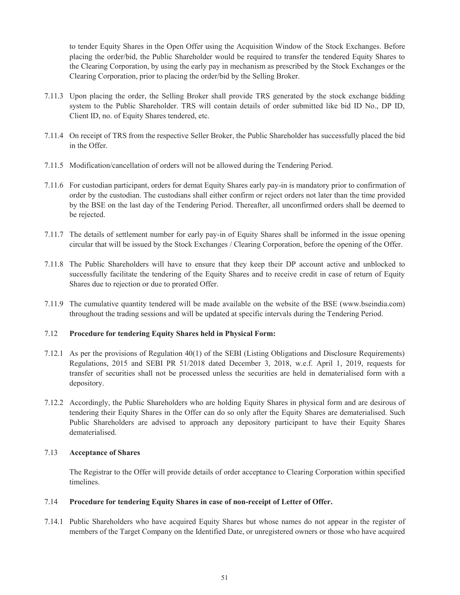to tender Equity Shares in the Open Offer using the Acquisition Window of the Stock Exchanges. Before placing the order/bid, the Public Shareholder would be required to transfer the tendered Equity Shares to the Clearing Corporation, by using the early pay in mechanism as prescribed by the Stock Exchanges or the Clearing Corporation, prior to placing the order/bid by the Selling Broker.

- 7.11.3 Upon placing the order, the Selling Broker shall provide TRS generated by the stock exchange bidding system to the Public Shareholder. TRS will contain details of order submitted like bid ID No., DP ID, Client ID, no. of Equity Shares tendered, etc.
- 7.11.4 On receipt of TRS from the respective Seller Broker, the Public Shareholder has successfully placed the bid in the Offer.
- 7.11.5 Modification/cancellation of orders will not be allowed during the Tendering Period.
- 7.11.6 For custodian participant, orders for demat Equity Shares early pay-in is mandatory prior to confirmation of order by the custodian. The custodians shall either confirm or reject orders not later than the time provided by the BSE on the last day of the Tendering Period. Thereafter, all unconfirmed orders shall be deemed to be rejected.
- 7.11.7 The details of settlement number for early pay-in of Equity Shares shall be informed in the issue opening circular that will be issued by the Stock Exchanges / Clearing Corporation, before the opening of the Offer.
- 7.11.8 The Public Shareholders will have to ensure that they keep their DP account active and unblocked to successfully facilitate the tendering of the Equity Shares and to receive credit in case of return of Equity Shares due to rejection or due to prorated Offer.
- 7.11.9 The cumulative quantity tendered will be made available on the website of the BSE (www.bseindia.com) throughout the trading sessions and will be updated at specific intervals during the Tendering Period.

#### 7.12 **Procedure for tendering Equity Shares held in Physical Form:**

- 7.12.1 As per the provisions of Regulation 40(1) of the SEBI (Listing Obligations and Disclosure Requirements) Regulations, 2015 and SEBI PR 51/2018 dated December 3, 2018, w.e.f. April 1, 2019, requests for transfer of securities shall not be processed unless the securities are held in dematerialised form with a depository.
- 7.12.2 Accordingly, the Public Shareholders who are holding Equity Shares in physical form and are desirous of tendering their Equity Shares in the Offer can do so only after the Equity Shares are dematerialised. Such Public Shareholders are advised to approach any depository participant to have their Equity Shares dematerialised.

#### 7.13 **Acceptance of Shares**

The Registrar to the Offer will provide details of order acceptance to Clearing Corporation within specified timelines.

#### 7.14 **Procedure for tendering Equity Shares in case of non-receipt of Letter of Offer.**

7.14.1 Public Shareholders who have acquired Equity Shares but whose names do not appear in the register of members of the Target Company on the Identified Date, or unregistered owners or those who have acquired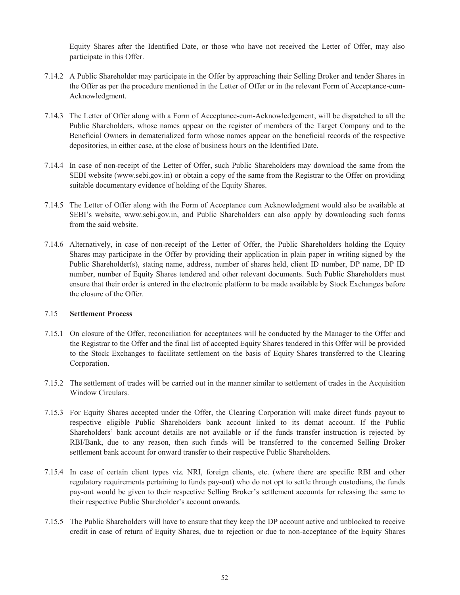Equity Shares after the Identified Date, or those who have not received the Letter of Offer, may also participate in this Offer.

- 7.14.2 A Public Shareholder may participate in the Offer by approaching their Selling Broker and tender Shares in the Offer as per the procedure mentioned in the Letter of Offer or in the relevant Form of Acceptance-cum-Acknowledgment.
- 7.14.3 The Letter of Offer along with a Form of Acceptance-cum-Acknowledgement, will be dispatched to all the Public Shareholders, whose names appear on the register of members of the Target Company and to the Beneficial Owners in dematerialized form whose names appear on the beneficial records of the respective depositories, in either case, at the close of business hours on the Identified Date.
- 7.14.4 In case of non-receipt of the Letter of Offer, such Public Shareholders may download the same from the SEBI website (www.sebi.gov.in) or obtain a copy of the same from the Registrar to the Offer on providing suitable documentary evidence of holding of the Equity Shares.
- 7.14.5 The Letter of Offer along with the Form of Acceptance cum Acknowledgment would also be available at SEBI's website, www.sebi.gov.in, and Public Shareholders can also apply by downloading such forms from the said website.
- 7.14.6 Alternatively, in case of non-receipt of the Letter of Offer, the Public Shareholders holding the Equity Shares may participate in the Offer by providing their application in plain paper in writing signed by the Public Shareholder(s), stating name, address, number of shares held, client ID number, DP name, DP ID number, number of Equity Shares tendered and other relevant documents. Such Public Shareholders must ensure that their order is entered in the electronic platform to be made available by Stock Exchanges before the closure of the Offer.

## 7.15 **Settlement Process**

- 7.15.1 On closure of the Offer, reconciliation for acceptances will be conducted by the Manager to the Offer and the Registrar to the Offer and the final list of accepted Equity Shares tendered in this Offer will be provided to the Stock Exchanges to facilitate settlement on the basis of Equity Shares transferred to the Clearing Corporation.
- 7.15.2 The settlement of trades will be carried out in the manner similar to settlement of trades in the Acquisition Window Circulars.
- 7.15.3 For Equity Shares accepted under the Offer, the Clearing Corporation will make direct funds payout to respective eligible Public Shareholders bank account linked to its demat account. If the Public Shareholders' bank account details are not available or if the funds transfer instruction is rejected by RBI/Bank, due to any reason, then such funds will be transferred to the concerned Selling Broker settlement bank account for onward transfer to their respective Public Shareholders.
- 7.15.4 In case of certain client types viz. NRI, foreign clients, etc. (where there are specific RBI and other regulatory requirements pertaining to funds pay-out) who do not opt to settle through custodians, the funds pay-out would be given to their respective Selling Broker's settlement accounts for releasing the same to their respective Public Shareholder's account onwards.
- 7.15.5 The Public Shareholders will have to ensure that they keep the DP account active and unblocked to receive credit in case of return of Equity Shares, due to rejection or due to non-acceptance of the Equity Shares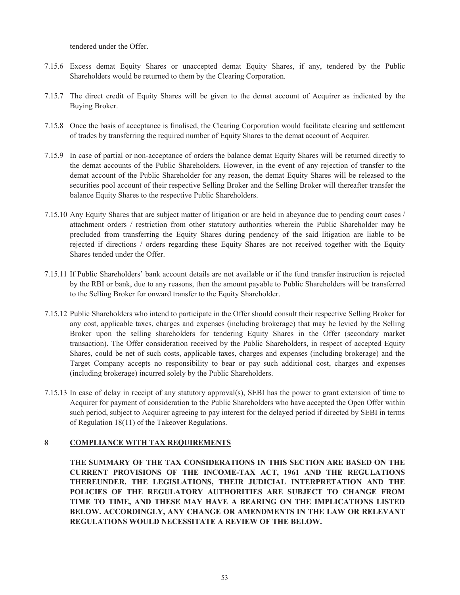tendered under the Offer.

- 7.15.6 Excess demat Equity Shares or unaccepted demat Equity Shares, if any, tendered by the Public Shareholders would be returned to them by the Clearing Corporation.
- 7.15.7 The direct credit of Equity Shares will be given to the demat account of Acquirer as indicated by the Buying Broker.
- 7.15.8 Once the basis of acceptance is finalised, the Clearing Corporation would facilitate clearing and settlement of trades by transferring the required number of Equity Shares to the demat account of Acquirer.
- 7.15.9 In case of partial or non-acceptance of orders the balance demat Equity Shares will be returned directly to the demat accounts of the Public Shareholders. However, in the event of any rejection of transfer to the demat account of the Public Shareholder for any reason, the demat Equity Shares will be released to the securities pool account of their respective Selling Broker and the Selling Broker will thereafter transfer the balance Equity Shares to the respective Public Shareholders.
- 7.15.10 Any Equity Shares that are subject matter of litigation or are held in abeyance due to pending court cases / attachment orders / restriction from other statutory authorities wherein the Public Shareholder may be precluded from transferring the Equity Shares during pendency of the said litigation are liable to be rejected if directions / orders regarding these Equity Shares are not received together with the Equity Shares tended under the Offer.
- 7.15.11 If Public Shareholders' bank account details are not available or if the fund transfer instruction is rejected by the RBI or bank, due to any reasons, then the amount payable to Public Shareholders will be transferred to the Selling Broker for onward transfer to the Equity Shareholder.
- 7.15.12 Public Shareholders who intend to participate in the Offer should consult their respective Selling Broker for any cost, applicable taxes, charges and expenses (including brokerage) that may be levied by the Selling Broker upon the selling shareholders for tendering Equity Shares in the Offer (secondary market transaction). The Offer consideration received by the Public Shareholders, in respect of accepted Equity Shares, could be net of such costs, applicable taxes, charges and expenses (including brokerage) and the Target Company accepts no responsibility to bear or pay such additional cost, charges and expenses (including brokerage) incurred solely by the Public Shareholders.
- 7.15.13 In case of delay in receipt of any statutory approval(s), SEBI has the power to grant extension of time to Acquirer for payment of consideration to the Public Shareholders who have accepted the Open Offer within such period, subject to Acquirer agreeing to pay interest for the delayed period if directed by SEBI in terms of Regulation 18(11) of the Takeover Regulations.

# **8 COMPLIANCE WITH TAX REQUIREMENTS**

**THE SUMMARY OF THE TAX CONSIDERATIONS IN THIS SECTION ARE BASED ON THE CURRENT PROVISIONS OF THE INCOME-TAX ACT, 1961 AND THE REGULATIONS THEREUNDER. THE LEGISLATIONS, THEIR JUDICIAL INTERPRETATION AND THE POLICIES OF THE REGULATORY AUTHORITIES ARE SUBJECT TO CHANGE FROM TIME TO TIME, AND THESE MAY HAVE A BEARING ON THE IMPLICATIONS LISTED BELOW. ACCORDINGLY, ANY CHANGE OR AMENDMENTS IN THE LAW OR RELEVANT REGULATIONS WOULD NECESSITATE A REVIEW OF THE BELOW.**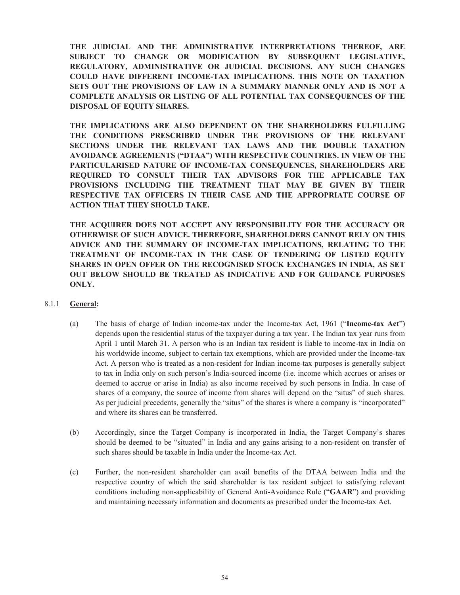**THE JUDICIAL AND THE ADMINISTRATIVE INTERPRETATIONS THEREOF, ARE SUBJECT TO CHANGE OR MODIFICATION BY SUBSEQUENT LEGISLATIVE, REGULATORY, ADMINISTRATIVE OR JUDICIAL DECISIONS. ANY SUCH CHANGES COULD HAVE DIFFERENT INCOME-TAX IMPLICATIONS. THIS NOTE ON TAXATION SETS OUT THE PROVISIONS OF LAW IN A SUMMARY MANNER ONLY AND IS NOT A COMPLETE ANALYSIS OR LISTING OF ALL POTENTIAL TAX CONSEQUENCES OF THE DISPOSAL OF EQUITY SHARES.** 

**THE IMPLICATIONS ARE ALSO DEPENDENT ON THE SHAREHOLDERS FULFILLING THE CONDITIONS PRESCRIBED UNDER THE PROVISIONS OF THE RELEVANT SECTIONS UNDER THE RELEVANT TAX LAWS AND THE DOUBLE TAXATION AVOIDANCE AGREEMENTS ("DTAA") WITH RESPECTIVE COUNTRIES. IN VIEW OF THE PARTICULARISED NATURE OF INCOME-TAX CONSEQUENCES, SHAREHOLDERS ARE REQUIRED TO CONSULT THEIR TAX ADVISORS FOR THE APPLICABLE TAX PROVISIONS INCLUDING THE TREATMENT THAT MAY BE GIVEN BY THEIR RESPECTIVE TAX OFFICERS IN THEIR CASE AND THE APPROPRIATE COURSE OF ACTION THAT THEY SHOULD TAKE.** 

**THE ACQUIRER DOES NOT ACCEPT ANY RESPONSIBILITY FOR THE ACCURACY OR OTHERWISE OF SUCH ADVICE. THEREFORE, SHAREHOLDERS CANNOT RELY ON THIS ADVICE AND THE SUMMARY OF INCOME-TAX IMPLICATIONS, RELATING TO THE TREATMENT OF INCOME-TAX IN THE CASE OF TENDERING OF LISTED EQUITY SHARES IN OPEN OFFER ON THE RECOGNISED STOCK EXCHANGES IN INDIA, AS SET OUT BELOW SHOULD BE TREATED AS INDICATIVE AND FOR GUIDANCE PURPOSES ONLY.** 

## 8.1.1 **General:**

- (a) The basis of charge of Indian income-tax under the Income-tax Act, 1961 ("**Income-tax Act**") depends upon the residential status of the taxpayer during a tax year. The Indian tax year runs from April 1 until March 31. A person who is an Indian tax resident is liable to income-tax in India on his worldwide income, subject to certain tax exemptions, which are provided under the Income-tax Act. A person who is treated as a non-resident for Indian income-tax purposes is generally subject to tax in India only on such person's India-sourced income (i.e. income which accrues or arises or deemed to accrue or arise in India) as also income received by such persons in India. In case of shares of a company, the source of income from shares will depend on the "situs" of such shares. As per judicial precedents, generally the "situs" of the shares is where a company is "incorporated" and where its shares can be transferred.
- (b) Accordingly, since the Target Company is incorporated in India, the Target Company's shares should be deemed to be "situated" in India and any gains arising to a non-resident on transfer of such shares should be taxable in India under the Income-tax Act.
- (c) Further, the non-resident shareholder can avail benefits of the DTAA between India and the respective country of which the said shareholder is tax resident subject to satisfying relevant conditions including non-applicability of General Anti-Avoidance Rule ("**GAAR**") and providing and maintaining necessary information and documents as prescribed under the Income-tax Act.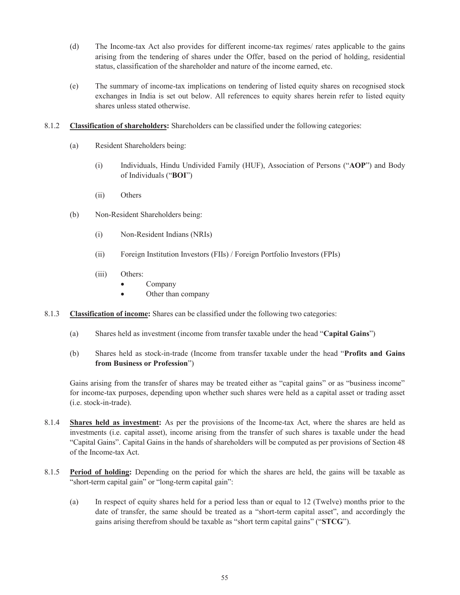- (d) The Income-tax Act also provides for different income-tax regimes/ rates applicable to the gains arising from the tendering of shares under the Offer, based on the period of holding, residential status, classification of the shareholder and nature of the income earned, etc.
- (e) The summary of income-tax implications on tendering of listed equity shares on recognised stock exchanges in India is set out below. All references to equity shares herein refer to listed equity shares unless stated otherwise.
- 8.1.2 **Classification of shareholders:** Shareholders can be classified under the following categories:
	- (a) Resident Shareholders being:
		- (i) Individuals, Hindu Undivided Family (HUF), Association of Persons ("**AOP**") and Body of Individuals ("**BOI**")
		- (ii) Others
	- (b) Non-Resident Shareholders being:
		- (i) Non-Resident Indians (NRIs)
		- (ii) Foreign Institution Investors (FIIs) / Foreign Portfolio Investors (FPIs)
		- (iii) Others:
			- · Company
			- · Other than company
- 8.1.3 **Classification of income:** Shares can be classified under the following two categories:
	- (a) Shares held as investment (income from transfer taxable under the head "**Capital Gains**")
	- (b) Shares held as stock-in-trade (Income from transfer taxable under the head "**Profits and Gains from Business or Profession**")

Gains arising from the transfer of shares may be treated either as "capital gains" or as "business income" for income-tax purposes, depending upon whether such shares were held as a capital asset or trading asset (i.e. stock-in-trade).

- 8.1.4 **Shares held as investment:** As per the provisions of the Income-tax Act, where the shares are held as investments (i.e. capital asset), income arising from the transfer of such shares is taxable under the head "Capital Gains". Capital Gains in the hands of shareholders will be computed as per provisions of Section 48 of the Income-tax Act.
- 8.1.5 **Period of holding:** Depending on the period for which the shares are held, the gains will be taxable as "short-term capital gain" or "long-term capital gain":
	- (a) In respect of equity shares held for a period less than or equal to 12 (Twelve) months prior to the date of transfer, the same should be treated as a "short-term capital asset", and accordingly the gains arising therefrom should be taxable as "short term capital gains" ("**STCG**").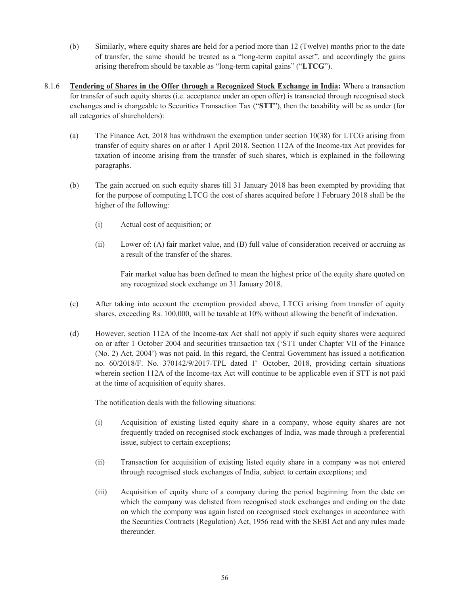- (b) Similarly, where equity shares are held for a period more than 12 (Twelve) months prior to the date of transfer, the same should be treated as a "long-term capital asset", and accordingly the gains arising therefrom should be taxable as "long-term capital gains" ("**LTCG**").
- 8.1.6 **Tendering of Shares in the Offer through a Recognized Stock Exchange in India:** Where a transaction for transfer of such equity shares (i.e. acceptance under an open offer) is transacted through recognised stock exchanges and is chargeable to Securities Transaction Tax ("**STT**"), then the taxability will be as under (for all categories of shareholders):
	- (a) The Finance Act, 2018 has withdrawn the exemption under section 10(38) for LTCG arising from transfer of equity shares on or after 1 April 2018. Section 112A of the Income-tax Act provides for taxation of income arising from the transfer of such shares, which is explained in the following paragraphs.
	- (b) The gain accrued on such equity shares till 31 January 2018 has been exempted by providing that for the purpose of computing LTCG the cost of shares acquired before 1 February 2018 shall be the higher of the following:
		- (i) Actual cost of acquisition; or
		- (ii) Lower of: (A) fair market value, and (B) full value of consideration received or accruing as a result of the transfer of the shares.

Fair market value has been defined to mean the highest price of the equity share quoted on any recognized stock exchange on 31 January 2018.

- (c) After taking into account the exemption provided above, LTCG arising from transfer of equity shares, exceeding Rs. 100,000, will be taxable at 10% without allowing the benefit of indexation.
- (d) However, section 112A of the Income-tax Act shall not apply if such equity shares were acquired on or after 1 October 2004 and securities transaction tax ('STT under Chapter VII of the Finance (No. 2) Act, 2004') was not paid. In this regard, the Central Government has issued a notification no. 60/2018/F. No. 370142/9/2017-TPL dated 1st October, 2018, providing certain situations wherein section 112A of the Income-tax Act will continue to be applicable even if STT is not paid at the time of acquisition of equity shares.

The notification deals with the following situations:

- (i) Acquisition of existing listed equity share in a company, whose equity shares are not frequently traded on recognised stock exchanges of India, was made through a preferential issue, subject to certain exceptions;
- (ii) Transaction for acquisition of existing listed equity share in a company was not entered through recognised stock exchanges of India, subject to certain exceptions; and
- (iii) Acquisition of equity share of a company during the period beginning from the date on which the company was delisted from recognised stock exchanges and ending on the date on which the company was again listed on recognised stock exchanges in accordance with the Securities Contracts (Regulation) Act, 1956 read with the SEBI Act and any rules made thereunder.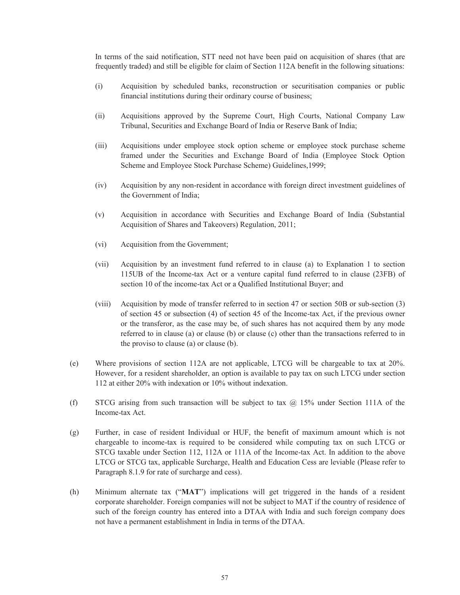In terms of the said notification, STT need not have been paid on acquisition of shares (that are frequently traded) and still be eligible for claim of Section 112A benefit in the following situations:

- (i) Acquisition by scheduled banks, reconstruction or securitisation companies or public financial institutions during their ordinary course of business;
- (ii) Acquisitions approved by the Supreme Court, High Courts, National Company Law Tribunal, Securities and Exchange Board of India or Reserve Bank of India;
- (iii) Acquisitions under employee stock option scheme or employee stock purchase scheme framed under the Securities and Exchange Board of India (Employee Stock Option Scheme and Employee Stock Purchase Scheme) Guidelines,1999;
- (iv) Acquisition by any non-resident in accordance with foreign direct investment guidelines of the Government of India;
- (v) Acquisition in accordance with Securities and Exchange Board of India (Substantial Acquisition of Shares and Takeovers) Regulation, 2011;
- (vi) Acquisition from the Government;
- (vii) Acquisition by an investment fund referred to in clause (a) to Explanation 1 to section 115UB of the Income-tax Act or a venture capital fund referred to in clause (23FB) of section 10 of the income-tax Act or a Qualified Institutional Buyer; and
- (viii) Acquisition by mode of transfer referred to in section 47 or section 50B or sub-section (3) of section 45 or subsection (4) of section 45 of the Income-tax Act, if the previous owner or the transferor, as the case may be, of such shares has not acquired them by any mode referred to in clause (a) or clause (b) or clause (c) other than the transactions referred to in the proviso to clause (a) or clause (b).
- (e) Where provisions of section 112A are not applicable, LTCG will be chargeable to tax at 20%. However, for a resident shareholder, an option is available to pay tax on such LTCG under section 112 at either 20% with indexation or 10% without indexation.
- (f) STCG arising from such transaction will be subject to tax  $\omega$  15% under Section 111A of the Income-tax Act.
- (g) Further, in case of resident Individual or HUF, the benefit of maximum amount which is not chargeable to income-tax is required to be considered while computing tax on such LTCG or STCG taxable under Section 112, 112A or 111A of the Income-tax Act. In addition to the above LTCG or STCG tax, applicable Surcharge, Health and Education Cess are leviable (Please refer to Paragraph 8.1.9 for rate of surcharge and cess).
- (h) Minimum alternate tax ("**MAT**") implications will get triggered in the hands of a resident corporate shareholder. Foreign companies will not be subject to MAT if the country of residence of such of the foreign country has entered into a DTAA with India and such foreign company does not have a permanent establishment in India in terms of the DTAA.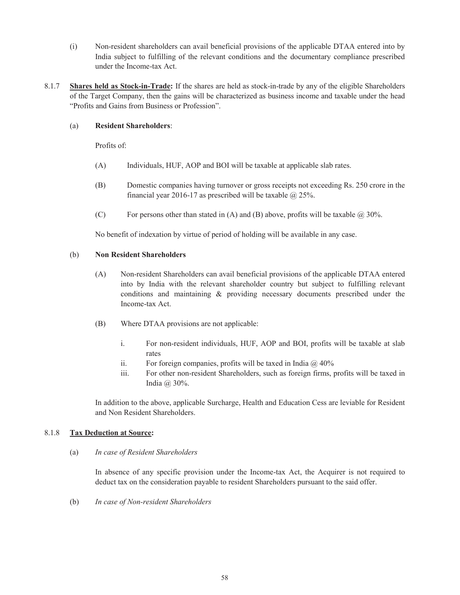- (i) Non-resident shareholders can avail beneficial provisions of the applicable DTAA entered into by India subject to fulfilling of the relevant conditions and the documentary compliance prescribed under the Income-tax Act.
- 8.1.7 **Shares held as Stock-in-Trade:** If the shares are held as stock-in-trade by any of the eligible Shareholders of the Target Company, then the gains will be characterized as business income and taxable under the head "Profits and Gains from Business or Profession".

### (a) **Resident Shareholders**:

Profits of:

- (A) Individuals, HUF, AOP and BOI will be taxable at applicable slab rates.
- (B) Domestic companies having turnover or gross receipts not exceeding Rs. 250 crore in the financial year 2016-17 as prescribed will be taxable  $\omega$  25%.
- (C) For persons other than stated in (A) and (B) above, profits will be taxable  $\omega$  30%.

No benefit of indexation by virtue of period of holding will be available in any case.

#### (b) **Non Resident Shareholders**

- (A) Non-resident Shareholders can avail beneficial provisions of the applicable DTAA entered into by India with the relevant shareholder country but subject to fulfilling relevant conditions and maintaining & providing necessary documents prescribed under the Income-tax Act.
- (B) Where DTAA provisions are not applicable:
	- i. For non-resident individuals, HUF, AOP and BOI, profits will be taxable at slab rates
	- ii. For foreign companies, profits will be taxed in India  $\omega$  40%
	- iii. For other non-resident Shareholders, such as foreign firms, profits will be taxed in India @ 30%.

In addition to the above, applicable Surcharge, Health and Education Cess are leviable for Resident and Non Resident Shareholders.

### 8.1.8 **Tax Deduction at Source:**

#### (a) *In case of Resident Shareholders*

In absence of any specific provision under the Income-tax Act, the Acquirer is not required to deduct tax on the consideration payable to resident Shareholders pursuant to the said offer.

(b) *In case of Non-resident Shareholders*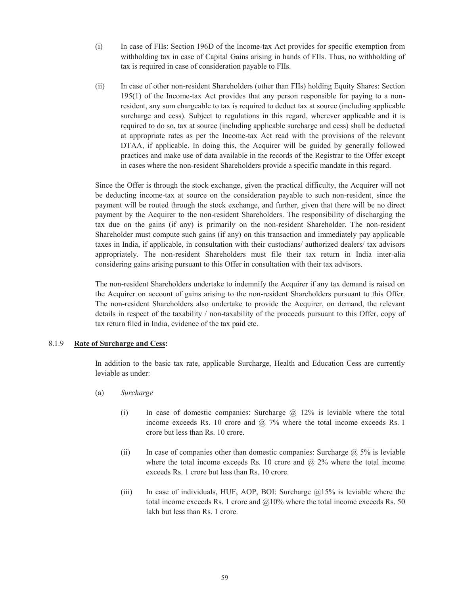- (i) In case of FIIs: Section 196D of the Income-tax Act provides for specific exemption from withholding tax in case of Capital Gains arising in hands of FIIs. Thus, no withholding of tax is required in case of consideration payable to FIIs.
- (ii) In case of other non-resident Shareholders (other than FIIs) holding Equity Shares: Section 195(1) of the Income-tax Act provides that any person responsible for paying to a nonresident, any sum chargeable to tax is required to deduct tax at source (including applicable surcharge and cess). Subject to regulations in this regard, wherever applicable and it is required to do so, tax at source (including applicable surcharge and cess) shall be deducted at appropriate rates as per the Income-tax Act read with the provisions of the relevant DTAA, if applicable. In doing this, the Acquirer will be guided by generally followed practices and make use of data available in the records of the Registrar to the Offer except in cases where the non-resident Shareholders provide a specific mandate in this regard.

Since the Offer is through the stock exchange, given the practical difficulty, the Acquirer will not be deducting income-tax at source on the consideration payable to such non-resident, since the payment will be routed through the stock exchange, and further, given that there will be no direct payment by the Acquirer to the non-resident Shareholders. The responsibility of discharging the tax due on the gains (if any) is primarily on the non-resident Shareholder. The non-resident Shareholder must compute such gains (if any) on this transaction and immediately pay applicable taxes in India, if applicable, in consultation with their custodians/ authorized dealers/ tax advisors appropriately. The non-resident Shareholders must file their tax return in India inter-alia considering gains arising pursuant to this Offer in consultation with their tax advisors.

The non-resident Shareholders undertake to indemnify the Acquirer if any tax demand is raised on the Acquirer on account of gains arising to the non-resident Shareholders pursuant to this Offer. The non-resident Shareholders also undertake to provide the Acquirer, on demand, the relevant details in respect of the taxability / non-taxability of the proceeds pursuant to this Offer, copy of tax return filed in India, evidence of the tax paid etc.

#### 8.1.9 **Rate of Surcharge and Cess:**

In addition to the basic tax rate, applicable Surcharge, Health and Education Cess are currently leviable as under:

- (a) *Surcharge*
	- (i) In case of domestic companies: Surcharge  $\omega$  12% is leviable where the total income exceeds Rs. 10 crore and  $\omega$  7% where the total income exceeds Rs. 1 crore but less than Rs. 10 crore.
	- (ii) In case of companies other than domestic companies: Surcharge  $\omega$ , 5% is leviable where the total income exceeds Rs. 10 crore and  $\omega$  2% where the total income exceeds Rs. 1 crore but less than Rs. 10 crore.
	- (iii) In case of individuals, HUF, AOP, BOI: Surcharge  $@15\%$  is leviable where the total income exceeds Rs. 1 crore and  $\omega$ 10% where the total income exceeds Rs. 50 lakh but less than Rs. 1 crore.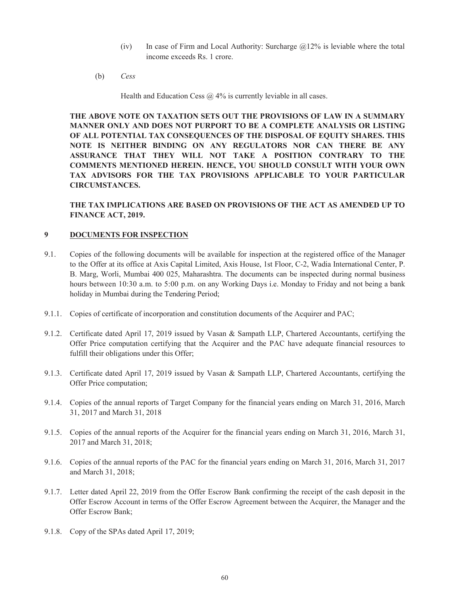- (iv) In case of Firm and Local Authority: Surcharge  $@12\%$  is leviable where the total income exceeds Rs. 1 crore.
- (b) *Cess*

Health and Education Cess  $\omega$ , 4% is currently leviable in all cases.

**THE ABOVE NOTE ON TAXATION SETS OUT THE PROVISIONS OF LAW IN A SUMMARY MANNER ONLY AND DOES NOT PURPORT TO BE A COMPLETE ANALYSIS OR LISTING OF ALL POTENTIAL TAX CONSEQUENCES OF THE DISPOSAL OF EQUITY SHARES. THIS NOTE IS NEITHER BINDING ON ANY REGULATORS NOR CAN THERE BE ANY ASSURANCE THAT THEY WILL NOT TAKE A POSITION CONTRARY TO THE COMMENTS MENTIONED HEREIN. HENCE, YOU SHOULD CONSULT WITH YOUR OWN TAX ADVISORS FOR THE TAX PROVISIONS APPLICABLE TO YOUR PARTICULAR CIRCUMSTANCES.** 

**THE TAX IMPLICATIONS ARE BASED ON PROVISIONS OF THE ACT AS AMENDED UP TO FINANCE ACT, 2019.**

### **9 DOCUMENTS FOR INSPECTION**

- 9.1. Copies of the following documents will be available for inspection at the registered office of the Manager to the Offer at its office at Axis Capital Limited, Axis House, 1st Floor, C-2, Wadia International Center, P. B. Marg, Worli, Mumbai 400 025, Maharashtra. The documents can be inspected during normal business hours between 10:30 a.m. to 5:00 p.m. on any Working Days i.e. Monday to Friday and not being a bank holiday in Mumbai during the Tendering Period;
- 9.1.1. Copies of certificate of incorporation and constitution documents of the Acquirer and PAC;
- 9.1.2. Certificate dated April 17, 2019 issued by Vasan & Sampath LLP, Chartered Accountants, certifying the Offer Price computation certifying that the Acquirer and the PAC have adequate financial resources to fulfill their obligations under this Offer;
- 9.1.3. Certificate dated April 17, 2019 issued by Vasan & Sampath LLP, Chartered Accountants, certifying the Offer Price computation;
- 9.1.4. Copies of the annual reports of Target Company for the financial years ending on March 31, 2016, March 31, 2017 and March 31, 2018
- 9.1.5. Copies of the annual reports of the Acquirer for the financial years ending on March 31, 2016, March 31, 2017 and March 31, 2018;
- 9.1.6. Copies of the annual reports of the PAC for the financial years ending on March 31, 2016, March 31, 2017 and March 31, 2018;
- 9.1.7. Letter dated April 22, 2019 from the Offer Escrow Bank confirming the receipt of the cash deposit in the Offer Escrow Account in terms of the Offer Escrow Agreement between the Acquirer, the Manager and the Offer Escrow Bank;
- 9.1.8. Copy of the SPAs dated April 17, 2019;